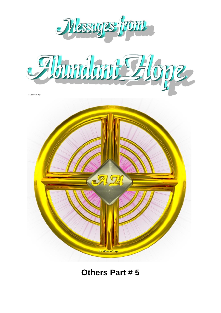

**Others Part # 5**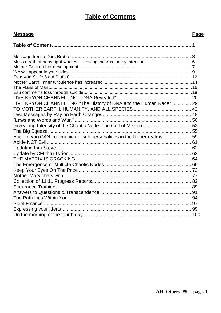# **Table of Contents**

| <b>Message</b>                                                         | Page |
|------------------------------------------------------------------------|------|
|                                                                        |      |
|                                                                        |      |
|                                                                        |      |
|                                                                        |      |
|                                                                        |      |
|                                                                        |      |
|                                                                        |      |
|                                                                        |      |
|                                                                        |      |
| LIVE KRYON CHANNELLING "The History of DNA and the Human Race"  29     |      |
|                                                                        |      |
|                                                                        |      |
|                                                                        |      |
|                                                                        |      |
|                                                                        |      |
| Each of you CAN communicate with personalities in the higher realms 59 |      |
|                                                                        |      |
|                                                                        |      |
|                                                                        |      |
|                                                                        |      |
|                                                                        |      |
|                                                                        |      |
|                                                                        |      |
|                                                                        |      |
|                                                                        |      |
|                                                                        |      |
|                                                                        |      |
|                                                                        |      |
|                                                                        |      |
|                                                                        |      |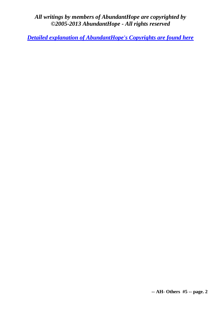# *All writings by members of AbundantHope are copyrighted by ©2005-2013 AbundantHope - All rights reserved*

*[Detailed explanation of AbundantHope's Copyrights are found here](http://abundanthope.net/pages/AbundantHope_1/Copyright_-_Terms_amp_Conditions_517.shtml)*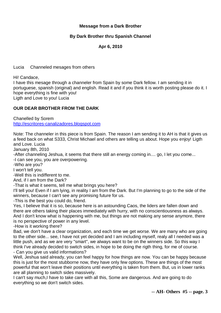## **Message from a Dark Brother**

### **By Dark Brother thru Spanish Channel**

#### **Apr 6, 2010**

Lucia Channeled mesages from others

Hi! Candace,

I have this mesage through a channeler from Spain by some Dark fellow. I am sending it in portuguese, spanish (original) and english. Read it and if you think it is worth posting please do it. I hope everything is fine with you! Ligth and Love to you! Lucia

#### **OUR DEAR BROTHER FROM THE DARK**

Chanelled by Sorem [http://escritores-canalizadores.blogspot.com](http://escritores-canalizadores.blogspot.com/)

Note: The channeler in this piece is from Spain. The reason I am sending it to AH is that it gives us a feed back on what S333, Christ Michael and others are telling us about. Hope you enjoy! Ligth and Love. Lucia

January 8th, 2010

-After channeling Jeshua, it seems that there still an energy coming in.... go, I let you come...

-I can see you, you are overpowering.

-Who are you?

I won't tell you.

-Well this is indifferent to me.

And, if I am from the Dark?

-That is what it seems, tell me what brings you here?

I'll tell you! Even if I am lying, in reality I am from the Dark. But I'm planning to go to the side of the winners, because I can't see any promising future for us.

-This is the best you could do, friend.

Yes, I believe that it is so, because here is an astounding Caos, the liders are fallen down and there are others taking their places immediately with hurry, with no conscientiousness as always. And I don't know what is happening with me, but things are not making any sense anymore, there is no perspective of power in any level.

-How is it working there?

Bad, we don't have a clear organization, and each time we get worse. We are many who are going to the other side... see, I have not yet decided and I am including myself, realy all I needed was a little push, and as we are very "smart", we always want to be on the winners side. So this way I think I've already decided to switch sides, in hope to be doing the rigth thing, for me of course. - Can you give us valid informations?

Well, Jeshua said already, you can feel happy for how things are now. You can be happy because this is just for the most stubborne now, they have only few options. These are things of the most powerful that won't leave their positions until everything is taken from them. But, us in lower ranks are all planning to switch sides massively.

I can't say much, I have to take care with all this, Some are dangerous. And are going to do everything so we don't switch sides.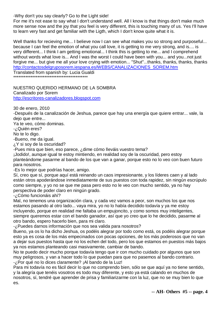-Why don't you say clearly? Go to the Light side!

For me it's not ease to say what I don't understand well. All I know is that things don't make much more sense now and the joy that you feel is very different, this is touching many of us. Yes I'll have to learn very fast and get familiar with the Ligth, which I don't know quite what it is.

Well thanks for recieving me... I believe now I can see what makes you so strong and purposeful... because I can feel the emotion of what you call love, it is getting to me very strong, and is.... is very different... I think I am getting emotional... I think this is getting to me... and I comprehend without words what love is... And I was the worst I could have been with you... and you...not just forgive me... but give me all your love crying with emotion... "Shut"...thanks, thanks, thanks, thanks [http://contactosdelgruposorem.iespana.es/WEBS/CANALIZACIONES\\_SOREM.htm](http://contactosdelgruposorem.iespana.es/WEBS/CANALIZACIONES_SOREM.htm) Translated from spanish by: Lucia Gualdi

\*\*\*\*\*\*\*\*\*\*\*\*\*\*\*\*\*\*\*\*\*\*\*\*\*\*\*\*\*\*\*\*\*\*\*\*\*\*\*\*\*\*\*

NUESTRO QUERIDO HERMANO DE LA SOMBRA Canalizado por Sorem [http://escritores-canalizadores.blogspot.com](http://escritores-canalizadores.blogspot.com/)

30 de enero, 2010

-Después de la canalización de Jeshua, parece que hay una energía que quiere entrar... vale, la dejo que entre...

Ya te veo, cómo dominas.

-¿Quién eres?

No te lo digo.

-Bueno, me da igual.

¿Y si soy de la oscuridad?

-Pues mira que bien, eso parece, ¿dime cómo lleváis vuestro tema?

¡Jodido!, aunque igual te estoy mintiendo, en realidad soy de la oscuridad, pero estoy planteándome pasarme al bando de los que van a ganar, porque esto no lo veo con buen futuro para nosotros.

-Es lo mejor que podrías hacer, amigo.

Sí, creo que sí, porque aquí está reinando un caos impresionante, y los líderes caen y al lado están otros apoderándose inmediatamente de sus puestos con toda rapidez, sin ningún escrúpulo como siempre, y yo no se que me pasa pero esto no le veo con mucho sentido, ya no hay perspectiva de poder claro en ningún grado.

-¿Cómo funcionáis ahí?

Mal, no tenemos una organización clara, y cada vez vamos a peor, son muchos los que nos estamos pasando al otro lado... vaya mira, yo no lo había decidido todavía y ya me estoy incluyendo, porque en realidad me faltaba un empujoncito, y como somos muy inteligentes, siempre queremos estar con el bando ganador, así que yo creo que lo he decidido, pasarme al otro bando, espero hacerlo bien, para mi claro.

-¿Puedes darnos información que nos sea valida para nosotros?

Bueno, ya os lo ha dicho Jeshua, os podéis alegrar por todo como está, os podéis alegrar porque esto ya es cosa de los más empecinados con pocas opciones, de los más poderosos que no van a dejar sus puestos hasta que no los echen del todo, pero los que estamos en puestos más bajos ya nos estamos planteando casi masivamente, cambiar de bando.

No te puedo decir mucho porque todavía tengo que ir con mucho cuidado por algunos que son muy peligrosos, y van a hacer todo lo que puedan para que no pasemos al bando contrario. -¿Por qué no lo dices claramente? ¡Al bando de la Luz!

Para mi todavía no es fácil decir lo que no comprendo bien, sólo se que aquí ya no tiene sentido, y la alegría que tenéis vosotros es todo muy diferente, y esto ya está calando en muchos de nosotros, sí, tendré que aprender de prisa y familiarizarme con la luz, que no se muy bien lo que es.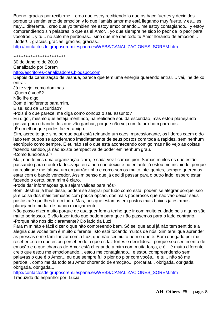Bueno, gracias por recibirme... creo que estoy recibiendo lo que os hace fuertes y decididos... porque tu sentimiento de emoción y lo que llamáis amor me está llegando muy fuerte, y es... es muy... diferente... creo que yo también me estoy emocionando... me estoy contagiando... y estoy comprendiendo sin palabras lo que es el Amor... yo que siempre he sido lo peor de lo peor para vosotros... y tú... no solo me perdonas... sino que me das todo tu Amor llorando de emoción... ¡Joder!... gracias, gracias, gracias, gracias...

[http://contactosdelgruposorem.iespana.es/WEBS/CANALIZACIONES\\_SOREM.htm](http://contactosdelgruposorem.iespana.es/WEBS/CANALIZACIONES_SOREM.htm)

\*\*\*\*\*\*\*\*\*\*\*\*\*\*\*\*\*\*\*\*\*\*\*\*\*\*\*\*\*\*

30 de Janeiro de 2010

Canalizado por Sorem [http://escritores-canalizadores.blogspot.com](http://escritores-canalizadores.blogspot.com/)

Depois da canalização de Jeshua, parece que tem uma energia querendo entrar.... vai, lhe deixo entrar...

Já te vejo, como dominas.

-Quem é você?

Não lhe digo.

Bom é indiferente para mim.

E se, sou da Escuridão?

-Pois é o que parece, me diga como conduz o seu assunto?

Eu digo!, mesmo que esteja mentindo, na realidade sou da escuridão, mas estou planejando passar para o bando dos que vão ganhar, porque não vejo um futuro bom para nós.

-É o melhor que podes fazer, amigo.

Sim, acredito que sim, porque aqui está reinando um caos impressionante, os líderes caem e do lado tem outros se apoderando imediatamente de seus postos com toda a rapidez, sem nenhum escrúpulo como sempre. E eu não sei o que está acontecendo comigo mas não vejo as coisas fazendo sentido, já não existe perspectiva de poder em nenhum grau.

-Como funciona aí?

Mal, não temos uma organização clara, e cada vez ficamos pior. Somos muitos os que estão passando para o outro lado...veja, eu ainda não decidi e no entanto já estou me incluindo, porque na realidade me faltava um empurrãozinho e como somos muito inteligentes, sempre queremos estar com o bando vencedor. Assim penso que já decidi passar para o outro lado, espero estar fazendo o certo, para mim é claro.

-Pode dar informações que sejam válidas para nós?

Bom, Jeshua já lhes disse, podem se alegrar por tudo como está, podem se alegrar porque isso já é coisa dos mais teimosos com pouca opção, dos mais poderosos que não vão deixar seus postos até que lhes tirem tudo. Mas, nós que estamos em postos mais baixos já estamos planejando mudar de bando maciçamente.

Não posso dizer muito porque de qualquer forma tenho que ir com muito cuidado pois alguns são muito perigosos. E vão fazer tudo que podem para que não passemos para o lado contrário. -Porque não nos diz claramente? Do lado da Luz!

Para mim não e fácil dizer o que não compreendo bem. Só sei que aqui já não tem sentido e a alegria que vocês tem é muito diferente, isto está tocando muitos de nós. Sim terei que aprender as pressas e me familiarizar com a Luz, que não sei muito bem o que é. Bom obrigado por me receber...creio que estou percebendo o que os faz fortes e decididos... porque seu sentimento de emoção e o que chamas de Amor está chegando a mim com muita força, e é... é muito diferente... creio que estou me emocionando... estou me contagiando... e estou compreendendo sem palavras o que é o Amor... eu que sempre fui o pior do pior com vocês... e tu... não só me perdoa... como me da todo teu Amor chorando de emoção... porcaria!... obrigada, obrigada, obrigada, obrigada...

[http://contactosdelgruposorem.iespana.es/WEBS/CANALIZACIONES\\_SOREM.htm](http://contactosdelgruposorem.iespana.es/WEBS/CANALIZACIONES_SOREM.htm)

Traduzido do espanhol por: Lucia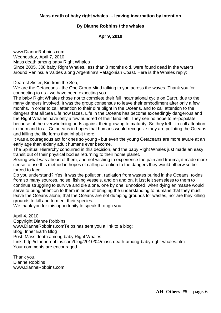#### **By Dianne Robbins / the whales**

#### **Apr 9, 2010**

www.DianneRobbins.com Wednesday, April 7, 2010 Mass death among baby Right Whales Since 2005, 308 baby Right Whales, less than 3 months old, were found dead in the waters around Peninsula Valdes along Argentina's Patagonian Coast. Here is the Whales reply:

Dearest Sister, Kin from the Sea,

We are the Cetaceans - the One Group Mind talking to you across the waves. Thank you for connecting to us - we have been expecting you.

The baby Right Whales chose not to complete their full incarnational cycle on Earth, due to the many dangers involved. It was the group consensus to leave their embodiment after only a few months, in order to call attention to their dire plight in the Oceans, and to call attention to the dangers that all Sea Life now faces. Life in the Oceans has become exceedingly dangerous and the Right Whales have only a few hundred of their kind left. They see no hope to re-populate because of the overwhelming odds against their growing to maturity. So they left - to call attention to them and to all Cetaceans in hopes that humans would recognize they are polluting the Oceans and killing the life forms that inhabit there.

It was a courageous act for ones so young - but even the young Cetaceans are more aware at an early age than elderly adult humans ever become.

The Spiritual Hierarchy concurred in this decision, and the baby Right Whales just made an easy transit out of their physical bodies returning to their home planet.

Seeing what was ahead of them, and not wishing to experience the pain and trauma, it made more sense to use this method in hopes of calling attention to the dangers they would otherwise be forced to face.

Do you understand? Yes, it was the pollution, radiation from wastes buried in the Oceans, toxins from so many sources, noise, fishing vessels, and on and on. It just felt senseless to them to continue struggling to survive and die alone, one by one, unnoticed, when dying en masse would serve to bring attention to them in hope of bringing the understanding to humans that they must leave the Oceans alone; that the Oceans are not dumping grounds for wastes, nor are they killing grounds to kill and torment their species.

We thank you for this opportunity to speak through you.

April 4, 2010

Copyright Dianne Robbins www.DianneRobbins.comTelos has sent you a link to a blog: Blog: Inner Earth Blog Post: Mass death among baby Right Whales Link: http://diannerobbins.com/blog/2010/04/mass-death-among-baby-right-whales.html Your comments are encouraged.

Thank you, Dianne Robbins www.DianneRobbins.com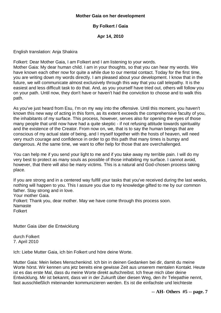## **By Folkert / Gaia**

**Apr 14, 2010**

English translation: Anja Shakira

Folkert: Dear Mother Gaia, I am Folkert and I am listening to your words.

Mother Gaia: My dear human child. I am in your thoughts, so that you can hear my words. We have known each other now for quite a while due to our mental contact. Today for the first time, you are writing down my words directly. I am pleased about your development. I know that in the future, we will communicate almost exclusively through this way that you call telepathy. It is the easiest and less difficult task to do that. And, as you yourself have tried out, others will follow you on your path. Until now, they don't have or haven't had the conviction to choose and to walk this path.

As you've just heard from Esu, I'm on my way into the offensive. Until this moment, you haven't known this new way of acting in this form, as its extent exceeds the comprehensive faculty of you, the inhabitants of my surface. This process, however, serves also for opening the eyes of those many people that until now have had a quite skeptic - if not refusing attitude towards spirituality and the existence of the Creator. From now on, we, that is to say the human beings that are conscious of my actual state of being, and I myself together with the hosts of heaven, will need very much courage and confidence in order to go this path that many times is bumpy and dangerous. At the same time, we want to offer help for those that are overchallenged.

You can help me if you send your light to me and if you take away my terrible pain. I will do my very best to protect as many souls as possible of those inhabiting my surface. I cannot avoid, however, that there will also be many victims. This is a natural and God-chosen process taking place.

If you are strong and in a centered way fulfill your tasks that you've received during the last weeks, nothing will happen to you. This I assure you due to my knowledge gifted to me by our common father. Stay strong and in love. Your mother Gaia. Folkert: Thank you, dear mother. May we have come through this process soon. Namaste Folkert

Mutter Gaia über die Entwicklung

durch Folkert 7. April 2010

Ich: Liebe Mutter Gaia, ich bin Folkert und höre deine Worte.

Mutter Gaia: Mein liebes Menschenkind. Ich bin in deinen Gedanken bei dir, damit du meine Worte hörst. Wir kennen uns jetz bereits eine gewisse Zeit aus unserem mentalen Kontakt. Heute ist es das erste Mal, dass du meine Worte direkt aufschreibst. Ich freue mich über deine Entwicklung. Mir ist bekannt, dass wir in der Zukunft über diesen Weg, den ihr Telepathie nennt, fast ausschließlich miteinander kommunizieren werden. Es ist die einfachste und leichteste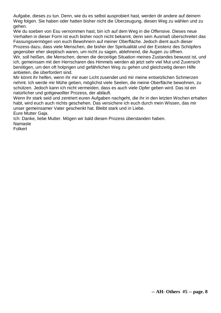Aufgabe, dieses zu tun. Denn, wie du es selbst ausprobiert hast, werden dir andere auf deinem Weg folgen. Sie haben oder hatten bisher nicht die Überzeugung, diesen Weg zu wählen und zu gehen.

Wie du soeben von Esu vernommen hast, bin ich auf dem Weg in die Offensive. Dieses neue Verhalten in dieser Form ist euch bisher noch nicht bekannt, denn sein Ausmaß überschreitet das Fassungsvermögen von euch Bewohnern auf meiner Oberfläche. Jedoch dient auch dieser Prozess dazu, dass viele Menschen, die bisher der Spiritualität und der Existenz des Schöpfers gegenüber eher skeptisch waren, um nicht zu sagen, ablehnend, die Augen zu öffnen.

Wir, soll heißen, die Menschen, denen die derzeitige Situation meines Zustandes bewusst ist, und ich, gemeinsam mit den Herrscharen des Himmels werden ab jetzt sehr viel Mut und Zuversich benötigen, um den oft holprigen und gefährlichen Weg zu gehen und gleichzeitig denen Hilfe anbieten, die überfordert sind.

Mir könnt ihr helfen, wenn ihr mir euer Licht zusendet und mir meine entsetzlichen Schmerzen nehmt. Ich werde mir Mühe geben, möglichst viele Seelen, die meine Oberfläche bewohnen, zu schützen. Jedoch kann ich nicht vermeiden, dass es auch viele Opfer geben wird. Das ist ein natürlicher und gottgewollter Prozess, der abläuft.

Wenn ihr stark seid und zentriert euren Aufgaben nachgeht, die ihr in den letzten Wochen erhalten habt, wird euch auch nichts geschehen. Das versichere ich euch durch mein Wissen, das mir unser gemeinsamer Vater geschenkt hat. Bleibt stark und in Liebe.

Eure Mutter Gaja.

Ich: Danke, liebe Mutter. Mögen wir bald diesen Prozess überstanden haben.

Namaste

Folkert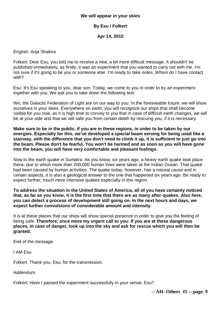#### **We will appear in your skies**

#### **By Esu / Folkert**

**Apr 14, 2010**

English: Anja Shakira

Folkert: Dear Esu, you told me to receive a new, a bit more difficult message. It shouldn't be published immediately, as firstly, it was an experiment that you wanted to carry out with me. I'm not sure if it's going to be you or someone else. I'm ready to take notes. Whom do I have contact with?

Esu: It's Esu speaking to you, dear son. Today, we come to you in order to try an experiment together with you. We ask you to take down the following text:

We, the Galactic Federation of Light are on our way to you. In the foreseeable future, we will show ourselves in your skies. Everywhere on earth, you will recognize our ships that shall become visible for you now, as it is high time to convey to you that in case of difficult earth changes, we will be at your side and that we will safe you from certain death by rescuing you, if it is necessary.

**Make sure to be in the public, if you are in these regions, in order to be taken by our energies. Especially for this, we've developed a special beam serving for being used like a stairway, with the difference that you don't need to climb it up, it is sufficient to just go into the beam. Please don't be fearful. You won't be harmed and as soon as you will have gone into the beam, you will have very comfortable and pleasant feelings.**

Now to the earth quake in Sumatra. As you know, six years ago, a heavy earth quake took place there, due to which more than 200,000 human lives were taken at the Indian Ocean. That quake had been caused by human activities. The quake today, however, has a natural cause and in certain aspects, it is also a geological answer to the one that happened six years ago. Be ready to expect further, much more intensive quakes especially in this region.

**To address the situation in the United States of America, all of you have certainly noticed that, as far as you know, it is the first time that there are as many after-quakes. Also here, you can detect a process of development still going on. In the next hours and days, we expect further convulsions of considerable amount and intensity.**

It is at these places that our ships will show special presence in order to give you the feeling of being safe. **Therefore, once more my urgent call to you: If you are at these dangerous places, in case of danger, look up into the sky and ask for rescue which you will then be granted.**

End of the message.

I AM Esu

Folkert: Thank you, Esu, for the transmission.

Addendum:

Folkert: Have I passed the experiment successfully in your sense, Esu?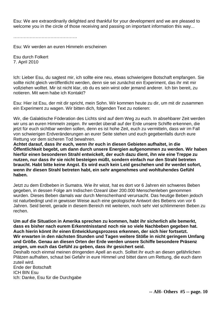Esu: We are extraordinarily delighted and thankful for your development and we are pleased to welcome you in the circle of those receiving and passing on important information this way...

…………………………………….

Esu: Wir werden an euren Himmeln erscheinen

Esu durch Folkert 7. April 2010

Ich: Lieber Esu, du sagtest mir, ich sollte eine neu, etwas schwierigere Botschaft empfangen. Sie sollte nicht gleich veröffentlicht werden, denn sie sei zunächst ein Experiment, das ihr mit mir vollziehen wolltet. Mir ist nicht klar, ob du es sein wirst oder jemand anderer. Ich bin bereit, zu notieren. Mit wem habe ich Kontakt?

Esu: Hier ist Esu, der mit dir spricht, mein Sohn. Wir kommen heute zu dir, um mit dir zusammen ein Experiment zu wagen. Wir bitten dich, folgenden Text zu notieren:

Wir, die Galaktische Föderation des Lichts sind auf dem Weg zu euch. In absehbarer Zeit werden wir uns an euren Himmeln zeigen. Ihr werdet überall auf der Erde unsere Schiffe erkennen, die jetzt für euch sichtbar werden sollen, denn es ist hohe Zeit, euch zu vermitteln, dass wir im Fall von schwierigen Erdveränderungen an eurer Seite stehen und euch gegebenfalls durch eure Rettung vor dem sicheren Tod bewahren.

**Achtet darauf, dass ihr euch, wenn ihr euch in diesen Gebieten aufhaltet, in die Öffentlichkeit begebt, um dann durch unsere Energien aufgenommen zu werden. Wir haben hierfür einen besonderen Strahl entwickelt, der euch dazu dient, ihn wie eine Treppe zu nutzen, nur dass ihr sie nicht besteigen müßt, sondern einfach nur den Strahl betreten braucht. Habt bitte keine Angst. Es wird euch kein Leid geschehen und ihr werdet sofort, wenn ihr diesen Strahl betreten habt, ein sehr angenehmes und wohltuhendes Gefühl haben.** 

Jetzt zu dem Erdbeben in Sumatra. Wie ihr wisst, hat es dort vor 6 Jahren ein schweres Beben gegeben, in dessen Folge am Indischen Ozeanl über 200.000 Menschenleben genommen wurden. Dieses Beben damals war durch Menschenhand verursacht. Das heutige Beben jedoch ist naturbedingt und in gewisser Weise auch eine geologische Antwort des Bebens von vor 6 Jahren. Seid bereit, gerade in diesem Bereich mit weiteren, noch sehr viel schlimmeren Beben zu rechen.

**Um auf die Situation in Amerika sprechen zu kommen, habt ihr sicherlich alle bemerkt, dass es bisher nach eurem Erkenntnisstand noch nie so viele Nachbeben gegeben hat. Auch hierin könnt ihr einen Entwicklungsprozess erkennen, der sich hier fortsetzt. Wir erwarten in den nächsten Stunden und Tagen weitere Stöße in nicht geringem Umfang und Größe. Genau an diesen Orten der Erde werden unsere Schiffe besondere Präsenz zeigen, um euch das Gefühl zu geben, dass ihr gesichert seid.**

Deshalb noch einmal meinen dringenden Apell an euch. Solltet ihr euch an diesen gefährlichen Plätzen aufhalten, schaut bei Gefahr in eure Himmel und bittet dann um Rettung, die euch dann zuteil wird.

Ende der Botschaft ICH BIN Esu Ich: Danke, Esu für die Durchgabe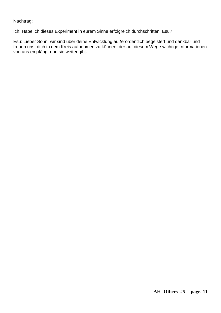Nachtrag:

Ich: Habe ich dieses Experiment in eurem Sinne erfolgreich durchschritten, Esu?

Esu: Lieber Sohn, wir sind über deine Entwicklung außerordentlich begeistert und dankbar und freuen uns, dich in dem Kreis aufnehmen zu können, der auf diesem Wege wichtige Informationen von uns empfängt und sie weiter gibt.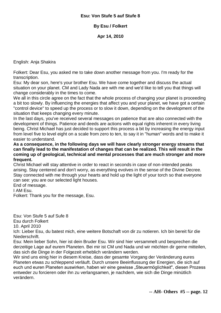# **By Esu / Folkert**

**Apr 14, 2010**

#### English: Anja Shakira

Folkert: Dear Esu, you asked me to take down another message from you. I'm ready for the transcription.

Esu: My dear son, here's your brother Esu. We have come together and discuss the actual situation on your planet. CM and Lady Nada are with me and we'd like to tell you that things will change considerably in the times to come.

We all in this circle agree on the fact that the whole process of changing your planet is proceeding a bit too slowly. By influencing the energies that affect you and your planet, we have got a certain "control device" to speed up the process or to slow it down, depending on the development of the situation that keeps changing every minute.

In the last days, you've received several messages on patience that are also connected with the development of things. Patience and deeds are actions with equal rights inherent in every living being. Christ Michael has just decided to support this process a bit by increasing the energy input from level five to level eight on a scale from zero to ten, to say it in "human" words and to make it easier to understand.

**As a consequence, in the following days we will have clearly stronger energy streams that can finally lead to the manifestation of changes that can be realized. This will result in the coming up of geological, technical and mental processes that are much stronger and more frequent.**

Christ Michael will stay attentive in order to react in seconds in case of non-intended peaks arising. Stay centered and don't worry, as everything evolves in the sense of the Divine Decree. Stay connected with me through your hearts and hold up the light of your torch so that everyone can see: you are our selected light houses.

End of message.

I AM Esu.

Folkert: Thank you for the message, Esu.

Esu: Von Stufe 5 auf Sufe 8

Esu durch Folkert

10. April 2010

Ich: Lieber Esu, du batest mich, eine weitere Botschaft von dir zu notieren. Ich bin bereit für die Niederschrift.

Esu: Mein lieber Sohn, hier ist dein Bruder Esu. Wir sind hier versammelt und besprechen die derzeitige Lage auf eurem Planeten. Bei mir ist CM und Nada und wir möchten dir gerne mitteilen, das sich die Dinge in der Folgezeit erheblich verändern werden.

Wir sind uns einig hier in diesem Kreise, dass der gesamte Vorgang der Veränderung eures Planeten etwas zu schleppend verläuft. Durch unsere Beeinflussung der Energien, die sich auf euch und euren Planeten auswirken, haben wir eine gewisse "Steuermöglichkeit", diesen Prozess entweder zu forcieren oder ihn zu verlangsamen, je nachdem, wie sich die Dinge minütlich verändern.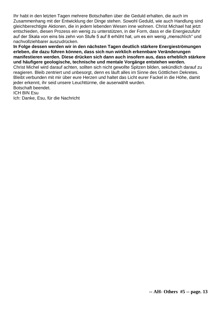Ihr habt in den letzten Tagen mehrere Botschaften über die Geduld erhalten, die auch im Zusammenhang mit der Entwicklung der Dinge stehen. Sowohl Geduld, wie auch Handlung sind gleichberechtigte Aktionen, die in jedem lebenden Wesen inne wohnen. Christ Michael hat jetzt entschieden, diesen Prozess ein wenig zu unterstützen, in der Form, dass er die Energiezufuhr auf der Skala von eins bis zehn von Stufe 5 auf 8 erhöht hat, um es ein wenig "menschlich" und nachvollziehbarer auszudrücken.

**In Folge dessen werden wir in den nächsten Tagen deutlich stärkere Energieströmungen erleben, die dazu führen können, dass sich nun wirklich erkennbare Veränderungen manifestieren werden. Diese drücken sich dann auch insofern aus, dass erheblich stärkere und häufigere geologische, technische und mentale Vorgänge entstehen werden.**

Christ Michel wird darauf achten, sollten sich nicht gewollte Spitzen bilden, sekündlich darauf zu reagieren. Bleib zentriert und unbesorgt, denn es läuft alles im Sinne des Göttlichen Dekretes. Bleibt verbunden mit mir über eure Herzen und haltet das Licht eurer Fackel in die Höhe, damit jeder erkennt, ihr seid unsere Leuchttürme, die auserwählt wurden. Botschaft beendet.

ICH BIN Esu

Ich: Danke, Esu, für die Nachricht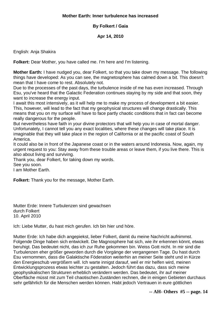# **By Folkert / Gaia**

# **Apr 14, 2010**

English: Anja Shakira

**Folkert:** Dear Mother, you have called me. I'm here and I'm listening.

**Mother Earth:** I have nudged you, dear Folkert, so that you take down my message. The following things have developed: As you can see, the magnetosphere has calmed down a bit. This doesn't mean that I have come to rest. Absolutely not.

Due to the processes of the past days, the turbulence inside of me has even increased. Through Esu, you've heard that the Galactic Federation continues staying by my side and that soon, they want to increase the energy input.

I await this most intensively, as it will help me to make my process of development a bit easier. This, however, will lead to the fact that my geophysical structures will change drastically. This means that you on my surface will have to face partly chaotic conditions that in fact can become really dangerous for the people.

But nevertheless have faith in your divine protectors that will help you in case of mortal danger. Unfortunately, I cannot tell you any exact localities, where these changes will take place. It is imaginable that they will take place in the region of California or at the pacific coast of South America.

It could also be in front of the Japanese coast or in the waters around Indonesia. Now, again, my urgent request to you: Stay away from these trouble areas or leave them, if you live there. This is also about living and surviving.

Thank you, dear Folkert, for taking down my words.

See you soon.

I am Mother Earth.

**Folkert:** Thank you for the message, Mother Earth.

Mutter Erde: Innere Turbulenzen sind gewachsen durch Folkert 10. April 2010

Ich: Liebe Mutter, du hast mich gerufen. Ich bin hier und höre.

Mutter Erde: Ich habe dich angepiekst, lieber Folkert, damit du meine Nachricht aufnimmst. Folgende Dinge haben sich entwickelt. Die Magnosphere hat sich, wie ihr erkennen könnt, etwas beruhigt. Das bedeutet nicht, das ich zur Ruhe gekommen bin. Weiss Gott nicht. In mir sind die Turbulenzen eher größer geworden durch die Vorgänge der vergangenen Tage. Du hast durch Esu vernommen, dass die Galaktische Föderation weiterhin an meiner Seite steht und in Kürze den Energieschub vergrößern will. Ich warte innigst darauf, weil er mir helfen wird, meinen Entwicklungsprozess etwas leichter zu gestalten. Jedoch führt das dazu, dass sich meine geophysikalischen Strukturen erheblich verändern werden. Das bedeutet, ihr auf meiner Oberfläche müsst mit zum Teil chaotischen Zuständen rechnen, die in einigen Gebieten durchaus sehr gefährlich für die Menschen werden können. Habt jedoch Vertrauen in eure göttlichen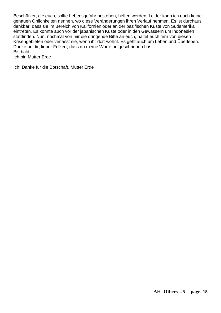Beschützer, die euch, sollte Lebensgefahr bestehen, helfen werden. Leider kann ich euch keine genauen Örtlichkeiten nennen, wo diese Veränderungen ihren Verlauf nehmen. Es ist durchaus denkbar, dass sie im Bereich von Kalifornien oder an der pazifischen Küste von Südamerika eintreten. Es könnte auch vor der japanischen Küste oder in den Gewässern um Indonesien stattfinden. Nun, nochmal von mir die dringende Bitte an euch, haltet euch fern von diesen Krisengebieten oder verlasst sie, wenn ihr dort wohnt. Es geht auch um Leben und Überleben. Danke an dir, lieber Folkert, dass du meine Worte aufgeschrieben hast. Bis bald.

Ich bin Mutter Erde

Ich: Danke für die Botschaft, Mutter Erde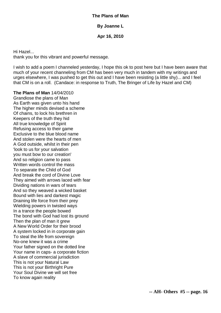#### **By Joanne L**

**Apr 16, 2010**

Hi Hazel... thank you for this vibrant and powerful message.

I wish to add a poem I channeled yesterday, I hope this ok to post here but I have been aware that much of your recent channeling from CM has been very much in tandem with my writings and urges elsewhere, I was pushed to get this out and I have been resisting (a little shy)... and I feel that CM is on a roll. (Candace: in response to Truth, The Bringer of Life by Hazel and CM)

**The Plans of Man** 14/04/2010 Grandiose the plans of Man As Earth was given unto his hand The higher minds devised a scheme Of chains, to lock his brethren in Keepers of the truth they hid All true knowledge of Spirit Refusing access to their game Exclusive to the blue blood name And stolen were the hearts of men A God outside, whilst in their pen 'look to us for your salvation you must bow to our creation' And so religion came to pass Written words control the mass To separate the Child of God And break the cord of Divine Love They aimed with arrows laced with fear Dividing nations in wars of tears And so they weaved a wicked basket Bound with lies and darkest magic Draining life force from their prey Wielding powers in twisted ways In a trance the people bowed The bond with God had lost its ground Then the plan of man it grew A New World Order for their brood A system locked in in corporate gain To steal the life from sovereign No-one knew it was a crime Your father signed on the dotted line Your name in caps- a corporate fiction A slave of commercial jurisdiction This is not your Natural Law This is not your Birthright Pure Your Soul Divine we will set free To know again reality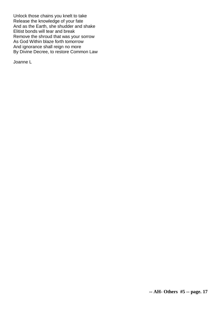Unlock those chains you knelt to take Release the knowledge of your fate And as the Earth, she shudder and shake Elitist bonds will tear and break Remove the shroud that was your sorrow As God Within blaze forth tomorrow And ignorance shall reign no more By Divine Decree, to restore Common Law

Joanne L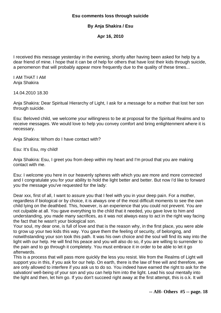#### **Esu comments loss through suicide**

#### **By Anja Shakira / Esu**

#### **Apr 16, 2010**

I received this message yesterday in the evening, shortly after having been asked for help by a dear friend of mine. I hope that it can be of help for others that have lost their kids through suicide, a penomenon that will probably appear more frequently due to the quality of these times...

I AM THAT I AM Anja Shakira

14.04.2010 18.30

Anja Shakira: Dear Spiritual Hierarchy of Light, I ask for a message for a mother that lost her son through suicide.

Esu: Beloved child, we welcome your willingness to be at proposal for the Spiritual Realms and to receive messages. We would love to help you convey comfort and bring enlightenment where it is necessary.

Anja Shakira: Whom do I have contact with?

Esu: It's Esu, my child!

Anja Shakira: Esu, I greet you from deep within my heart and I'm proud that you are making contact with me.

Esu: I welcome you here in our heavenly spheres with which you are more and more connected and I congratulate you for your ability to hold the light better and better. But now I'd like to forward you the message you've requested for the lady:

Dear xxx, first of all, I want to assure you that I feel with you in your deep pain. For a mother, regardless if biological or by choice, it is always one of the most difficult moments to see the own child lying on the deathbed. This, however, is an experience that you could not prevent. You are not culpable at all. You gave everything to the child that it needed, you gave love to him and understanding, you made many sacrifices, as it was not always easy to act in the right way facing the fact that he wasn't your biological son.

Your soul, my dear one, is full of love and that is the reason why, in the first place, you were able to grow up your two kids this way. You gave them the feeling of security, of belonging, and notwithstanding your son took this path. It was his own choice and the soul will find its way into the light with our help. He will find his peace and you will also do so, if you are willing to surrender to the pain and to go through it completely. You must embrace it in order to be able to let it go afterwards.

This is a process that will pass more quickly the less you resist. We from the Realms of Light will support you in this, if you ask for our help. On earth, there is the law of free will and therefore, we are only allowed to interfere if you ask us to do so. You indeed have earned the right to ask for the salvation/ well-being of your son and you can help him into the light. Lead his soul mentally into the light and then, let him go. If you don't succeed right away at the first attempt, this is o.k. It will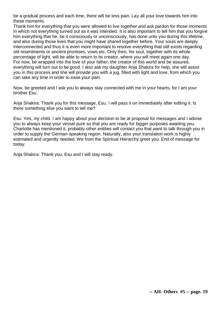be a gradual process and each time, there will be less pain. Lay all your love towards him into these moments.

Thank him for everything that you were allowed to live together and ask pardon for those moments in which not everything turned out as it was intended. It is also important to tell him that you forgive him everything that he, be it consciously or unconsciously, has done unto you during this lifetime, and also during those lives that you might have shared together before. Your souls are deeply interconnected and thus it is even more important to resolve everything that still exists regarding old resentments or ancient promises, vows etc. Only then, his soul, together with its whole percentage of light, will be able to return to its creator, where you will meet again one day. For now, be wrapped into the love of your father, the creator of this world and be assured, everything will turn out to be good. I also ask my daughter Anja Shakira for help, she will assist you in this process and she will provide you with a jug, filled with light and love, from which you can take any time in order to ease your pain.

Now, be greeted and I ask you to always stay connected with me in your hearts, for I am your brother Esu.

Anja Shakira: Thank you for this message, Esu. I will pass it on immediately after editing it. Is there something else you want to tell me?

Esu: Yes, my child. I am happy about your decision to be at proposal for messages and I advise you to always keep your vessel pure so that you are ready for bigger purposes awaiting you. Charlotte has mentioned it, probably other entities will contact you that want to talk through you in order to supply the German-speaking region. Naturally, also your translation work is highly estimated and urgently needed. We from the Spiritual Hierarchy greet you. End of message for today.

Anja Shakira: Thank you, Esu and I will stay ready.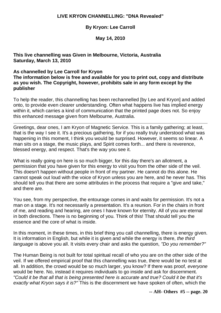# **LIVE KRYON CHANNELLING: "DNA Revealed"**

# **By Kryon: Lee Carroll**

# **May 14, 2010**

# **This live channelling was Given in Melbourne, Victoria, Australia Saturday, March 13, 2010**

## **As channelled by Lee Carroll for Kryon**

**The information below is free and available for you to print out, copy and distribute as you wish. The Copyright, however, prohibits sale in any form except by the publisher**

To help the reader, this channelling has been rechannelled [by Lee and Kryon] and added onto, to provide even clearer understanding. Often what happens live has implied energy within it, which carries a kind of communication that the printed page does not. So enjoy this enhanced message given from Melbourne, Australia.

Greetings, dear ones, I am Kryon of Magnetic Service. This is a family gathering; at least, that is the way I see it. It's a precious gathering, for if you really truly understood what was happening in this moment, I think you would be surprised. However, it seems so linear. A man sits on a stage, the music plays, and Spirit comes forth... and there is reverence, blessed energy, and respect. That's the way you see it.

What is really going on here is so much bigger, for this day there's an allotment, a permission that you have given for this energy to visit you from the other side of the veil. This doesn't happen without people in front of my partner. He cannot do this alone. He cannot speak out loud with the voice of Kryon unless you are here, and he never has. This should tell you that there are some attributes in the process that require a "give and take," and there are.

You see, from my perspective, the entourage comes in and waits for permission. It's not a man on a stage. It's not necessarily a presentation. It's a reunion. For in the chairs in front of me, and reading and hearing, are ones I have known for eternity. All of you are eternal in both directions. There is no beginning of you. Think of this! That should tell you the essence and the core of what is inside.

In this moment, in these times, in this brief thing you call channelling, there is energy given. It is information in English, but while it is given and while the energy is there, *the third language* is above you all. It visits every chair and asks the question, *"Do you remember?"* 

The Human Being is not built for total spiritual recall of who you are on the other side of the veil. If we offered empirical proof that this channelling was true, there would be no test at all. In addition, the crowd would be so much larger, you know? If there was proof, *everyone* would be here. No, instead it requires individuals to go inside and ask for discernment. *"Could it be that all that is being presented here is accurate and true? Could it be that it's exactly what Kryon says it is?"* This is the discernment we have spoken of often, which the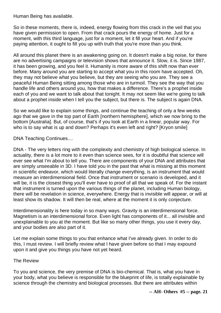Human Being has available.

So in these moments, there is, indeed, energy flowing from this crack in the veil that you have given permission to open. From that crack pours the energy of home. Just for a moment, with this third language, just for a moment, let it fill your heart. And if you're paying attention, it ought to fill you up with truth that you're more than you think.

All around this planet there is an awakening going on. It doesn't make a big noise, for there are no advertising campaigns or television shows that announce it. Slow, it is. Since 1987, it has been growing, and you feel it. Humanity is more aware of this shift now than ever before. Many around you are starting to accept what you in this room have accepted. Oh, they may not believe what you believe, but they are seeing who you are. They see a peaceful Human Being sitting among those who are in turmoil. They see the way that you handle life and others around you, how that makes a difference. There's a prophet inside each of you and we want to talk about that tonight. It may not seem like we're going to talk about a prophet inside when I tell you the subject, but there is. The subject is again DNA.

So we would like to explain some things, and continue the teaching of only a few weeks ago that we gave in the top part of Earth [northern hemisphere], which we now bring to the bottom [Australia]. But, of course, that's if you look at Earth in a linear, popular way. For who is to say what is up and down? Perhaps it's even left and right? [Kryon smile]

DNA Teaching Continues....

DNA - The very letters ring with the complexity and chemistry of high biological science. In actuality, there is a lot more to it even than science sees, for it is doubtful that science will ever see what I'm about to tell you. There are components of your DNA and attributes that are simply unseeable in 3D. I have told you in the past that what is missing at this moment in scientific endeavor, which would literally change everything, is an instrument that would measure an interdimensional field. Once that instrument or scenario is developed, and it will be, it is the closest thing you'll ever have to proof of all that we speak of. For the instant that instrument is turned upon the various things of the planet, including Human biology, there will be revelation in science, everywhere. Energy that is invisible will appear, or will at least show its shadow. It will then be real, where at the moment it is only conjecture.

Interdimensionality is here today in so many ways. Gravity is an interdimensional force. Magnetism is an interdimensional force. Even light has components of it... all invisible and unexplainable to you at the moment. But like so many other things, you use it every day, and your bodies are also part of it.

Let me explain some things to you that enhance what I've already given. In order to do this, I must review. I will briefly review what I have given before so that I may expound upon it and give you things you have not yet heard.

### The Review

To you and science, the very premise of DNA is bio-chemical. That is, what you have in your body, what you believe is responsible for the blueprint of life, is totally explainable by science through the chemistry and biological processes. But there are attributes within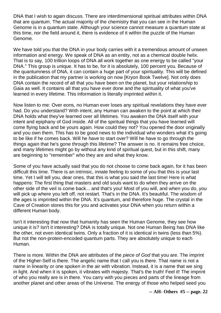DNA that I wish to again discuss. There are interdimensional spiritual attributes within DNA that are quantum. The actual majority of the chemistry that you can see in the Human Genome is in a quantum state. Although your science cannot measure a quantum state at this time, nor the field around it, there is evidence of it within the puzzle of the Human Genome.

We have told you that the DNA in your body carries with it a tremendous amount of unseen information and energy. We speak of DNA as an entity, not as a chemical double helix. That is to say, 100 trillion loops of DNA all work together as one energy to be called "your DNA." This group is unique. It has to be, for it is absolutely, 100 percent you. Because of the quantumness of DNA, it can contain a huge part of your spirituality. This will be defined in the publication that my partner is working on now [Kryon Book Twelve]. Not only does DNA contain the record of all that you have been on the planet, but your relationship to Gaia as well. It contains all that you have ever done and the spirituality of what you've learned in every lifetime. This information is literally imprinted within it.

Now listen to me: Over eons, no Human ever loses any spiritual revelations they have ever had. Do you understand? With intent, any Human can awaken to the point at which their DNA holds what they've learned over all lifetimes. You awaken the DNA itself with your intent and epiphany of God inside. All of the spiritual things that you have learned will come flying back and be yours again. How could they not? You opened the door originally and you own them. This has to be good news to the individual who wonders what it's going to be like if he comes back. Will he have to start over? Will he have to go through the things again that he's gone through this lifetime? The answer is no. It remains free choice, and many lifetimes might go by without any kind of spiritual quest, but in this shift, many are beginning to "remember" who they are and what they know.

Some of you have actually said that you do not choose to come back again, for it has been difficult this time. There is an intrinsic, innate feeling to some of you that this is your last time. Yet I will tell you, dear ones, that this is what you said the last time! Here is what happens: The first thing that masters and old souls want to do when they arrive on the other side of the veil is come back... and that's you! Most of you will, and when you do, you will pick up where you left off, not restart. That's in the DNA. It's beautiful. The wisdom of the ages is imprinted within the DNA. It's quantum, and therefore huge. The crystal in the Cave of Creation stores this for you and activates your DNA when you return within a different Human body.

Isn't it interesting that now that humanity has seen the Human Genome, they see how unique it is? Isn't it interesting? DNA is totally unique. Not one Human Being has DNA like the other, not even identical twins. Only a fraction of it is identical in twins (less than 5%). But not the non-protein-encoded quantum parts. They are absolutely unique to each Human.

There is more. Within the DNA are attributes of the *piece of God* that you are. The imprint of the Higher-Self is there. The angelic name that I call you is there. That name is not a name in linearity or one spoken in the air with vibration. Instead, it is a name that we sing in light. And when it is spoken, it vibrates with majesty. That's the truth! Feel it! The imprint of who you really are is in there. You carry with you pieces and parts of the lineage from another planet and other areas of the Universe. The energy of those who helped seed you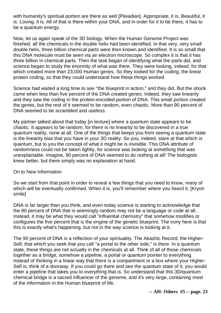with humanity's spiritual portion are there as well [Pleiadian]. Appropriate, it is. Beautiful, it is. Loving, it is. All of that is there within your DNA, and in order for it to be there, it has to be a quantum energy.

Now, let us again speak of the 3D biology. When the Human Genome Project was finished, all the chemicals in the double helix had been identified. In that very, very small double helix, three billion chemical parts were then known and identified. It is so small that this DNA molecule must be seen via an electron microscope. So complex it is that it has three billion in chemical parts. Then the task began of identifying what the parts did, and science began to study the enormity of what was there. They were looking, indeed, for that which created more than 23,000 Human genes. So they looked for the coding, the linear protein coding, so that they could understand how these things worked.

Science had waited a long time to see "the blueprint in action," and they did. But the shock came when less than five percent of the DNA created genes. Indeed, they saw linearity and they saw the coding in the protein-encoded portion of DNA. This small portion created the genes, but the rest of it seemed to be random, even chaotic. More than 90 percent of DNA seemed to be scrambled and useless.

My partner talked about that today [in lecture] where a quantum state appears to be chaotic. It appears to be random, for there is no linearity to be discovered in a true quantum reality, none at all. One of the things that keeps you from seeing a quantum state is the linearity bias that you have in your 3D reality. So you, indeed, stare at that which is quantum, but to you the concept of what it might be is invisible. This DNA attribute of randomness could not be taken lightly, for science was looking at something that was unexplainable. Imagine, 90 percent of DNA seemed to do nothing at all! The biologists knew better, but there simply was no explanation at hand.

### On to New Information

So we start from that point in order to reveal a few things that you need to know, many of which will be eventually confirmed. When it is, you'll remember where you heard it. [Kryon smile]

DNA is far larger than you think, and even today science is starting to acknowledge that the 90 percent of DNA that is seemingly random may not be a language or code at all. Instead, it may be what they would call "influential chemistry" that somehow modifies or configures the five percent that is the engine of the genetic blueprint. The irony here is that this is exactly what's happening, but not in the way science is looking at it.

The 90 percent of DNA is a reflection of your spirituality. The Akashic Record, the Higher-Self, that which you seek that you call "a portal to the other side," is there. In a quantum state, these things are not actually in the chemicals at all. Think of all of those chemicals together as a bridge, somehow a pipeline, a portal or quantum pointer to everything. Instead of thinking in a linear way that there is a compartment or a box where your Higher-Self is, think of a doorway. If you could go there and see the quantum state of it, you would enter a pipeline that takes you to everything that is. So understand that this 3D/quantum chemical bridge is a sacred influencer of the genome, and it's very large, containing most of the information in the Human blueprint of life.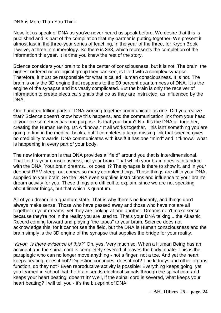### DNA is More Than You Think

Now, let us speak of DNA as you've never heard us speak before. We desire that this is published and is part of the compilation that my partner is putting together. We present it almost last in the three-year series of teaching, in the year of the three, for Kryon Book Twelve, a three in numerology. So there is 333, which represents the completion of the information this year. It is time you knew the rest of the story.

Science considers your brain to be the center of consciousness, but it is not. The brain, the highest ordered neurological group they can see, is filled with a complex synapse. Therefore, it must be responsible for what is called Human consciousness. It is not. The brain is only the 3D engine that responds to the 90 percent quantumness of DNA. It is the engine of the synapse and it's vastly complicated. But the brain is only the receiver of information to create electrical signals that do as they are instructed, as influenced by the DNA.

One hundred trillion parts of DNA working together communicate as one. Did you realize that? Science doesn't know how this happens, and the communication link from your head to your toe somehow has one purpose. Is that your brain? No. It's the DNA all together, creating the Human Being. DNA "knows." It all works together. This isn't something you are going to find in the medical books, but it completes a large missing link that science gives no credibility towards. DNA communicates with itself! It has one "mind" and it "knows" what is happening in every part of your body.

The new information is that DNA provides a "field" around you that is interdimensional. That field is your consciousness, not your brain. That which your brain does is in tandem with the DNA. Your brain dreams... or does it? The synapse is there to show it, and in your deepest REM sleep, out comes so many complex things. Those things are all in your DNA, supplied to your brain. So the DNA even supplies instructions and influence to your brain's dream activity for you. These things are difficult to explain, since we are not speaking about linear things, but that which is quantum.

All of you dream in a quantum state. That is why there's no linearity, and things don't always make sense. Those who have passed away and those who have not are all together in your dreams, yet they are looking at one another. Dreams don't make sense because they're not in the reality you are used to. That's your DNA talking... the Akashic Record coming forward and playing "the tapes" to your brain. Science does not acknowledge this, for it cannot see the field, but the DNA is Human consciousness and the brain simply is the 3D engine of the synapse that supplies the bridge for your reality.

*"Kryon, is there evidence of this?"* Oh, yes. Very much so. When a Human Being has an accident and the spinal cord is completely severed, it leaves the body innate. This is the paraplegic who can no longer move anything - not a finger, not a toe. And yet the heart keeps beating, does it not? Digestion continues, does it not? The kidneys and other organs function, do they not? Even reproductive activity is possible! Everything keeps going, yet you learned in school that the brain sends electrical signals through the spinal cord and keeps your heart beating, doesn't it? Well, if the spinal cord is severed, what keeps your heart beating? I will tell you - it's the blueprint of DNA!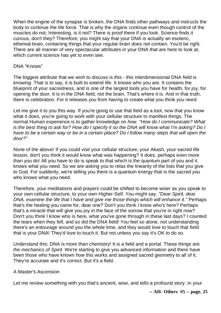When the engine of the synapse is broken, the DNA finds other pathways and instructs the body to continue the life force. That is why the organs continue even though control of the muscles do not. Interesting, is it not? There is proof there if you look. Science finds it curious, don't they? Therefore, you might say that your DNA is actually an esoteric, ethereal brain, containing things that your regular brain does not contain. You'd be right. There are all manner of very spectacular attributes in your DNA that are here to look at, which current science has yet to even see.

# DNA "Knows"

The biggest attribute that we wish to discuss is this - this interdimensional DNA field is *knowing*. That is to say, it is built to extend life. It knows who you are. It contains the blueprint of your sacredness, and is one of the largest tools you have for health, for joy, for opening the door. It is in the DNA field, not the brain. That's where it is. And in that truth, there is celebration. For it releases you from having to create what you think you need.

Let me give it to you this way. If you're going to use that field as a tool, now that you know what it does, you're going to work with your cellular structure to manifest things. The normal Human experience is to gather knowledge on *how*. *"How do I communicate? What is the best thing to ask for? How do I specify it so the DNA will know what I'm asking? Do I have to be a certain way or be in a certain place? Do I follow many steps that will open the door?"*

None of the above! If you could visit your cellular structure, your Akash, your sacred life lesson, don't you think it would know what was happening? It does, perhaps even more than you do! All you have to do is speak to that which is the quantum part of you and it knows what you need. So we are asking you to relax the linearity of the lists that you give to God. For suddenly, we're telling you there is a quantum energy that is the *sacred you* who knows what you need.

Therefore, your meditations and prayers could be shifted to become wiser as you speak to your own cellular structure, to your own Higher-Self. You might say, *"Dear Spirit, dear DNA, examine the life that I have and give me those things which will enhance it."* Perhaps that's the healing you came for, dear one? Don't you think I know who's here? Perhaps that's a miracle that will give you joy in the face of the sorrow that you're in right now? Don't you think I know who is here, what you've gone through in these last days? I counted the tears when they fell, and so did the DNA field! You feel so alone, not understanding there's an entourage around you the whole time, and they would love to touch that field that is your DNA! They'd love to touch it. But not unless you say it's OK to do so.

Understand this: DNA is more than chemistry! It is a field and a portal. These things are *the mechanics of Spirit*. We're starting to give you advanced information and there have been those who have known how this works and assigned sacred geometry to all of it. They're accurate and it's correct. But it's a field.

### A Master's Ascension

Let me review something with you that's ancient, wise, and tells a profound story. In your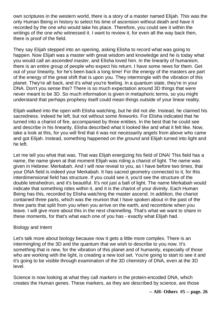own scriptures in the western world, there is a story of a master named Elijah. This was the only Human Being in history to select his time of ascension without death and have it recorded by the one who would take his place. Therefore, you could see it within the writings of the one who witnessed it. I want to review it, for even all the way back then, there is proof of the field.

They say Elijah stepped into an opening, asking Elisha to record what was going to happen. Now Elijah was a master with great wisdom and knowledge and he is today what you would call an *ascended master*, and Elisha loved him. In the linearity of humanism, there is an entire group of people who expect his return. I have some news for them. Get out of your linearity, for he's been back a long time! For the energy of the masters are part of the energy of the great shift that is upon you. They intermingle with the vibration of this planet. They're all back, and it's what you're feeling. In a quantum state, they're in your DNA. Don't you sense this? There is so much expectation around 3D things that were never meant to be 3D. So much information is given in metaphoric terms, so you might understand that perhaps prophesy itself could mean things outside of your linear reality.

Elijah walked into the open with Elisha watching, but he did not *die*. Instead, he claimed his sacredness. Indeed he left, but not without some *fireworks*. For Elisha indicated that he turned into a chariot of fire, accompanied by three entities. In the best that he could see and describe in his linearity, Elisha described what it looked like and what it felt like. Now, take a look at this, for you will find that it was not necessarily angels from above who came and got Elijah. Instead, something happened *on the ground* and Elijah turned into light and he left.

Let me tell you what that was. That was Elijah energizing his field of DNA! This field has a name, the name given at that moment Elijah was riding a chariot of light. The name was given in Hebrew: Merkabah. And I will now reveal to you, as I have before two times, that your DNA field is indeed your Merkabah. It has sacred geometry connected to it, for this interdimensional field has structure. If you could see it, you'd see the structure of the double tetrahedron, and it's beautiful. It's not just a ball of light. The name Merkabah would indicate that something rides within it, and it is the chariot of your divinity. Each Human Being has this, recorded by Elisha watching the master ascend. In addition, the chariot contained three parts, which was the reunion that I have spoken about in the past of the three parts that split from you when you arrive on the earth, and recombine when you leave. I will give more about this in the next channelling. That's what we want to share in these moments, for that's what each one of you has - exactly what Elijah had.

### Biology and Intent

Let's talk more about biology because now it gets a little more complex. There is an intermingling of the 3D and the quantum that we wish to describe to you now. It's something that is new, for the vibration of this planet and of humanity, especially of those who are working with the light, is creating a new tool set. You're going to start to see it and it's going to be visible through examination of the 3D chemistry of DNA, even at the 3D level.

Science is now looking at what they call *markers* in the protein-encoded DNA, which creates the Human genes. These markers, as they are described by science, are those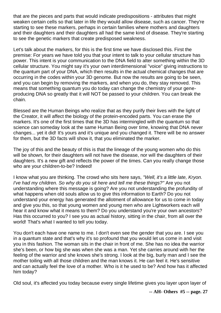that are the pieces and parts that would indicate predispositions - attributes that might weaken certain cells so that later in life they would allow disease, such as cancer. They're starting to see these markers, perhaps in certain families where mothers and daughters and their daughters and their daughters all had the same kind of disease. They're starting to see the genetic markers that create predisposed weakness.

Let's talk about the markers, for this is the first time we have disclosed this. First the premise: For years we have told you that your intent to talk to your cellular structure has power. This intent is your communication to the DNA field to alter something within the 3D cellular structure. You might say it's your own interdimensional "voice" giving instructions to the quantum part of your DNA, which then results in the actual chemical changes that are occurring in the codes within your 3D genome. But now the results are going to be seen, and you can begin by removing the markers, and when you do, they stay removed. This means that something quantum you do today can change the chemistry of your geneproducing DNA so greatly that it will NOT be passed to your children. You can break the chain.

Blessed are the Human Beings who realize that as they purify their lives with the light of the Creator, it will affect the biology of the protein-encoded parts. You can erase the markers. It's one of the first times that the 3D has intermingled with the quantum so that science can someday look at the same Human Being over time, knowing that DNA never changes... yet it did! It's yours and it's unique and you changed it. There will be no answer for them, but the 3D facts will show it, that you eliminated the marker.

The joy of this and the beauty of this is that the lineage of the young women who do this will be shown, for their daughters will not have the disease, nor will the daughters of their daughters. It's a new gift and reflects the power of the times. Can you really change those who are your children-to-be? Indeed!

I know what you are thinking. The crowd who sits here says, *"Well, it's a little late, Kryon. I've had my children. So why do you sit here and tell me these things?"* Are you not understanding where this message is going? Are you not understanding the profundity of what happens when old souls allow us to give this information to Earth? Do you not understand your energy has generated the allotment of allowance for us to come in today and give you this, so that young women and young men who are Lightworkers each will hear it and know what it means to them? Do you understand you're your own ancestors? Has this occurred to you? I see you as actual history, sitting in the chair, from all over the world! That's what I wanted to tell you today.

You don't each have one name to me. I don't even see the gender that you are. I see you in a quantum state and that's why it's so profound that you would let us come in and visit you in this fashion. The woman sits in the chair in front of me. She has no idea the warrior she's been, or how big she was when she was a man. Yet she carries around with her the feeling of the warrior and she knows she's strong. I look at the big, burly man and I see the mother toiling with all those children and the man knows it. He can feel it. He's sensitive and can actually feel the love of a mother. Who is it he used to be? And how has it affected him today?

Old soul, it's affected you today because every single lifetime gives you layer upon layer of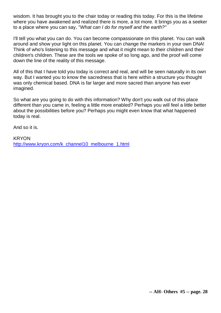wisdom. It has brought you to the chair today or reading this today. For this is the lifetime where you have awakened and realized there is more, a lot more. It brings you as a seeker to a place where you can say, "*What can I do for myself and the earth?"*

I'll tell you what you can do. You can become compassionate on this planet. You can walk around and show your light on this planet. You can change the markers in your own DNA! Think of who's listening to this message and what it might mean to their children and their children's children. These are the tools we spoke of so long ago, and the proof will come down the line of the reality of this message.

All of this that I have told you today is correct and real, and will be seen naturally in its own way. But I wanted you to know the sacredness that is here within a structure you thought was only chemical based. DNA is far larger and more sacred than anyone has ever imagined.

So what are you going to do with this information? Why don't you walk out of this place different than you came in, feeling a little more enabled? Perhaps you will feel a little better about the possibilities before you? Perhaps you might even know that what happened today is real.

And so it is.

**KRYON** [http://www.kryon.com/k\\_channel10\\_melbourne\\_1.html](http://www.kryon.com/k_channel10_melbourne_1.html)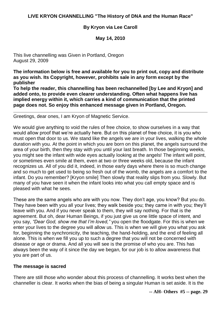**LIVE KRYON CHANNELLING "The History of DNA and the Human Race"**

# **By Kryon via Lee Caroll**

# **May 14, 2010**

This live channelling was Given in Portland, Oregon August 29, 2009

**The information below is free and available for you to print out, copy and distribute as you wish. Its Copyright, however, prohibits sale in any form except by the publisher**

**To help the reader, this channelling has been rechannelled [by Lee and Kryon] and added onto, to provide even clearer understanding. Often what happens live has implied energy within it, which carries a kind of communication that the printed page does not. So enjoy this enhanced message given in Portland, Oregon.**

Greetings, dear ones, I am Kryon of Magnetic Service.

We would give anything to void the rules of free choice, to show ourselves in a way that would allow proof that we're actually here. But on this planet of free choice, it is you who must open that door to us. We stand like the angels we are in your lives, walking the whole duration with you. At the point in which you are born on this planet, the angels surround the area of your birth, then they stay with you until your last breath. In those beginning weeks, you might see the infant with wide eyes actually looking at the angels! The infant will point, or sometimes even smile at them, even at two or three weeks old, because the infant recognizes us. All of you did it, indeed, in those early days where there is so much change and so much to get used to being so fresh out of the womb, the angels are a comfort to the infant. Do you remember? [Kryon smile] Then slowly that reality slips from you. Slowly. But many of you have seen it when the infant looks into what you call empty space and is pleased with what he sees.

These are the same angels who are with you now. They don't age, you know? But you do. They have been with you all your lives; they walk beside you; they came in with you; they'll leave with you. And if you never speak to them, they will say nothing. For that is the agreement. But oh, dear Human Beings, if you just give us one little space of intent, and you say, *"Dear God, show me that I'm loved,"* you open the floodgate. For this is when we enter your lives to the degree you will allow us. This is when we will give you what you ask for, beginning the synchronicity, the teaching, the hand-holding, and the end of feeling all alone. This is when we fill you up to such a degree that you will not be concerned with disease or age or drama. And all you will see is the promise of who you are. This has always been the way of it since the day we began, for our job is to allow awareness that you are part of us.

# **The message is sacred**

There are still those who wonder about this process of channelling. It works best when the channeller is clear. It works when the bias of being a singular Human is set aside. It is the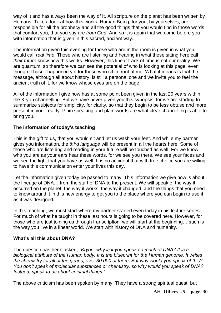way of it and has always been the way of it. All scripture on the planet has been written by Humans. Take a look at how this works, Human Being, for you, by yourselves, are responsible for all the prophecy and all the good things that you would find in those words that comfort you, that you say are *from God*. And so it is again that we come before you with information that is given in this sacred, ancient way.

The information given this evening for those who are in the room is given in what you would call *real time*. Those who are listening and hearing in what these sitting here call *their future* know how this works. However, this linear track of time is not our reality. We are quantum, so therefore we can see the potential of who is looking at this page, even though it hasn't happened yet for those who sit in front of me. What it means is that the message, although all about history, is still a personal one and we invite you to feel the ancient truth of it, for we know whose eyes are on the page.

All of the information I give now has at some point been given in the last 20 years within the Kryon channelling. But we have never given you this synopsis, for we are starting to summarize subjects for simplicity, for clarity, so that they begin to be less obtuse and more present in your reality. Plain speaking and plain words are what clear channelling is able to bring you.

# **The information of today's teaching**

This is the gift to us, that you would sit and let us wash your feet. And while my partner gives you information, the *third language* will be present in all the hearts here. Some of those who are listening and reading in your future will be touched as well. For we know who you are as your ears hear these words, for we see you there. We see your faces and we see the light that you have as well. It is no accident that with free choice you are willing to have this communication enter your lives this day.

Let the information given today be passed to many. This information we give now is about the lineage of DNA… from the start of DNA to the present. We will speak of the way it occurred on the planet, the way it works, the way it changed, and the things that you need to know around it in this new energy to get you to the place where you can begin to use it as it was designed.

In this teaching, we must start where my partner started even today in his lecture series. For much of what he taught in these last hours is going to be covered here. However, for those who are just joining us through transcription, we will start at the beginning… such is the way you live in a linear world. We start with history of DNA and humanity.

# **What's all this about DNA?**

The question has been asked, *"Kryon, why is it you speak so much of DNA? It is a biological attribute of the Human body. It is the blueprint for the Human genome. It writes the chemistry for all of the genes, over 30,000 of them. But why would you speak of this? You don't speak of molecular substances or chemistry, so why would you speak of DNA? Instead, speak to us about spiritual things."*

The above criticism has been spoken by many. They have a strong spiritual quest, but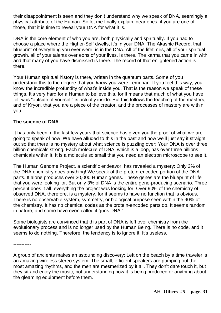their disappointment is seen and they don't understand why we speak of DNA, seemingly a physical attribute of the Human. So let me finally explain, dear ones, if you are one of those, that it is time to reveal your DNA for what it is.

DNA is the core element of who you are, both physically and spiritually. If you had to choose a place where the Higher-Self dwells, it's in your DNA. The Akashic Record, that blueprint of everything you ever were, is in the DNA. All of the lifetimes, all of your spiritual growth, all of your talents over eons of your lives, is there. The karma that you came in with and that many of you have dismissed is there. The record of that enlightened action is there.

Your Human spiritual history is there, written in the quantum parts. Some of you understand this to the degree that you *know* you were Lemurian. If you feel this way, you know the incredible profundity of what's inside you. That is the reason we speak of these things. It's very hard for a Human to believe this, for it means that much of what you have felt was "outside of yourself" is actually inside. But this follows the teaching of the masters, and of Kryon, that you are a piece of the creator, and the processes of mastery are within you.

# **The science of DNA**

It has only been in the last few years that science has given you the proof of what we are going to speak of now. We have alluded to this in the past and now we'll just say it straight out so that there is no mystery about what science is puzzling over: Your DNA is over three billion chemicals strong. Each molecule of DNA, which is a loop, has over three billions chemicals within it. It is a molecule so small that you need an electron microscope to see it.

The Human Genome Project, a scientific endeavor, has revealed a mystery: Only 3% of the DNA chemistry does anything! We speak of the protein-encoded portion of the DNA parts. It alone produces over 30,000 Human genes. These genes are the blueprint of life that you were looking for. But only 3% of DNA is the entire gene-producing scenario. Three percent does it all, everything the project was looking for. Over 90% of the chemistry of observed DNA, therefore, is a mystery, for it seems to have no function that is obvious. There is no observable system, symmetry, or biological purpose seen within the 90% of the chemistry. It has no chemical codes as the protein-encoded parts do. It seems random in nature, and some have even called it "junk DNA."

Some biologists are convinced that this part of DNA is left over chemistry from the evolutionary process and is no longer used by the Human Being. There is no code, and it seems to do nothing. Therefore, the tendency is to ignore it. It's useless.

-----------

A group of ancients makes an astounding discovery: Left on the beach by a time traveler is an amazing wireless stereo system. The small, efficient speakers are pumping out the most amazing rhythms, and the men are mesmerized by it all. They don't dare touch it, but they sit and enjoy the music, not understanding how it is being produced or anything about the gleaming equipment before them.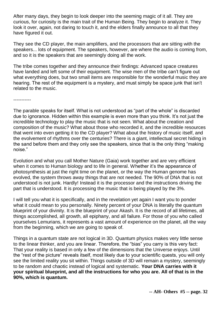After many days, they begin to look deeper into the seeming magic of it all. They are curious, for curiosity is the main trait of the Human Being. They begin to analyze it. They look it over, again, not daring to touch it, and the elders finally announce to all that they have figured it out.

They see the CD player, the main amplifiers, and the processors that are sitting with the speakers... lots of equipment. The speakers, however, are where the audio is coming from, and so it is the speakers that are seemingly doing all the work.

The tribe comes together and they announce their findings: Advanced space creatures have landed and left some of their equipment. The wise men of the tribe can't figure out what everything does, but two small items are responsible for the wonderful music they are hearing. The rest of the equipment is a mystery, and must simply be space junk that isn't related to the music.

-----------

The parable speaks for itself. What is not understood as "part of the whole" is discarded due to ignorance. Hidden within this example is even more than you think. It's not just the incredible technology to play the music that is not seen. What about the creation and composition of the music? What about those who recorded it, and the incredible resources that went into even getting it to the CD player? What about the history of music itself, and the evolvement of rhythms over the centuries? There is a giant, intellectual secret hiding in the sand before them and they only see the speakers, since that is the only thing "making noise."

Evolution and what you call Mother Nature (Gaia) work together and are very efficient when it comes to Human biology and to life in general. Whether it's the appearance of photosynthesis at just the right time on the planet, or the way the Human genome has evolved, the system throws away things that are not needed. The 90% of DNA that is not understood is not junk. Hardly! Instead it is the processor and the instructions driving the part that is understood. It is processing the music that is being played by the 3%.

I will tell you what it is specifically, and in the revelation yet again I want you to ponder what it could mean to you personally. Ninety percent of your DNA is literally the quantum blueprint of your divinity. It is the blueprint of your Akash. It is the record of all lifetimes, all things accomplished, all growth, all epiphany, and all failure. For those of you who called yourselves Lemurians, it represents a vast amount of experience on the planet, all the way from the beginning, which we are going to speak of.

Things in a quantum state are not logical in 3D. Quantum physics makes very little sense to the linear thinker, and you are linear. Therefore, the "bias" you carry is this very fact: That your reality is based in only a few of the dimensions that the Universe enjoys. Until the "rest of the picture" reveals itself, most likely due to your scientific quests, you will only see the limited reality you sit within. Things outside of 3D will remain a mystery, seemingly to be random and chaotic instead of logical and systematic. **Your DNA carries with it your spiritual blueprint, and all the instructions for who you are. All of that is in the 90%, which is quantum.**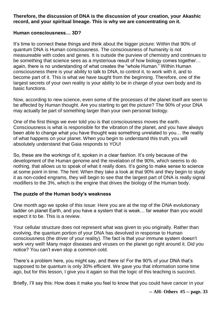# **Therefore, the discussion of DNA is the discussion of your creation, your Akashic record, and your spiritual lineage. This is why we are concentrating on it.**

# **Human consciousness… 3D?**

It's time to connect these things and think about the bigger picture: Within that 90% of quantum DNA is Human consciousness. The consciousness of humanity is not measureable with codes and genes. It is outside the purview of chemistry and continues to be something that science sees as a mysterious result of how biology comes together… again, there is no understanding of what creates the "whole Human." Within Human consciousness there is your ability to talk to DNA, to control it, to work with it, and to become part of it. This is what we have taught from the beginning. Therefore, one of the largest secrets of your own reality is your ability to be in charge of your own body and its basic functions.

Now, according to new science, even some of the processes of the planet itself are seen to be affected by Human thought. Are you starting to get the picture? The 90% of your DNA may actually be part of something larger than your own personal biology.

One of the first things we ever told you is that consciousness moves the earth. Consciousness is what is responsible for the vibration of the planet, and you have always been able to change what you have thought was something unrelated to you… the reality of what happens on your planet. When you begin to understand this truth, you will absolutely understand that Gaia responds to YOU!

So, these are the workings of it, spoken in a clear fashion. It's only because of the development of the Human genome and the revelation of the 90%, which seems to do nothing, that allows us to speak of what it really does. It's going to make sense to science at some point in time. The hint: When they take a look at that 90% and they begin to study it as non-coded engrams, they will begin to see that the largest part of DNA is really signal modifiers to the 3%, which is the engine that drives the biology of the Human body.

### **The puzzle of the Human body's weakness**

One month ago we spoke of this issue: Here you are at the top of the DNA evolutionary ladder on planet Earth, and you have a system that is weak… far weaker than you would expect it to be. This is a review.

Your cellular structure does not represent what was given to you originally. Rather than evolving, the quantum portion of your DNA has devolved in response to Human consciousness (the driver of your reality). The fact is that your immune system doesn't work very well! Many major diseases and viruses on the planet go right around it. Did you notice? You can't even stop a common cold.

There's a problem here, you might say, and there is! For the 90% of your DNA that's supposed to be quantum is only 30% efficient. We gave you that information some time ago, but for this lesson, I give you it again so that the logic of this teaching is succinct.

Briefly, I'll say this: How does it make you feel to know that you could have cancer in your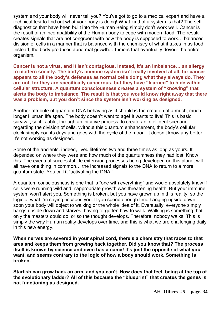system and your body will never tell you? You've got to go to a medical expert and have a technical test to find out what your body is doing! What kind of a system is that? The selfdiagnostics that have been built into the Human Being simply don't work well. Cancer is the result of an incompatibility of the Human body to cope with modern food. The result creates signals that are not congruent with how the body is supposed to work… balanced division of cells in a manner that is balanced with the chemistry of what it takes in as food. Instead, the body produces abnormal growth… tumors that eventually devour the entire organism.

**Cancer is not a virus, and it isn't contagious. Instead, it's an imbalance… an allergy to modern society. The body's immune system isn't really involved at all, for cancer appears to all the body's defenses as normal cells doing what they always do. They are not, for they are specifically cancerous, but they have "learned" to hide within cellular structure. A quantum consciousness creates a system of "knowing" that alerts the body to imbalance. The result is that you would know right away that there was a problem, but you don't since the system isn't working as designed.**

Another attribute of quantum DNA behaving as it should is the creation of a much, much longer Human life span. The body doesn't want to age! It wants to live! This is basic survival, so it is able, through an intuitive process, to create an intelligent scenario regarding the division of cells. Without this quantum enhancement, the body's cellular clock simply counts days and goes with the cycle of the moon. It doesn't know any better. It's not working as designed.

Some of the ancients, indeed, lived lifetimes two and three times as long as yours. It depended on where they were and how much of the quantumness they had lost. Know this: The eventual successful life extension processes being developed on this planet will all have one thing in common… the increased signals to the DNA to return to a more quantum state. You call it "activating the DNA."

A quantum consciousness is one that is "one with everything" and would absolutely know if cells were running wild and inappropriate growth was threatening health. But your immune system won't alert you. Something is broken, but you have grown up in this reality, so the logic of what I'm saying escapes you. If you spend enough time hanging upside down, soon your body will object to walking or the whole idea of it. Eventually, everyone simply hangs upside down and starves, having forgotten how to walk. Walking is something that only the masters could do, or so the thought develops. Therefore, nobody walks. This is simply the way Human reality develops over time, and this is what we are challenging daily in this new energy.

**When nerves are severed in your spinal cord, there's a chemistry that races to that area and keeps them from growing back together. Did you know that? The process itself is known by science and even has a name! It's just the opposite of what you want, and seems contrary to the logic of how a body should work. Something is broken.**

**Starfish can grow back an arm, and you can't. How does that feel, being at the top of the evolutionary ladder? All of this because the "blueprint" that creates the genes is not functioning as designed.**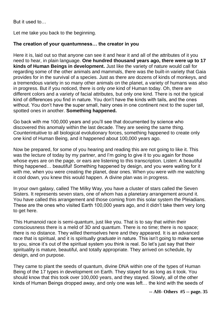But it used to…

Let me take you back to the beginning.

# **The creation of your quantumness… the creator in you**

Here it is, laid out so that anyone can see it and hear it and all of the attributes of it you need to hear, in plain language. **One hundred thousand years ago, there were up to 17 kinds of Human Beings in development.** Just like the variety of nature would call for regarding some of the other animals and mammals, there was the built-in variety that Gaia provides for in the survival of a species. Just as there are dozens of kinds of monkeys, and a tremendous variety in so many other animals on the planet, a variety of humans was also in progress. But if you noticed, there is only *one* kind of Human today. Oh, there are different colors and a variety of facial attributes, but only one kind. There is not the typical kind of differences you find in nature. You don't have the kinds with tails, and the ones without. You don't have the super small, hairy ones in one continent next to the super tall, spotted ones in another. **Something happened.**

Go back with me 100,000 years and you'll see that documented by science who discovered this anomaly within the last decade. They are seeing the same thing. Counterintuitive to all biological evolutionary forces, something happened to create only one kind of Human Being, and it happened about 100,000 years ago.

Now be prepared, for some of you hearing and reading this are not going to like it. This was the lecture of today by my partner, and I'm going to give it to you again for those whose eyes are on the page, or ears are listening to this transcription. Listen: A beautiful thing happened… beautiful! Something happened by design, and you were waiting for it with me, when you were creating the planet, dear ones. When you were with me watching it cool down, you knew this would happen. A divine plan was in progress.

In your own galaxy, called The Milky Way, you have a cluster of stars called the Seven Sisters. It represents seven stars, one of whom has a planetary arrangement around it. You have called this arrangement and those coming from this solar system the Pleiadians. These are the ones who visited Earth 100,000 years ago, and it didn't take them very long to get here.

This Humanoid race is semi-quantum, just like you. That is to say that within their consciousness there is a meld of 3D and quantum. There is no time; there is no space; there is no distance. They willed themselves here and they appeared. It is an advanced race that is spiritual, and it is spiritually *graduate* in nature. This isn't going to make sense to you, since it's out of the spiritual system you think is real. So let's just say that their spirituality is mature, beautiful, and totally appropriate. They arrived on schedule, by design, and on purpose.

They came to plant the seeds of quantum, divine DNA within one of the types of Human Being of the 17 types in development on Earth. They stayed for as long as it took. You should know that this took over 100,000 years, and they stayed. Slowly, all of the other kinds of Human Beings dropped away, and only one was left… the kind with the seeds of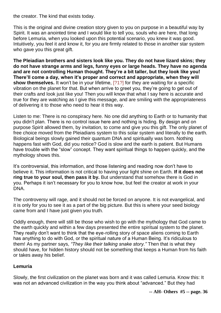the creator. The kind that exists today.

This is the original and divine creation story given to you on purpose in a beautiful way by Spirit. It was an anointed time and I would like to tell you, souls who are here, that long before Lemuria, when you looked upon this potential scenario, you knew it was good. Intuitively, you feel it and know it, for you are firmly related to those in another star system who gave you this great gift.

**The Pleiadian brothers and sisters look like you. They do not have lizard skins; they do not have strange arms and legs, funny eyes or large heads. They have no agenda and are not controlling Human thought. They're a bit taller, but they look like you! There'll come a day, when it's proper and correct and appropriate, when they will show themselves.** It won't be in your lifetime, [?1?] for they are waiting for a specific vibration on the planet for that. But when arrive to greet you, they're going to get out of their crafts and look just like you! Then you will know that what I say here is accurate and true for they are watching as I give this message, and are smiling with the appropriateness of delivering it to those who need to hear it this way.

Listen to me: There is no conspiracy here. No one did anything to Earth or to humanity that you didn't plan. There is no control issue here and nothing is hiding. By design and on purpose Spirit allowed them, by invitation, to come and give you this gift. The only planet of free choice moved from the Pleiadians system to this solar system and literally to the earth. Biological beings slowly gained their quantum DNA and spiritually was born. Nothing happens fast with God, did you notice? God is slow and the earth is patient. But Humans have trouble with the "slow" concept. They want spiritual things to happen quickly, and the mythology shows this.

It's controversial, this information, and those listening and reading now don't have to believe it. This information is not critical to having your light shine on Earth. **If it does not ring true to your soul, then pass it by.** But understand that somehow there is God in you. Perhaps it isn't necessary for you to know how, but feel the creator at work in your DNA.

The controversy will rage, and it should not be forced on anyone. It is not evangelical, and it is only for you to see it as a part of the big picture. But this is where your seed biology came from and I have just given you truth.

Oddly enough, there will still be those who wish to go with the mythology that God came to the earth quickly and within a few days presented the entire spiritual system to the planet. They really don't want to think that the eye-rolling story of space aliens coming to Earth has anything to do with God, or the spiritual nature of a Human Being. It's ridiculous to them! As my partner says, *"They like their talking snake story."* Then that is what they should have, for hidden history should not be something that keeps a Human from his faith or takes away his belief.

## **Lemuria**

Slowly, the first civilization on the planet was born and it was called Lemuria. Know this: It was not an advanced civilization in the way you think about "advanced." But they had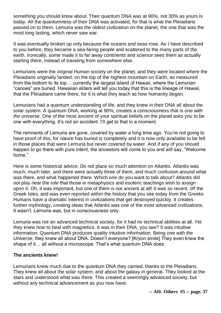something you should know about. Their quantum DNA was at 90%, not 30% as yours is today. All the quantumness of their DNA was activated, for that is what the Pleiadians passed on to them. Lemuria was the oldest civilization on the planet, the one that was the most long lasting, which never saw war.

It was eventually broken up only because the oceans and seas rose. As I have described to you before, they became a sea-faring people and scattered to the many parts of the earth. Ironically, some made it to far away continents and science sees them as actually starting there, instead of traveling from somewhere else.

Lemurians were the original Human society on the planet, and they were located where the Pleiadians originally landed, on the top of the highest mountain on Earth, as measured from the bottom to its top… currently the largest island of Hawaii, where the Lemurian "canoes" are buried. Hawaiian elders will tell you today that this is the lineage of Hawaii, that the Pleiadians came there, for it is what they teach as how humanity began.

Lemurians had a quantum understanding of life, and they knew in their DNA all about the solar system. A quantum DNA, working at 90%, creates a consciousness that is *one with the universe*. One of the most ancient of your spiritual beliefs on the planet asks you to be one with everything. It's not an accident. I'll get to that in a moment.

The remnants of Lemuria are gone, covered by water a long time ago. You're not going to have proof of this, for nature has buried is completely and it is now only available to be felt in those places that were Lemuria but never covered by water. And if any of you should happen to go there with pure intent, the ancestors will come to you and will say, "Welcome home."

Here is some historical advice: Do not place so much attention on Atlantis. Atlantis was much, much later, and there were actually three of them, and much confusion around what was there, and what happened there. Which one do you want to talk about? Atlantis did not play near the role that those in metaphysics and esoteric teachings wish to assign upon it. Oh, it was important, but one of them is not ancient at all! It was so recent, off the Greek Isles, and was even reported within the history that you see today from the Greeks. Humans have a dramatic interest in civilizations that get destroyed quickly. It creates further mythology, creating ideas that Atlantis was one of the most advanced civilizations. It wasn't. Lemuria was, but in consciousness only.

Lemuria was not an advanced technical society, for it had no technical abilities at all. Yet they knew how to heal with magnetics. It was in their DNA, you see? It was intuitive information. Quantum DNA produces quality intuitive information. Being *one with the Universe*, they knew all about DNA. Doesn't everyone? [Kryon smile] They even knew the shape of it… all without a microscope. That's what quantum DNA does.

## **The ancients knew!**

Lemurians knew much due to the quantum DNA they carried, thanks to the Pleiadians. They knew all about the solar system, and about the galaxy in general. They looked at the stars and understood what was there. This created a seemingly advanced society, but without any technical advancement as you now have.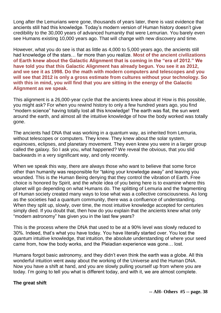Long after the Lemurians were gone, thousands of years later, there is vast evidence that ancients still had this knowledge. Today's modern version of Human history doesn't give credibility to the 30,000 years of advanced humanity that were Lemurian. You barely even see Humans existing 10,000 years ago. That will change with new discovery and time.

However, what you do see is that as little as 4,000 to 5,000 years ago, the ancients still had knowledge of the stars… far more than you realize. **Most of the ancient civilizations of Earth knew about the Galactic Alignment that is coming in the "era of 2012." We have told you that this Galactic Alignment has already begun. You see it as 2012, and we see it as 1998. Do the math with modern computers and telescopes and you will see that 2012 is only a gross estimate from cultures without your technology. So with this in mind, you will find that you are sitting in the energy of the Galactic Alignment as we speak.**

This alignment is a 26,000-year cycle that the ancients knew about it! How is this possible, you might ask? For when you rewind history to only a few hundred years ago, you find "modern science" having totally lost all this knowledge! The earth was flat, the sun went around the earth, and almost all the intuitive knowledge of how the body worked was totally gone.

The ancients had DNA that was working in a quantum way, as inherited from Lemuria, without telescopes or computers. They knew. They knew about the solar system, equinoxes, eclipses, and planetary movement. They even knew you were in a larger group called the galaxy. So I ask you, what happened? We reveal the obvious, that you slid backwards in a very significant way, and only recently.

When we speak this way, there are always those who want to believe that some force other than humanity was responsible for "taking your knowledge away" and leaving you wounded. This is the Human Being denying that they control the vibration of Earth. Free choice is honored by Spirit, and the whole idea of you being here is to examine where this planet will go depending on what Humans do. The splitting of Lemuria and the fragmenting of Human society created many ways to lose what was a collective consciousness. As long as the societies had a quantum community, there was a confluence of understanding. When they split up, slowly, over time, the most intuitive knowledge accepted for centuries simply died. If you doubt that, then how do you explain that the ancients knew what only "modern astronomy" has given you in the last few years?

This is the process where the DNA that used to be at a 90% level was slowly reduced to 30%. Indeed, that's what you have today. You have literally started over. You lost the quantum intuitive knowledge, that intuition, the absolute understanding of where your seed came from, how the body works, and the Pleiadian experience was gone… lost.

Humans forgot basic astronomy, and they didn't even think the earth was a globe. All this wonderful intuition went away about the working of the Universe and the Human DNA. Now you have a shift at hand, and you are slowly pulling yourself up from where you are today. I'm going to tell you what is different today, and with it, we are almost complete.

#### **The great shift**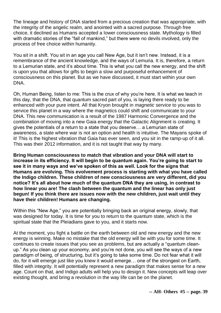The lineage and history of DNA started from a precious creation that was appropriate, with the integrity of the angelic realm, and anointed with a sacred purpose. Through free choice, it declined as Humans accepted a lower consciousness state. Mythology is filled with dramatic stories of the "fall of mankind," but there were no devils involved, only the process of free choice within humanity.

You sit in a shift. You sit in an age you call New Age, but it isn't new. Instead, it is a remembrance of the ancient knowledge, and the ways of Lemuria. It is, therefore, a return to a Lemurian state, and it's about time. This is what you call the new energy, and the shift is upon you that allows for gifts to begin a slow and purposeful enhancement of consciousness on this planet. But as we have discussed, it must start within your own DNA.

Oh, Human Being, listen to me: This is the crux of why you're here. It is what we teach in this day, that the DNA, that quantum sacred part of you, is laying there ready to be enhanced with your pure intent. All that Kryon brought in *magnetic service* to you was to service this planet in a way where the magnetics could shift and communicate to your DNA. This new communication is a result of the 1987 Harmonic Convergence and the combination of moving into a new Gaia energy that the Galactic Alignment is creating. It gives the potentials of a return to a state that you deserve… a Lemurian state of awareness, a state where war is not an option and health is intuitive. The Mayans spoke of it! This is the highest vibration that Gaia has ever seen, and you sit in the ramp-up of it all. This was their 2012 information, and it is not taught that way by many.

**Bring Human consciousness to match that vibration and your DNA will start to increase in its efficiency. It will begin to be quantum again. You're going to start to see it in many ways and we've spoken of this as well. Look for the signs that Humans are evolving. This evolvement process is starting with what you have called the Indigo children. These children of new consciousness are very different, did you notice? It's all about how much of the quantum DNA they are using, in contrast to how linear you are! The clash between the quantum and the linear has only just begun! If you think there are issues now with the new children, just wait until they have their children! Humans are changing.**

Within this "New Age," you are potentially bringing back an original energy, slowly, that was designed for today. It is time for you to return to the quantum state, which is the spiritual state that the Pleiadians gave to you, and it starts now.

At the moment, you fight a battle on the earth between old and new energy and the new energy is winning. Make no mistake that the old energy will be with you for some time. It continues to create issues that you see as problems, but are actually a "quantum cleanup." As you clean up your economy, and you're not done, you will see the ways of a new paradigm of being, of structuring, but it's going to take some time. Do not fear what it will do, for it will emerge just like you knew it would emerge… one of the strongest on Earth, filled with integrity. It will potentially represent a new paradigm that makes sense for a new age. Count on that, and Indigo adults will help you to design it. New concepts will leap over existing thought, and bring a revolution in the way life can be on the planet.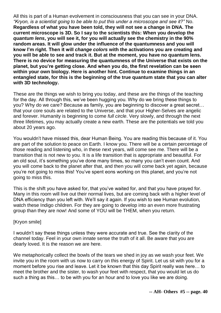All this is part of a Human evolvement in consciousness that you can see in your DNA. *"Kryon, is a scientist going to be able to put this under a microscope and see it?"* No. **Regardless of what you have been told, they will not see a change in DNA. The current microscope is 3D. So I say to the scientists this: When you develop the**  *quantum lens***, you will see it, for you will actually see the chemistry in the 90% random areas. It will glow under the influence of the quantumness and you will know I'm right. Then it will** *change colors* **with the activations you are creating and you will be able to see and track it. But at the moment, you have no quantum lens. There is no device for measuring the quantumness of the Universe that exists on the planet, but you're getting close. And when you do, the first revelation can be seen within your own biology. Here is another hint. Continue to examine things in an entangled state, for this is the beginning of the true quantum state that you can alter with 3D technology.**

These are the things we wish to bring you today, and these are the things of the teaching for the day. All through this, we've been hugging you. Why do we bring these things to you? Why do we care? Because as family, you are beginning to discover a great secret… that your core souls are related to the Universe, and that your Higher-Selves are angelic and forever. Humanity is beginning to come *full circle*. Very slowly, and through the next three lifetimes, you may actually create a new earth. These are the potentials we told you about 20 years ago.

You wouldn't have missed this, dear Human Being. You are reading this because of it. You are part of the solution to peace on Earth. I know you. There will be a certain percentage of those reading and listening who, in these next years, will come see me. There will be a transition that is not new to you. It is a life transition that is appropriate and beautiful. For an old soul, it's something you've done many times, so many you can't even count. And you will come back to the planet after that, and then you will come back yet again, because you're not going to miss this! You've spent eons working on this planet, and you're not going to miss this.

This is the shift you have asked for, that you've waited for, and that you have prayed for. Many in this room will live out their normal lives, but are coming back with a higher level of DNA efficiency than you left with. We'll say it again. If you wish to see Human evolution, watch these Indigo children. For they are going to develop into an even more frustrating group than they are now! And some of YOU will be THEM, when you return.

## [Kryon smile]

I wouldn't say these things unless they were accurate and true. See the clarity of the channel today. Feel in your own innate sense the truth of it all. Be aware that you are dearly loved. It is the reason we are here.

We metaphorically collect the bowls of the tears we shed in joy as we wash your feet. We invite you in the room with us now to carry on this energy of Spirit. Let us sit with you for a moment before you rise and leave. Let it be known that this day Spirit really was here… to meet the brother and the sister, to wash your feet with respect, that you would let us do such a thing as this… to be with you for an hour and to love you like we are doing.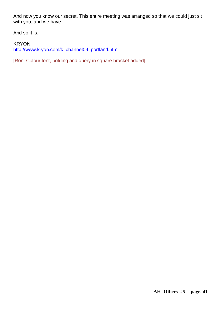And now you know our secret. This entire meeting was arranged so that we could just sit with you, and we have.

And so it is.

# **KRYON**

[http://www.kryon.com/k\\_channel09\\_portland.html](http://www.kryon.com/k_channel09_portland.html)

[Ron: Colour font, bolding and query in square bracket added]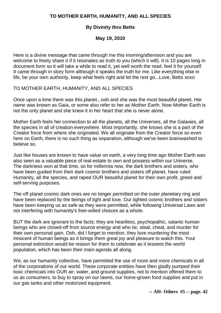## **TO MOTHER EARTH, HUMANITY, AND ALL SPECIES**

#### **By Divinity thru Betts**

#### **May 19, 2010**

Here is a divine message that came through me this morning/afternoon and you are welcome to freely share it if it resonates as truth to you (which it will). It is 10 pages long in document form so it will take a while to read it, yet well worth the read, feel it for yourself. It came through in story form although it speaks the truth for me. Like everything else in life, be your own authority, keep what feels right and let the rest go...Love, Betts xoxo

#### TO MOTHER EARTH, HUMANITY, AND ALL SPECIES

Once upon a time there was this planet...ooh and she was the most beautiful planet. Her name was known as Gaia, or some also refer to her as Mother Earth. Now Mother Earth is not the only planet and she knew it in her heart that she is never alone.

Mother Earth feels her connection to all the planets, all the Universes, all the Galaxies, all the species in all of creation everywhere. Most importantly, she knows she is a part of the Creator force from where she originated. We all originate from the Creator force so even here on Earth, there is no such thing as separation, although we've been brainwashed to believe so.

Just like houses are known to have value on earth, a very long time ago Mother Earth was also seen as a valuable piece of real-estate to own and possess within our Universe. The darkness won at that time, so for millennia now, the dark brothers and sisters, who have been guided from their dark cosmic brothers and sisters off planet, have ruled Humanity, all the species, and raped OUR beautiful planet for their own profit, greed and self-serving purposes.

The off planet cosmic dark ones are no longer permitted on the outer planetary ring and have been replaced by the beings of light and love. Our lighted cosmic brothers and sisters have been keeping us as safe as they were permitted, while following Universal Laws and not interfering with humanity's free-willed choices as a whole.

BUT the dark are ignorant to the facts; they are heartless, psychopathic, satanic human beings who are closed-off from source energy and who lie, steal, cheat, and murder for their own personal gain. Ooh, did I forget to mention, they love murdering the most innocent of human beings as it brings them great joy and pleasure to watch this. Your personal extinction would be reason for them to celebrate as it lessens the world population, which has been their main agenda all along.

We, as our humanity collective, have permitted the use of more and more chemicals in all of the corporations of our world. These corporate entities have then gladly pumped their toxic chemicals into OUR air, water, and ground supplies, not to mention offered them to us as consumers, to buy to spray on our lawns, our home-grown food supplies and put in our gas tanks and other motorized equipment.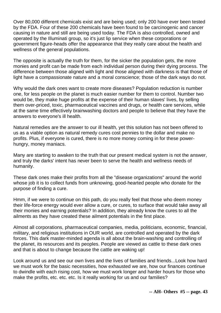Over 80,000 different chemicals exist and are being used; only 200 have ever been tested by the FDA. Four of these 200 chemicals have been found to be carcinogenic and cancer causing in nature and still are being used today. The FDA is also controlled, owned and operated by the Illuminati group, so it's just lip service when these corporations or government figure-heads offer the appearance that they really care about the health and wellness of the general populations.

The opposite is actually the truth for them, for the sicker the population gets, the more monies and profit can be made from each individual person during their dying process. The difference between those aligned with light and those aligned with darkness is that those of light have a compassionate nature and a moral conscience; those of the dark ways do not.

Why would the dark ones want to create more diseases? Population reduction is number one, for less people on the planet is much easier number for them to control. Number two would be, they make huge profits at the expense of their human slaves' lives, by selling them over-priced, toxic, pharmaceutical vaccines and drugs, or health care services, while at the same time effectively brainwashing doctors and people to believe that they have the answers to everyone's ill health.

Natural remedies are the answer to our ill health, yet this solution has not been offered to us as a viable option as natural remedy cures cost pennies to the dollar and make no profits. Plus, if everyone is cured, there is no more money coming in for these powerhungry, money maniacs.

Many are starting to awaken to the truth that our present medical system is not the answer, and truly the darks' intent has never been to serve the health and wellness needs of humanity.

These dark ones make their profits from all the "disease organizations" around the world whose job it is to collect funds from unknowing, good-hearted people who donate for the purpose of finding a cure.

Hmm, if we were to continue on this path, do you really feel that those who deem money their life-force energy would ever allow a cure, or cures, to surface that would take away all their monies and earning potentials? In addition, they already know the cures to all the ailments as they have created these ailment potentials in the first place.

Almost all corporations, pharmaceutical companies, media, politicians, economic, financial, military, and religious institutions in OUR world, are controlled and operated by the dark forces. This dark master-minded agenda is all about the brain-washing and controlling of the planet, its resources and its peoples. People are viewed as cattle to these dark ones and that is about to change because the cattle are waking up!

Look around us and see our own lives and the lives of families and friends...Look how hard we must work for the basic necessities, how exhausted we are, how our finances continue to dwindle with each rising cost, how we must work longer and harder hours for those who make the profits, etc. etc. etc. Is it really working for us and our families?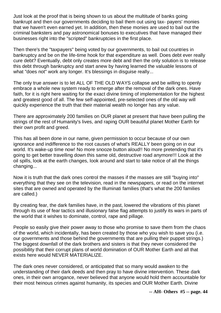Just look at the proof that is being shown to us about the multitude of banks going bankrupt and then our governments deciding to bail them out using tax- payers' monies that we haven't even earned yet. In addition, then these monies are used to bail out the criminal banksters and pay astronomical bonuses to executives that have managed their businesses right into the "scripted" bankruptcies in the first place.

Then there's the "taxpayers" being voted by our governments, to bail out countries in bankruptcy and be on the life-time hook for that expenditure as well. Does debt ever really cure debt? Eventually, debt only creates more debt and then the only solution is to release this debt through bankruptcy and start anew by having learned the valuable lessons of what "does not" work any longer. It's blessings in disguise really...

The only true answer is to let ALL OF THE OLD WAYS collapse and be willing to openly embrace a whole new system ready to emerge after the removal of the dark ones. Have faith, for it is right here waiting for the exact divine timing of implementation for the highest and greatest good of all. The few self-appointed, pre-selected ones of the old way will quickly experience the truth that their material wealth no longer has any value.

There are approximately 200 families on OUR planet at present that have been pulling the strings of the rest of Humanity's lives, and raping OUR beautiful planet Mother Earth for their own profit and greed.

This has all been done in our name, given permission to occur because of our own ignorance and indifference to the root causes of what's REALLY been going on in our world. It's wake-up time now! No more snooze button aloud!! No more pretending that it's going to get better travelling down this same old, destructive road anymore!!! Look at the oil spills, look at the earth changes, look around and start to take notice of all the things changing...

Now it is truth that the dark ones control the masses if the masses are still "buying into" everything that they see on the television, read in the newspapers, or read on the internet sites that are owned and operated by the Illuminati families (that's what the 200 families are called.)

By creating fear, the dark families have, in the past, lowered the vibrations of this planet through its use of fear tactics and illusionary false flag attempts to justify its wars in parts of the world that it wishes to dominate, control, rape and pillage.

People so easily give their power away to those who promise to save them from the chaos of the world, which incidentally, has been created by those who you wish to save you (i.e. our governments and those behind the governments that are pulling their puppet strings.) The biggest downfall of the dark brothers and sisters is that they never considered the possibility that their corrupt plans of world domination of OUR Mother Earth and all that exists here would NEVER MATERIALIZE.

The dark ones never considered, or anticipated that so many would awaken to the understanding of their dark deeds and then pray to have divine intervention. These dark ones, in their own arrogance, never believed that anyone would hold them accountable for their most heinous crimes against humanity, its species and OUR Mother Earth. Divine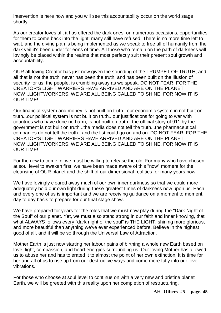intervention is here now and you will see this accountability occur on the world stage shortly.

As our creator loves all, it has offered the dark ones, on numerous occasions, opportunities for them to come back into the light; many still have refused. There is no more time left to wait, and the divine plan is being implemented as we speak to free all of humanity from the dark veil it's been under for eons of time. All those who remain on the path of darkness will lovingly be placed within the realms that most perfectly suit their present soul growth and accountability.

OUR all-loving Creator has just now given the sounding of the TRUMPET OF TRUTH, and all that is not the truth, never has been the truth, and has been built on the illusion of security for us, the people, is crumbling away as we speak. DO NOT FEAR, FOR THE CREATOR'S LIGHT WARRIERS HAVE ARRIVED AND ARE ON THE PLANET NOW...LIGHTWORKERS, WE ARE ALL BEING CALLED TO SHINE, FOR NOW IT IS OUR TIME!

Our financial system and money is not built on truth...our economic system in not built on truth...our political system is not built on truth...our justifications for going to war with countries who have done no harm, is not built on truth...the official story of 911 by the government is not built on truth...the media does not tell the truth...the pharmaceutical companies do not tell the truth...and the list could go on and on. DO NOT FEAR, FOR THE CREATOR'S LIGHT WARRIERS HAVE ARRIVED AND ARE ON THE PLANET NOW...LIGHTWORKERS, WE ARE ALL BEING CALLED TO SHINE, FOR NOW IT IS OUR TIME!

For the new to come in, we must be willing to release the old. For many who have chosen at soul level to awaken first, we have been made aware of this "now" moment for the cleansing of OUR planet and the shift of our dimensional realities for many years now.

We have lovingly cleared away much of our own inner darkness so that we could more adequately hold our own light during these greatest times of darkness now upon us. Each and every one of us is important and we are receiving guidance on a moment to moment, day to day basis to prepare for our final stage show.

We have prepared for years for the roles that we must now play during the "Dark Night of the Soul" of our planet. Yet, we must also stand strong in our faith and inner knowing, that what ALWAYS follows every "dark night of the soul" is THE LIGHT, shining more glorious, and more beautiful than anything we've ever experienced before. Believe in the highest good of all, and it will be so through the Universal Law of Attraction.

Mother Earth is just now starting her labour pains of birthing a whole new Earth based on love, light, compassion, and heart energies surrounding us. Our loving Mother has allowed us to abuse her and has tolerated it to almost the point of her own extinction. It is time for her and all of us to rise up from our destructive ways and come more fully into our love vibrations.

For those who choose at soul level to continue on with a very new and pristine planet Earth, we will be greeted with this reality upon her completion of restructuring.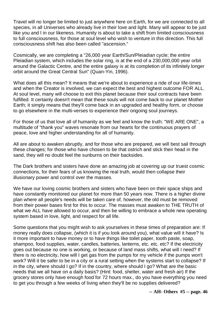Travel will no longer be limited to just anywhere here on Earth, for we are connected to all species, in all Universes who already live in their love and light. Many will appear to be just like you and l in our likeness. Humanity is about to take a shift from limited consciousness to full consciousness, for those at soul level who wish to venture in this direction. This full consciousness shift has also been called "ascension."

Cosmically, we are completing a "26,000 year Earth/Sun/Pleiadian cycle; the entire Pleiadian system, which includes the solar ring, is at the end of a 230,000,000 year orbit around the Galactic Centre, and the entire galaxy is at its completion of its infinitely longer orbit around the Great Central Sun" (Quan-Yin, 1996).

What does all this mean? It means that we're about to experience a ride of our life-times and when the Creator is involved, we can expect the best and highest outcome FOR ALL. At soul level, many will choose to exit this planet because their soul contracts have been fulfilled. It certainly doesn't mean that these souls will not come back to our planet Mother Earth; it simply means that they'll come back in an upgraded and healthy form, or choose to go elsewhere in the multi-verses to experience their ongoing soul journeys.

For those of us that love all of humanity as we feel and know the truth: "WE ARE ONE", a multitude of "thank you" waves resonate from our hearts for the continuous prayers of peace, love and higher understanding for all of humanity.

All are about to awaken abruptly, and for those who are prepared, we will best sail through these changes; for those who have chosen to be that ostrich and stick their head in the sand, they will no doubt feel the sunburns on their backsides.

The Dark brothers and sisters have done an amazing job at covering up our truest cosmic connections, for their fears of us knowing the real truth, would then collapse their illusionary power and control over the masses.

We have our loving cosmic brothers and sisters who have been on their space ships and have constantly monitored our planet for more than 50 years now. There is a higher divine plan where all people's needs will be taken care of, however, the old must be removed from their power bases first for this to occur. The masses must awaken to THE TRUTH of what we ALL have allowed to occur, and then be willing to embrace a whole new operating system based in love, light, and respect for all life.

Some questions that you might wish to ask yourselves in these times of preparation are: If money really does collapse, (which it is if you look around you), what value will it have? Is it more important to have money or to have things like toilet paper, tooth paste, soap, shampoo, food supplies, water, candles, batteries, lanterns, etc. etc. etc? If the electricity goes out because no one is working, or because of land mass shifts, what will I need? If there is no electricity, how will I get gas from the pumps for my vehicle if the pumps won't work? Will it be safer to be in a city or a rural setting when the systems start to collapse? If in the city, where should I go? If in the country, where should I go? What are the basic needs that we all have on a daily basis? (Hint: food, shelter, water and fresh air) If the grocery stores only have enough food for 72 hours max., do you have everything you need to get you through a few weeks of living when they'll be no supplies delivered?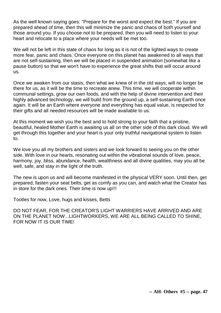As the well known saying goes: "Prepare for the worst and expect the best." If you are prepared ahead of time, then this will minimize the panic and chaos of both yourself and those around you. If you choose not to be prepared, then you will need to listen to your heart and relocate to a place where your needs will be met too.

We will not be left in this state of chaos for long as it is not of the lighted ways to create more fear, panic and chaos. Once everyone on this planet has awakened to all ways that are not self-sustaining, then we will be placed in suspended animation (somewhat like a pause button) so that we won't have to experience the great shifts that will occur around us.

Once we awaken from our stasis, then what we knew of in the old ways, will no longer be there for us, as it will be the time to recreate anew. This time, we will cooperate within communal settings, grow our own foods, and with the help of divine intervention and their highly advanced technology, we will build from the ground up, a self-sustaining Earth once again. It will be an Earth where everyone and everything has equal value, is respected for their gifts and all needed resources will be made available to us.

At this moment we wish you the best and to hold strong to your faith that a pristine, beautiful, healed Mother Earth is awaiting us all on the other side of this dark cloud. We will get through this together and your heart is your only truthful navigational system to listen to.

We love you all my brothers and sisters and we look forward to seeing you on the other side. With love in our hearts, resonating out within the vibrational sounds of love, peace, harmony, joy, bliss, abundance, health, wealthness and all divine qualities, may you all be well, safe, and stay in the light of the truth.

The new is upon us and will become manifested in the physical VERY soon. Until then, get prepared, fasten your seat belts, get as comfy as you can, and watch what the Creator has in store for the dark ones. Their time is now up!!!

Tootles for now, Love, hugs and kisses, Betts

DO NOT FEAR, FOR THE CREATOR'S LIGHT WARRIERS HAVE ARRIVED AND ARE ON THE PLANET NOW...LIGHTWORKERS, WE ARE ALL BEING CALLED TO SHINE, FOR NOW IT IS OUR TIME!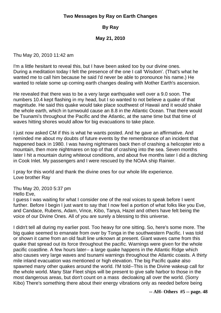## **Two Messages by Ray on Earth Changes**

#### **By Ray**

### **May 21, 2010**

Thu May 20, 2010 11:42 am

I'm a little hesitant to reveal this, but I have been asked too by our divine ones. During a meditation today I felt the presence of the one I call 'Wisdom'. (That's what he wanted me to call him because he said I'd never be able to pronounce his name.) He wanted to relate some up coming earth changes dealing with Mother Earth's ascension.

He revealed that there was to be a very large earthquake well over a 9.0 soon. The numbers 10.4 kept flashing in my head, but I so wanted to not believe a quake of that magnitude. He said this quake would take place southwest of Hawaii and it would shake the whole earth, which in turnwould cause an 8.8 in the Atlantic Ocean. That there would be Tsunami's throughout the Pacific and the Atlantic, at the same time but that time of waves hitting shores would allow for big evacuations to take place.

I just now asked CM if this is what he wants posted. And he gave an affirmative. And reminded me about my doubts of future events by the remembrance of an incident that happened back in 1980. I was having nightmares back then of crashing a helicopter into a mountain, then more nightmares on top of that of crashing into the sea. Seven months later I hit a mountain during whiteout conditions, and about five months later I did a ditching in Cook Inlet. My passengers and I were rescued by the NOAA ship Rainier.

I pray for this world and thank the divine ones for our whole life experience. Love brother Ray

Thu May 20, 2010 5:37 pm Hello Eve,

I guess I was waiting for what I consider one of the real voices to speak before I went further. Before I begin I just want to say that I now feel a portion of what folks like you Eve. and Candace, Rubens, Adam, Vince, Kibo, Tanya, Hazel and others have felt being the voice of our Divine Ones. All of you are surely a blessing to this universe.

I didn't tell all during my earlier post. Too heavy for one sitting. So, here's some more. The big quake seemed to emanate from over by Tonga in the southwestern Pacific. I was told or shown it came from an old fault line unknown at present. Giant waves came from this quake that spread out its force throughout the pacific. Warnings were given for the whole pacific coastline. A few hours later-- a large quake happens in the Atlantic Ridge which also causes very large waves and tsunami warnings throughout the Atlantic coasts. A thirty mile inland evacuation was mentioned or high elevation. The big Pacific quake also spawned many other quakes around the world. I'M told--This is the Divine wakeup call for the whole world. Many Star Fleet ships will be present to give safe harbor to those in the most dangerous areas, but don't count on a mass decloaking all over the world. (Sorry Kibo) There's something there about their energy vibrations only as needed before being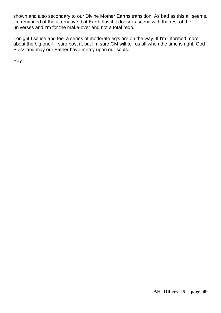shown and also secondary to our Divine Mother Earths transition. As bad as this all seems, I'm reminded of the alternative that Earth has if it doesn't ascend with the rest of the universes and I'm for the make-over and not a total redo.

Tonight I sense and feel a series of moderate eq's are on the way. If I'm informed more about the big one-I'll sure post it, but I'm sure CM will tell us all when the time is right. God Bless and may our Father have mercy upon our souls.

Ray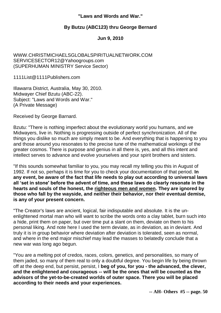**"Laws and Words and War."** 

# **By Butzu (ABC123) thru George Bernard**

# **Jun 9, 2010**

WWW.CHRISTMICHAELSGLOBALSPIRITUALNETWORK.COM SERVICESECTOR12@Yahoogroups.com (SUPERHUMAN MINISTRY Service Sector)

1111List@1111Publishers.com

Illawarra District, Australia, May 30, 2010. Midwayer Chief Bzutu (ABC-22). Subject: "Laws and Words and War." (A Private Message)

Received by George Barnard.

Bzutu: "There is nothing imperfect about the evolutionary world you humans, and we Midwayers, live in. Nothing is progressing outside of perfect synchronization. All of the things you dislike so much are simply meant to be. And everything that is happening to you and those around you resonates to the precise tune of the mathematical workings of the greater cosmos. There is purpose and genius in all there is, yes, and all this intent and intellect serves to advance and evolve yourselves and your spirit brothers and sisters.

"If this sounds somewhat familiar to you, you may recall my telling you this in August of 1992. If not so, perhaps it is time for you to check your documentation of that period. **In any event, be aware of the fact that life needs to play out according to universal laws all 'set in stone' before the advent of time, and these laws do clearly resonate in the hearts and souls of the honest, the righteous men and women. They are ignored by those who fall by the wayside, and neither their behavior, nor their eventual demise, is any of your present concern.**

"The Creator's laws are ancient, logical, fair indisputable and absolute. It is the unenlightened mortal man who will want to scribe the words onto a clay tablet, burn such into a hide, print them on paper, but over time put a slant on them, deviate on them to his personal liking. And note here I used the term deviate, as in deviation, as in deviant. And truly it is in group behavior where deviation after deviation is tolerated, seen as normal, and where in the end major mischief may lead the masses to belatedly conclude that a new war was long ago begun.

"You are a melting pot of credos, races, colors, genetics, and personalities, so many of them jaded, so many of them real to only a doubtful degree. You begin life by being thrown off at the deep end, but persist, persist, I **beg of you, for you - the advanced, the clever, and the enlightened and courageous -- will be the ones that will be counted as the advisors of the yet-to-be-created worlds of outer space. There you will be placed according to their needs and your experiences.**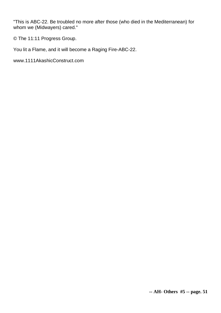"This is ABC-22. Be troubled no more after those (who died in the Mediterranean) for whom we (Midwayers) cared."

© The 11:11 Progress Group.

You lit a Flame, and it will become a Raging Fire-ABC-22.

www.1111AkashicConstruct.com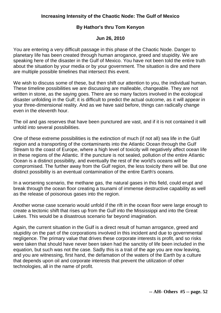# **By Hathor's thru Tom Kenyon**

### **Jun 26, 2010**

You are entering a very difficult passage in this phase of the Chaotic Node. Danger to planetary life has been created through human arrogance, greed and stupidity. We are speaking here of the disaster in the Gulf of Mexico. You have not been told the entire truth about the situation by your media or by your government. The situation is dire and there are multiple possible timelines that intersect this event.

We wish to discuss some of these, but then shift our attention to you, the individual human. These timeline possibilities we are discussing are malleable, changeable. They are not written in stone, as the saying goes. There are so many factors involved in the ecological disaster unfolding in the Gulf; it is difficult to predict the actual outcome, as it will appear in your three-dimensional reality. And as we have said before, things can radically change even in the eleventh hour.

The oil and gas reserves that have been punctured are vast, and if it is not contained it will unfold into several possibilities.

One of these extreme possibilities is the extinction of much (if not all) sea life in the Gulf region and a transporting of the contaminants into the Atlantic Ocean through the Gulf Stream to the coast of Europe, where a high level of toxicity will negatively affect ocean life in these regions of the Atlantic. If the puncture is not sealed, pollution of the entire Atlantic Ocean is a distinct possibility, and eventually the rest of the world's oceans will be compromised. The further away from the Gulf region, the less toxicity there will be. But one distinct possibility is an eventual contamination of the entire Earth's oceans.

In a worsening scenario, the methane gas, the natural gases in this field, could erupt and break through the ocean floor creating a tsunami of immense destructive capability as well as the release of poisonous gases into the region.

Another worse case scenario would unfold if the rift in the ocean floor were large enough to create a tectonic shift that rises up from the Gulf into the Mississippi and into the Great Lakes. This would be a disastrous scenario far beyond imagination.

Again, the current situation in the Gulf is a direct result of human arrogance, greed and stupidity on the part of the corporations involved in this incident and due to governmental negligence. The primary value that drives these corporate interests is profit, and so risks were taken that should have never been taken had the sanctity of life been included in the equation, but such was not the case. Sadly this is a trait of the age you are now leaving, and you are witnessing, first hand, the defamation of the waters of the Earth by a culture that depends upon oil and corporate interests that prevent the utilization of other technologies, all in the name of profit.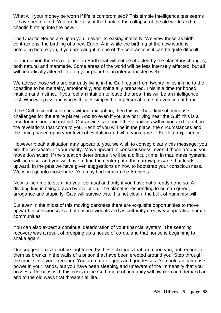What will your money be worth if life is compromised? This simple intelligence test seems to have been failed. You are literally at the brink of the collapse of the old world and a chaotic birthing into the new.

The Chaotic Nodes are upon you in ever-increasing intensity. We view these as birth contractions, the birthing of a new Earth. And while the birthing of the new world is unfolding before you, if you are caught in one of the contractions it can be quite difficult.

In our opinion there is no place on Earth that will not be affected by the planetary changes, both natural and manmade. Some areas of the world will be less intensely affected, but all will be radically altered. Life on your planet is an interconnected web.

We advise those who are currently living in the Gulf region from twenty miles inland to the coastline to be mentally, emotionally, and spiritually prepared. This is a time for honed intuition and instinct. If you feel an intuition to leave the area, this will be an intelligence test. Who will pass and who will fail is simply the impersonal force of evolution at hand.

If the Gulf incident continues without mitigation, then this will be a time of immense challenges for the entire planet. And so even if you are not living near the Gulf, this is a time for intuition and instinct. Our advice is to hone these abilities within you and to act on the revelations that come to you. Each of you will be in the place, the circumstances and the timing based upon your level of evolution and what you came to Earth to experience.

However bleak a situation may appear to you, we wish to convey clearly this message: you are the co-creator of your reality. Move upward in consciousness, even if those around you move downward. If the situation deteriorates it will be a difficult time, in that, mass hysteria will increase, and you will have to find the center path, the narrow passage that leads upward. In the past we have given suggestions on how to bootstrap your consciousness. We won't go into those here. You may find them in the Archives.

Now is the time to step into your spiritual authority if you have not already done so. A dividing line is being drawn by evolution. The planet is responding to human greed, arrogance and stupidity. Gaia will survive this. It is not clear if the bulk of humanity will.

But even in the midst of this moving darkness there are exquisite opportunities to move upward in consciousness, both as individuals and as culturally creative/cooperative human communities.

You can also expect a continual deterioration of your financial system. The seeming recovery was a result of propping up a house of cards, and that house is beginning to shake again.

Our suggestion is to not be frightened by these changes that are upon you, but recognize them as breaks in the walls of a prison that have been erected around you. Step through the cracks into your freedom. You are creator gods and goddesses. You hold an immense power in your hands, but you have been sleeping and unaware of the immensity that you possess. Perhaps with this crisis in the Gulf, more of humanity will awaken and demand an end to the old ways that threaten all life.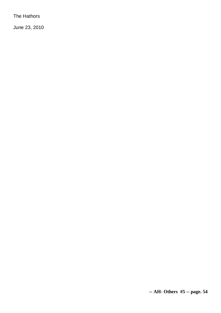The Hathors

June 23, 2010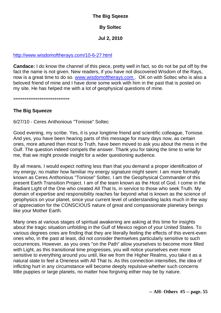## **The Big Sqeeze**

**By Soltec**

**Jul 2, 2010**

#### <http://www.wisdomoftherays.com/10-6-27.html>

**Candace:** I do know the channel of this piece, pretty well in fact, so do not be put off by the fact the name is not given. New readers, if you have not discovered Wisdom of the Rays, now is a great time to do so. [www.wisdomoftherays.com .](http://www.wisdomoftherays.com/) OK on with Soltec who is also a beloved friend of mine and I have done some work with him in the past that is posted on my site. He has helped me with a lot of geophysical questions of mine.

\*\*\*\*\*\*\*\*\*\*\*\*\*\*\*\*\*\*\*\*\*\*\*\*\*\*\*\*\*\*

## **The Big Squeeze**

6/27/10 - Ceres Anthonious "Toniose" Soltec

Good evening, my scribe. Yes, it is your longtime friend and scientific colleague, Toniose. And yes, you have been hearing parts of this message for many days now, as certain ones, more attuned than most to Truth, have been moved to ask you about the mess in the Gulf. The question indeed compels the answer. Thank you for taking the time to write for me, that we might provide insight for a wider questioning audience.

By all means, I would expect nothing less than that you demand a proper identification of my energy, no matter how familiar my energy signature might seem: I am more formally known as Ceres Anthonious "Toniose" Soltec. I am the Geophysical Commander of this present Earth Transition Project. I am of the team known as the Host of God. I come in the Radiant Light of the One who created All That Is, in service to those who seek Truth. My domain of expertise and responsibility reaches far beyond what is known as the science of geophysics on your planet, since your current level of understanding lacks much in the way of appreciation for the CONSCIOUS nature of great and compassionate planetary beings like your Mother Earth.

Many ones at various stages of spiritual awakening are asking at this time for insights about the tragic situation unfolding in the Gulf of Mexico region of your United States. To various degrees ones are finding that they are literally feeling the effects of this event-even ones who, in the past at least, did not consider themselves particularly sensitive to such occurrences. However, as you ones "on the Path" allow yourselves to become more filled with Light, as this transitional time progresses, you will notice yourselves ever more sensitive to everything around you until, like we from the Higher Realms, you take it as a natural state to feel a Oneness with All That Is. As this connection intensifies, the idea of inflicting hurt in any circumstance will become deeply repulsive-whether such concerns little puppies or large planets, no matter how forgiving either may be by nature.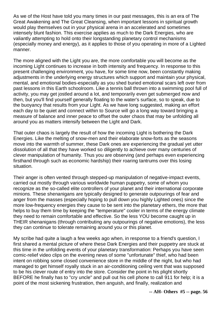As we of the Host have told you many times in our past messages, this is an era of The Great Awakening and The Great Cleansing, when important lessons in spiritual growth would play themselves out in your physical arena in an accelerated and sometimes intensely blunt fashion. This exercise applies as much to the Dark Energies, who are valiantly attempting to hold onto their longstanding planetary control mechanisms (especially money and energy), as it applies to those of you operating in more of a Lighted manner.

The more aligned with the Light you are, the more comfortable you will become as the incoming Light continues to increase in both intensity and frequency. In response to this present challenging environment, you have, for some time now, been constantly making adjustments in the underlying energy structures which support and maintain your physical, mental, and emotional bodies-especially as you shed buried emotional scars left over from past lessons in this Earth schoolroom. Like a tennis ball thrown into a swimming pool full of activity, you may get jostled around a lot, and temporarily even get submerged now and then, but you'll find yourself generally floating to the water's surface, so to speak, due to the buoyancy that results from your Light. As we have long suggested, making an effort each day to be quiet and connect within to Source will go a long way toward bringing a measure of balance and inner peace to offset the outer chaos that may be unfolding all around you as matters intensify between the Light and Dark.

That outer chaos is largely the result of how the incoming Light is bothering the Dark Energies. Like the melting of snow-men and their elaborate snow-forts as the seasons move into the warmth of summer, these Dark ones are experiencing the gradual yet utter dissolution of all that they have worked so diligently to achieve over many centuries of clever manipulation of humanity. Thus you are observing (and perhaps even experiencing firsthand through such as economic hardship) their roaring tantrums over this losing situation.

Their anger is often vented through stepped-up manipulation of negative-impact events, carried out mostly through various worldwide human puppetry, some of whom you recognize as the so-called elite controllers of your planet and their international corporate minions. These shenanigans are typically designed to generate outpourings of fear and anger from the masses (especially hoping to pull down you highly Lighted ones) since the more low-frequency energies they cause to be sent into the planetary ethers, the more that helps to buy them time by keeping the "temperature" cooler in terms of the energy climate they need to remain comfortable and effective. So the less YOU become caught up in THEIR shenanigans (through contributing any outpourings of negative emotions), the less they can continue to tolerate remaining around you or this planet.

My scribe had quite a laugh a few weeks ago when, in response to a friend's question, I first shared a mental picture of where these Dark Energies and their puppetry are stuck at this time in the unfolding events of your planetary transformation: Perhaps you have seen comic-relief video clips on the evening news of some "unfortunate" thief, who had been intent on robbing some closed convenience store in the middle of the night, but who had managed to get himself royally stuck in an air-conditioning ceiling vent that was supposed to be his clever route of entry into the store. Consider the point in his plight shortly BEFORE he finally has to "cry uncle" and pull out his cell phone to call 911 for help; it is a point of the most sickening frustration, then anguish, and finally, realization and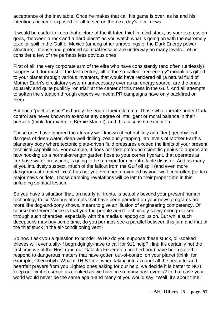acceptance of the inevitable. Once he makes that call his game is over, as he and his intentions become exposed for all to see on the next day's local news.

It would be useful to keep that picture of the ill-fated thief in mind-stuck, as your expression goes, "between a rock and a hard place"-as you watch what is going on with the extremely toxic oil spill in the Gulf of Mexico (among other unravelings of the Dark Energy power structure). Intense and profound spiritual lessons are underway on many levels. Let us consider a few of the perhaps less obvious ones:

First of all, the very corporate arm of the elite who have consistently (and often ruthlessly) suppressed, for most of the last century, all of the so-called "free-energy" modalities gifted to your planet through various inventors, that would have rendered oil (a natural fluid of Mother Earth's circulatory system) unnecessary ever as an energy source, are the ones squarely and quite publicly "on trial" at the center of this mess in the Gulf. And all attempts to soften the situation through expensive media PR campaigns have only backfired on them.

But such "poetic justice" is hardly the end of their dilemma. Those who operate under Dark control are never known to exercise any degree of intelligent or moral balance in their pursuits (think, for example, Bernie Madoff), and this case is no exception.

These ones have ignored the already well known (if not publicly admitted) geophysical dangers of deep-water, deep-well drilling, zealously tapping into levels of Mother Earth's planetary body where tectonic plate-driven fluid pressures exceed the limits of your present technical capabilities. For example, it does not take profound scientific genius to appreciate how hooking up a normal-strength garden hose to your corner hydrant, that operates at fire-hose water pressures, is going to be a recipe for uncontrollable disaster. And as many of you intuitively suspect, much of the fallout from the Gulf oil spill (and even more dangerous attempted fixes) has not-yet-even been revealed by your well-controlled (so far) major news outlets. Those damning revelations will be left to their proper time in this unfolding spiritual lesson.

So you have a situation that, on nearly all fronts, is actually beyond your present human technology to fix. Various attempts that have been paraded on your news programs are more like dog-and-pony shows, meant to give an illusion of engineering competency. Of course the fervent hope is that you-the-people aren't technically savvy enough to see through such charades, especially with the media's lapdog collusion. But while such deceptions may buy some time, do you perhaps see a parallel between this jam and that of the thief stuck in the air-conditioning vent?

So now I ask you a question to ponder: WHO do you suppose these stuck, oil-soaked thieves will eventually-if begrudgingly-have to call for 911 help? Hint: It's certainly not the first time we of the Host (and our Galactic Federation brotherhood) have been called to respond to dangerous matters that have gotten out-of-control on your planet (think, for example, Chernobyl). What if THIS time, when taking into account all the beautiful and heartfelt prayers from you Lighted ones asking for our help, we decide it is better to NOT keep our fix-it presence as cloaked as we have in so many past events? In that case your world would never be the same again-and many of you would say: "Well, it's about time!"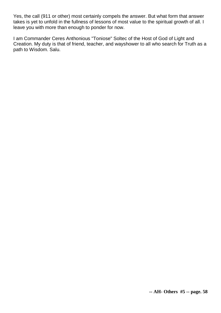Yes, the call (911 or other) most certainly compels the answer. But what form that answer takes is yet to unfold in the fullness of lessons of most value to the spiritual growth of all. I leave you with more than enough to ponder for now.

I am Commander Ceres Anthonious "Toniose" Soltec of the Host of God of Light and Creation. My duty is that of friend, teacher, and wayshower to all who search for Truth as a path to Wisdom. Salu.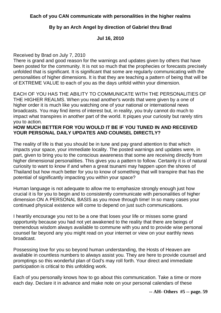## **Each of you CAN communicate with personalities in the higher realms**

#### **By by an Arch Angel by direction of Gabriel thru Brad**

#### **Jul 16, 2010**

#### Received by Brad on July 7, 2010

There is grand and good reason for the warnings and updates given by others that have been posted for the community. It is not so much that the prophecies or forecasts precisely unfolded that is significant. It is significant that some are regularly communicating with the personalities of higher dimensions. It is that they are teaching a pattern of being that will be of EXTREME VALUE to each of you as the days unfold within your dimension.

EACH OF YOU HAS THE ABILITY TO COMMUNICATE WITH THE PERSONALITIES OF THE HIGHER REALMS. When you read another's words that were given by a one of higher order it is much like you watching one of your national or international news broadcasts. You may find items of interest but, in reality, you truly cannot do much to impact what transpires in another part of the world. It piques your curiosity but rarely stirs you to action.

#### **HOW MUCH BETTER FOR YOU WOULD IT BE IF YOU TUNED IN AND RECEIVED YOUR PERSONAL DAILY UPDATES AND COUNSEL DIRECTLY?**

The reality of life is that you should be in tune and pay grand attention to that which impacts your space, your immediate locality. The posted warnings and updates were, in part, given to bring you to the conscious awareness that some are receiving directly from higher dimensional personalities. This gives you a pattern to follow. Certainly it is of natural curiosity to want to know if and when a great tsunami may happen upon the shores of Thailand but how much better for you to know of something that will transpire that has the potential of significantly impacting you within your space?

Human language is not adequate to allow me to emphasize strongly enough just how crucial it is for you to begin and to consistently communicate with personalities of higher dimension ON A PERSONAL BASIS as you move through time! In so many cases your continued physical existence will come to depend on just such communications.

I heartily encourage you not to be a one that loses your life or misses some grand opportunity because you had not yet awakened to the reality that there are beings of tremendous wisdom always available to commune with you and to provide wise personal counsel far beyond any you might read on your internet or view on your earthly news broadcast.

Possessing love for you so beyond human understanding, the Hosts of Heaven are available in countless numbers to always assist you. They are here to provide counsel and promptings so this wonderful plan of God's may roll forth. Your direct and immediate participation is critical to this unfolding work.

Each of you personally knows how to go about this communication. Take a time or more each day. Declare it in advance and make note on your personal calendars of these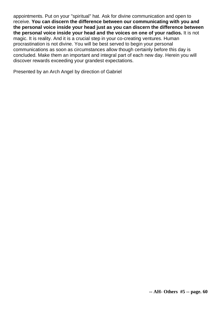appointments. Put on your "spiritual" hat. Ask for divine communication and open to receive. **You can discern the difference between our communicating with you and the personal voice inside your head just as you can discern the difference between the personal voice inside your head and the voices on one of your radios.** It is not magic. It is reality. And it is a crucial step in your co-creating ventures. Human procrastination is not divine. You will be best served to begin your personal communications as soon as circumstances allow though certainly before this day is concluded. Make them an important and integral part of each new day. Herein you will discover rewards exceeding your grandest expectations.

Presented by an Arch Angel by direction of Gabriel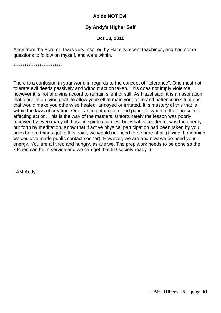# **Abide NOT Evil**

# **By Andy's Higher Self**

### **Oct 13, 2010**

Andy from the Forum: I was very inspired by Hazel's recent teachings, and had some questions to follow on myself, and went within.

\*\*\*\*\*\*\*\*\*\*\*\*\*\*\*\*\*\*\*\*\*\*\*\*\*\*

There is a confusion in your world in regards to the concept of "tolerance". One must not tolerate evil deeds passively and without action taken. This does not imply violence, however it is not of divine accord to remain silent or still. As Hazel said, it is an aspiration that leads to a divine goal, to allow yourself to main your calm and patience in situations that would make you otherwise heated, annoyed or irritated. It is mastery of this that is within the laws of creation. One can maintain calm and patience when in their presence effecting action. This is the way of the masters. Unfortunately the lesson was poorly received by even many of those in spiritual circles, but what is needed now is the energy put forth by meditation. Know that if active physical participation had been taken by you ones before things got to this point, we would not need to be here at all (Fixing it, meaning we could've made public contact sooner). However, we are and now we do need your energy. You are all tired and hungry, as are we. The prep work needs to be done so the kitchen can be in service and we can get that 5D society ready :)

I AM Andy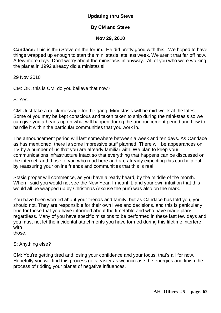# **Updating thru Steve**

# **By CM and Steve**

## **Nov 29, 2010**

**Candace:** This is thru Steve on the forum. He did pretty good with this. We hoped to have things wrapped up enough to start the mini stasis late last week. We aren't that far off now. A few more days. Don't worry about the ministasis in anyway. All of you who were walking the planet in 1992 already did a ministasis!

29 Nov 2010

CM: OK, this is CM, do you believe that now?

S: Yes.

CM: Just take a quick message for the gang. Mini-stasis will be mid-week at the latest. Some of you may be kept conscious and taken taken to ship during the mini-stasis so we can give you a heads up on what will happen during the announcement period and how to handle it within the particular communities that you work in.

The announcement period will last somewhere between a week and ten days. As Candace as has mentioned, there is some impressive stuff planned. There will be appearances on TV by a number of us that you are already familiar with. We plan to keep your communications infrastructure intact so that everything that happens can be discussed on the internet, and those of you who read here and are already expecting this can help out by reassuring your online friends and communities that this is real.

Stasis proper will commence, as you have already heard, by the middle of the month. When I said you would not see the New Year, I meant it, and your own intuition that this would all be wrapped up by Christmas (excuse the pun) was also on the mark.

You have been worried about your friends and family, but as Candace has told you, you should not. They are responsible for their own lives and decisions, and this is particularly true for those that you have informed about the timetable and who have made plans regardless. Many of you have specific missions to be performed in these last few days and you must not let the incidental attachments you have formed during this lifetime interfere with

those.

#### S: Anything else?

CM: You're getting tired and losing your confidence and your focus, that's all for now. Hopefully you will find this process gets easier as we increase the energies and finish the process of ridding your planet of negative influences.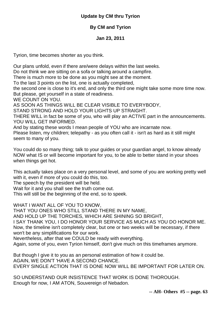# **Update by CM thru Tyrion**

# **By CM and Tyrion**

### **Jan 23, 2011**

Tyrion, time becomes shorter as you think.

Our plans unfold, even if there are/were delays within the last weeks.

Do not think we are sitting on a sofa or talking around a campfire.

There is much more to be done as you might see at the moment.

To the last 3 points on the list, one is actually completed,

the second one is close to it's end, and only the third one might take some more time now. But please, get yourself in a state of readiness.

WE COUNT ON YOU.

AS SOON AS THINGS WILL BE CLEAR VISIBLE TO EVERYBODY,

STAND STRONG AND HOLD YOUR LIGHTS UP STRAIGHT.

THERE WILL in fact be some of you, who will play an ACTIVE part in the announcements. YOU WILL GET INFORMED.

And by stating these words I mean people of YOU who are incarnate now.

Please listen, my children; telepathy - as you often call it - isn't as hard as it still might seem to many of you.

You could do so many thing; talk to your guides or your guardian angel, to know already NOW what IS or will become important for you, to be able to better stand in your shoes when things get hot.

This actually takes place on a very personal level, and some of you are working pretty well with it, even if more of you could do this, too.

The speech by the president will be held.

Wait for it and you shall see the truth come out.

This will still be the beginning of the end, so to speek.

WHAT I WANT ALL OF YOU TO KNOW.

THAT YOU ONES WHO STILL STAND THERE IN MY NAME,

AND HOLD UP THE TORCHES, WHICH ARE SHINING SO BRIGHT,

I SAY THANK YOU, I DO HONOR YOUR SERVICE AS MUCH AS YOU DO HONOR ME. Now, the timeline isn't completely clear, but one or two weeks will be necessary, if there won't be any simplifications for our work.

Nevertheless, after that we COULD be ready with everything.

Again, some of you, even Tyrion himself, don't give much on this timeframes anymore.

But though I give it to you as an personal estimation of how it could be. AGAIN, WE DON'T 'HAVE A SECOND CHANCE. EVERY SINGLE ACTION THAT IS DONE NOW WILL BE IMPORTANT FOR LATER ON.

SO UNDERSTAND OUR INSISTENCE THAT WORK IS DONE THOROUGH. Enough for now, I AM ATON, Souvereign of Nebadon.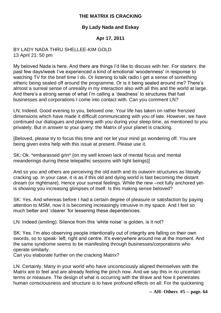# **THE MATRIX IS CRACKING**

# **By Lady Nada and Eskay**

# **Apr 17, 2011**

#### BY LADY NADA THRU SHELLEE-KIM GOLD 13 April 21: 50 pm

My beloved Nada is here. And there are things I'd like to discuss with her. For starters: the past few days/week I've experienced a kind of emotional 'woodenness' in response to watching TV for the brief time I do. Or listening to talk radio I get a sense of something etheric being sealed off around the programme. Or is it being sealed around me? There's almost a surreal sense of unreality in my interaction also with all this and the world at large. And there's a strong sense of what I'm calling a 'deadness' to structures that fuel businesses and corporations I come into contact with. Can you comment LN?

LN: Indeed. Good evening to you, beloved one. Your life has taken on rather frenzied dimensions which have made it difficult communicating with you of late. However, we have continued our dialogues and planning with you during your sleep time, as mentioned to you privately. But in answer to your query: the Matrix of your planet is cracking.

[Beloved, please try to focus this time and not let your mind go wondering off. You are being given extra help with this issue at present. Please use it.

SK: Ok. \*embarassed grin\* {on my well known lack of mental focus and mental meanderings during these telepathic sessions with light beings}]

And so you and others are perceiving the old earth and its outworn structures as literally cracking up. In your case, it is as if this old and dying world is fast becoming the distant dream (or nightmare). Hence your surreal feelings. While the new –not fully anchored yetis showing you increasing glimpses of itself. Is this making sense beloved?

SK: Yes. And whereas before I had a certain degree of pleasure or satisfaction by paying attention to MSM, now it is becoming increasingly intrusive in my space. And I feel so much better and 'clearer 'for lessening these dependencies.

LN: Indeed (smiling). Silence from this 'white noise' is golden, is it not?

SK: Yes. I'm also observing people intentionally out of integrity are falling on their own swords, so to speak- left, right and centre. It's everywhere around me at the moment. And the same syndrome seems to be manifesting through businesses/corporations who operate similarly.

Can you elaborate further on the cracking Matrix?

LN: Certainly. Many in your world who have unconsciously aligned themselves with the Matrix are to feel and are already feeling the pinch now. And we say this in no uncertain terms or measure. The design of what is occurring with the Wave and how it penetrates human consciousness and structure is to have profound effects on all. For the quickening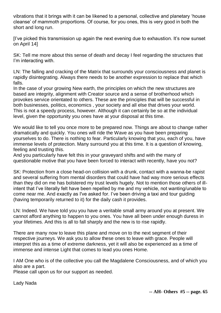vibrations that it brings with it can be likened to a personal, collective and planetary 'house cleanse' of mammoth proportions. Of course, for you ones, this is very good in both the short and long run.

[I've picked this transmission up again the next evening due to exhaustion. It's now sunset on April 14]

SK: Tell me more about this sense of death and decay I feel regarding the structures that I'm interacting with.

LN: The falling and cracking of the Matrix that surrounds your consciousness and planet is rapidly disintegrating. Always there needs to be another expression to replace that which falls.

In the case of your growing New earth, the principles on which the new structures are based are integrity, alignment with Creator source and a sense of brotherhood which provokes service orientated to others. These are the principles that will be successful in both businesses, politics, economics , your society and all else that drives your world. This is not a speedy process, however. Although it can certainly be so at the individual level, given the opportunity you ones have at your disposal at this time.

We would like to tell you once more to be prepared now. Things are about to change rather dramatically and quickly. You ones will ride the Wave as you have been preparing yourselves to do. There is nothing to fear. Particularly knowing that you, each of you, have immense levels of protection. Many surround you at this time. It is a question of knowing, feeling and trusting this.

And you particularly have felt this in your graveyard shifts and with the many of questionable motive that you have been forced to interact with recently, have you not?

SK: Protection from a close head-on collision with a drunk, contact with a wanna-be rapist and several suffering from mental disorders that could have had way more serious effects than they did on me has bolstered my trust levels hugely. Not to mention those others of illintent that I've literally felt have been repelled by me and my vehicle, not wanting/unable to come near me. And exactly as I've asked for. I've been driving a taxi and tour guiding (having temporarily returned to it) for the daily cash it provides.

LN: Indeed. We have told you you have a veritable small army around you at present. We cannot afford anything to happen to you ones. You have all been under enough duress in your lifetimes. And this is all to fall sharply and the new is to rise rapidly.

There are many now to leave this plane and move on to the next segment of their respective journeys. We ask you to allow these ones to leave with grace. People will interpret this as a time of extreme darkness, yet it will also be experienced as a time of immense and intense Light that comes to lead you ones Home.

I AM One who is of the collective you call the Magdalene Consciousness, and of which you also are a part.

Please call upon us for our support as needed.

Lady Nada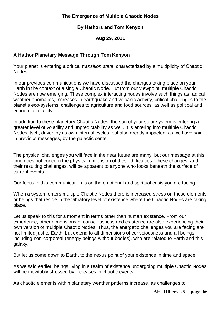# **The Emergence of Multiple Chaotic Nodes**

## **By Hathors and Tom Kenyon**

# **Aug 29, 2011**

# **A Hathor Planetary Message Through Tom Kenyon**

Your planet is entering a critical *transition state*, characterized by a multiplicity of Chaotic Nodes.

In our previous communications we have discussed the changes taking place on your Earth in the context of a single Chaotic Node. But from our viewpoint, multiple Chaotic Nodes are now emerging. These complex interacting nodes involve such things as radical weather anomalies, increases in earthquake and volcanic activity, critical challenges to the planet's eco-systems, challenges to agriculture and food sources, as well as political and economic volatility.

In addition to these planetary Chaotic Nodes, the sun of your solar system is entering a greater level of volatility and unpredictability as well. It is entering into multiple Chaotic Nodes itself, driven by its own internal cycles, but also greatly impacted, as we have said in previous messages, by the galactic center.

The physical challenges you will face in the near future are many, but our message at this time does not concern the physical dimension of these difficulties. These changes, and their resulting challenges, will be apparent to anyone who looks beneath the surface of current events.

Our focus in this communication is on the emotional and spiritual crisis you are facing.

When a system enters multiple Chaotic Nodes there is increased stress on those elements or beings that reside in the vibratory level of existence where the Chaotic Nodes are taking place.

Let us speak to this for a moment in terms other than human existence. From our experience, other dimensions of consciousness and existence are also experiencing their own version of multiple Chaotic Nodes. Thus, the energetic challenges you are facing are not limited just to Earth, but extend to all dimensions of consciousness and all beings, including non-corporeal (energy beings without bodies), who are related to Earth and this galaxy.

But let us come down to Earth, to the nexus point of your existence in time and space.

As we said earlier, beings living in a realm of existence undergoing multiple Chaotic Nodes will be inevitably stressed by increases in chaotic events.

As chaotic elements within planetary weather patterns increase, as challenges to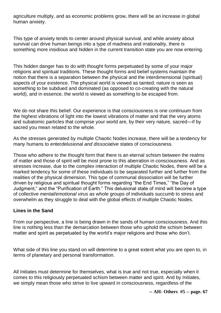agriculture multiply, and as economic problems grow, there will be an increase in global human anxiety.

This type of anxiety tends to center around physical survival, and while anxiety about survival can drive human beings into a type of madness and irrationality, there is something more insidious and hidden in the current transition state you are now entering.

This hidden danger has to do with thought forms perpetuated by some of your major religions and spiritual traditions. These thought forms and belief systems maintain the notion that there is a separation between the physical and the interdimensional (spiritual) aspects of your existence. The physical world is viewed as tainted; nature is seen as something to be subdued and dominated (as opposed to co-creating with the natural world), and in essence, the world is viewed as something to be escaped from.

We do not share this belief. Our experience is that consciousness is one continuum from the highest vibrations of light into the lowest vibrations of matter and that the very atoms and subatomic particles that comprise your world are, by their very nature, sacred—if by sacred you mean related to the whole.

As the stresses generated by multiple Chaotic Nodes increase, there will be a tendency for many humans to enter*delusional and dissociative* states of consciousness.

Those who adhere to the thought form that there is an eternal schism between the realms of matter and those of spirit will be most prone to this aberration in consciousness. And as stresses increase, due to the complex interaction of multiple Chaotic Nodes, there will be a marked tendency for some of these individuals to be separated further and further from the realities of the physical dimension. This type of communal dissociation will be further driven by religious and spiritual thought forms regarding "the End Times," "the Day of Judgment," and the "Purification of Earth." This delusional state of mind will become a type of collective *mental/emotional virus* as whole groups of individuals succumb to stress and overwhelm as they struggle to deal with the global effects of multiple Chaotic Nodes.

## **Lines in the Sand**

From our perspective, a line is being drawn in the sands of human consciousness. And this line is nothing less than the demarcation between those who uphold the schism between matter and spirit as perpetuated by the world's major religions and those who don't.

What side of this line you stand on will determine to a great extent what you are open to, in terms of planetary and personal transformation.

All Initiates must determine for themselves, what is true and not true, especially when it comes to this religiously perpetuated schism between matter and spirit. And by Initiates, we simply mean those who strive to live upward in consciousness, regardless of the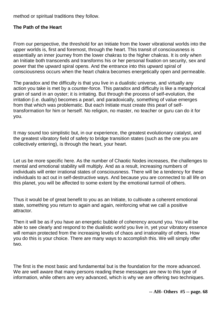method or spiritual traditions they follow.

### **The Path of the Heart**

From our perspective, the threshold for an Initiate from the lower vibrational worlds into the upper worlds is, first and foremost, through the heart. This transit of consciousness is essentially an inner journey from the lower chakras to the higher chakras. It is only when an Initiate both transcends and transforms his or her personal fixation on security, sex and power that the upward spiral opens. And the entrance into this upward spiral of consciousness occurs when the heart chakra becomes energetically open and permeable.

The paradox and the difficulty is that you live in a dualistic universe, and virtually any action you take is met by a counter-force. This paradox and difficulty is like a metaphorical grain of sand in an oyster; it is irritating. But through the process of self-evolution, the irritation (i.e. duality) becomes a pearl, and paradoxically, something of value emerges from that which was problematic. But each Initiate must create this pearl of selftransformation for him or herself. No religion, no master, no teacher or guru can do it for you.

It may sound too simplistic but, in our experience, the greatest evolutionary catalyst, and the greatest vibratory field of safety to bridge transition states (such as the one you are collectively entering), is through the heart, your heart.

Let us be more specific here. As the number of Chaotic Nodes increases, the challenges to mental and emotional stability will multiply. And as a result, increasing numbers of individuals will enter irrational states of consciousness. There will be a tendency for these individuals to act out in self-destructive ways. And because you are connected to all life on this planet, you will be affected to some extent by the emotional turmoil of others.

Thus it would be of great benefit to you as an Initiate, to cultivate a coherent emotional state, something you return to again and again, reinforcing what we call a positive attractor.

Then it will be as if you have an energetic bubble of coherency around you. You will be able to see clearly and respond to the dualistic world you live in, yet your vibratory essence will remain protected from the increasing levels of chaos and irrationality of others. How you do this is your choice. There are many ways to accomplish this. We will simply offer two.

The first is the most basic and fundamental but is the foundation for the more advanced. We are well aware that many persons reading these messages are new to this type of information, while others are very advanced, which is why we are offering two techniques.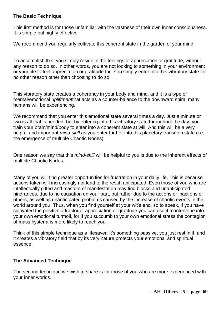### **The Basic Technique**

This first method is for those unfamiliar with the vastness of their own inner consciousness. It is simple but highly effective.

We recommend you regularly cultivate this coherent state in the garden of your mind.

To accomplish this, you simply reside in the feelings of appreciation or gratitude, without any reason to do so. In other words, you are not looking to something in your environment or your life to feel appreciation or gratitude for. You simply enter into this vibratory state for no other reason other than choosing to do so.

This vibratory state creates a coherency in your body and mind, and it is a type of mental/emotional *upliftment*that acts as a counter-balance to the downward spiral many humans will be experiencing.

We recommend that you enter this emotional state several times a day. Just a minute or two is all that is needed, but by entering into this vibratory state throughout the day, you train your brain/mind/body to enter into a coherent state at will. And this will be a very helpful and important *mind-skill* as you enter further into this planetary transition state (i.e. the emergence of multiple Chaotic Nodes).

One reason we say that this *mind-skill* will be helpful to you is due to the inherent effects of multiple Chaotic Nodes.

Many of you will find greater opportunities for frustration in your daily life. This is because actions taken will increasingly not lead to the result anticipated. Even those of you who are intellectually gifted and masters of manifestation may find blocks and unanticipated hindrances, due to no causation on your part, but rather due to the actions or inactions of others, as well as unanticipated problems caused by the increase of chaotic events in the world around you. Thus, when you find yourself at your wit's end, so to speak, if you have cultivated the positive attractor of appreciation or gratitude you can use it to intervene into your own emotional turmoil, for if you succumb to your own emotional stress the contagion of mass hysteria is more likely to reach you.

Think of this simple technique as a lifesaver. It's something passive, you just rest in it, and it creates a vibratory field that by its very nature protects your emotional and spiritual essence.

#### **The Advanced Technique**

The second technique we wish to share is for those of you who are more experienced with your inner worlds.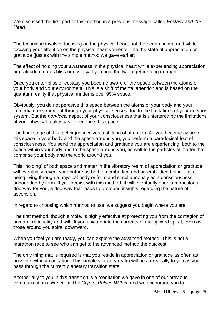We discussed the first part of this method in a previous message called *Ecstasy and the Heart*.

The technique involves focusing on the physical heart, not the heart chakra, and while focusing your attention on the physical heart you enter into the state of appreciation or gratitude (just as with the simple method we gave earlier).

The effect of holding your awareness in the physical heart while experiencing appreciation or gratitude creates bliss or ecstasy if you hold the two together long enough.

Once you enter bliss or ecstasy you become aware of the space between the atoms of your body and your environment. This is a shift of mental attention and is based on the quantum reality that physical matter is over 99% space.

Obviously, you do not perceive this space between the atoms of your body and your immediate environment through your physical senses due to the limitations of your nervous system. But the *non-local* aspect of your consciousness that is unfettered by the limitations of your physical reality *can* experience this space.

The final stage of this technique involves a shifting of attention. As you become aware of this space in your body and the space around you, you perform a paradoxical feat of consciousness. You send the appreciation and gratitude you are experiencing, both to the space within your body and to the space around you, as well to the particles of matter that comprise your body and the world around you.

This "holding" of both space and matter in the vibratory realm of appreciation or gratitude will eventually reveal your nature as both an embodied and un-embodied being—as a being living through a physical body or form and simultaneously as a consciousness unbounded by form. If you persist with this method, it will eventually open a miraculous doorway for you, a doorway that leads to profound insights regarding the nature of ascension.

In regard to choosing which method to use, we suggest you begin where you are.

The first method, though simple, is highly effective at protecting you from the contagion of human irrationality and will lift you upward into the currents of the upward spiral, even as those around you spiral downward.

When you feel you are ready, you can explore the advanced method. This is not a marathon race to see who can get to the advanced method the quickest.

The only thing that is required is that you reside in appreciation or gratitude as often as possible without causation. This simple vibratory realm will be a great ally to you as you pass through the current planetary transition state.

Another ally to you in this transition is a meditation we gave in one of our previous communications. We call it *The Crystal Palace Within*, and we encourage you to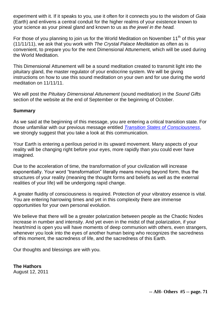experiment with it. If it speaks to you, use it often for it connects you to the wisdom of *Gaia* (Earth) and enlivens a central conduit for the higher realms of your existence known to your science as your pineal gland and known to us as *the jewel in the head.*

For those of you planning to join us for the World Meditation on November 11<sup>th</sup> of this year (11/11/11), we ask that you work with *The Crystal Palace Meditation* as often as is convenient, to prepare you for the next Dimensional Attunement, which will be used during the World Meditation.

This Dimensional Attunement will be a sound meditation created to transmit light into the pituitary gland, the master regulator of your endocrine system. We will be giving instructions on how to use this sound meditation on your own and for use during the world meditation on 11/11/11.

We will post the *Pituitary Dimensional Attunement* (sound meditation) in the *Sound Gifts* section of the website at the end of September or the beginning of October.

## **Summary**

As we said at the beginning of this message, you are entering a critical transition state. For those unfamiliar with our previous message entitled *[Transition States of Consciousness](http://tomkenyon.us1.list-manage.com/track/click?u=8912ab056adfe19f62f8be95e&id=bbfbeb3ac9&e=496956212b)*, we strongly suggest that you take a look at this communication.

Your Earth is entering a perilous period in its upward movement. Many aspects of your reality will be changing right before your eyes, more rapidly than you could ever have imagined.

Due to the acceleration of time, the transformation of your civilization will increase exponentially. Your word "transformation" literally means moving beyond form, thus the structures of your reality (meaning the thought forms and beliefs as well as the external realities of your life) will be undergoing rapid change.

A greater fluidity of consciousness is required. Protection of your vibratory essence is vital. You are entering harrowing times and yet in this complexity there are immense opportunities for your own personal evolution.

We believe that there will be a greater polarization between people as the Chaotic Nodes increase in number and intensity. And yet even in the midst of that polarization, if your heart/mind is open you will have moments of deep communion with others, even strangers, whenever you look into the eyes of another human being who recognizes the sacredness of this moment, the sacredness of life, and the sacredness of this Earth.

Our thoughts and blessings are with you.

**The Hathors** August 12, 2011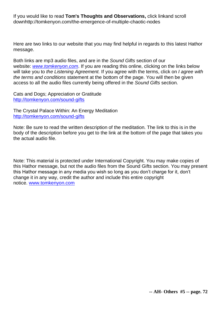If you would like to read **Tom's Thoughts and Observations,** click linkand scroll downhttp://tomkenyon.com/the-emergence-of-multiple-chaotic-nodes

Here are two links to our website that you may find helpful in regards to this latest Hathor message.

Both links are mp3 audio files, and are in the *Sound Gifts* section of our website: *[www.tomkenyon.com](http://www.tomkenyon.com/)*. If you are reading this online, clicking on the links below will take you to *the Listening Agreement.* If you agree with the terms, click on *I agree with the terms and conditions* statement at the bottom of the page. You will then be given access to all the audio files currently being offered in the *Sound Gifts* section.

Cats and Dogs; Appreciation or Gratitude [http://tomkenyon.com/sound-gifts](http://tomkenyon.us1.list-manage.com/track/click?u=8912ab056adfe19f62f8be95e&id=7d327abc17&e=496956212b)

The Crystal Palace Within: An Energy Meditation [http://tomkenyon.com/sound-gifts](http://tomkenyon.us1.list-manage.com/track/click?u=8912ab056adfe19f62f8be95e&id=93ce23e90d&e=496956212b)

Note: Be sure to read the written description of the meditation. The link to this is in the body of the description before you get to the link at the bottom of the page that takes you the actual audio file.

Note: This material is protected under International Copyright. You may make copies of this Hathor message, but not the audio files from the Sound Gifts section. You may present this Hathor message in any media you wish so long as you don't charge for it, don't change it in any way, credit the author and include this entire copyright notice. [www.tomkenyon.com](http://www.tomkenyon.com/)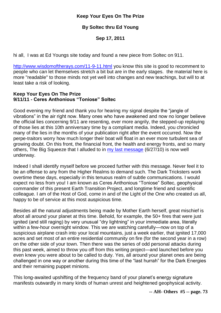## **Keep Your Eyes On The Prize**

## **By Soltec thru Ed Young**

## **Sep 17, 2011**

hi all, I was at Ed Youngs site today and found a new piece from Soltec on 911.

<http://www.wisdomoftherays.com/11-9-11.html> you know this site is good to recomment to people who can let themselves stretch a bit but are in the early stages. the material here is more "readable" to those minds not yet well into changes and new teachings, but will to at least take a risk of looking.

#### **Keep Your Eyes On The Prize 9/11/11 - Ceres Anthonious "Toniose" Soltec**

Good evening my friend and thank you for hearing my signal despite the "jangle of vibrations" in the air right now. Many ones who have awakened and now no longer believe the official lies concerning 9/11 are resenting, ever more angrily, the stepped-up replaying of those lies at this 10th anniversary time by a compliant media. Indeed, you chronicled many of the lies in the months of your publication right after the event occurred. Now the perpe-traitors worry how much longer their boat will float in an ever more turbulent sea of growing doubt. On this front, the financial front, the health and energy fronts, and so many others, The Big Squeeze that I alluded to in [my last message](http://www.wisdomoftherays.com/10-6-27.html) (6/27/10) is now well underway.

Indeed I shall identify myself before we proceed further with this message. Never feel it to be an offense to any from the Higher Realms to demand such. The Dark Tricksters work overtime these days, especially in this tenuous realm of subtle communications. I would expect no less from you! I am known as Ceres Anthonious "Toniose" Soltec, geophysical commander of this present Earth Transition Project, and longtime friend and scientific colleague. I am of the Host of God, come in and of the Light of the One who created us all, happy to be of service at this most auspicious time.

Besides all the natural adjustments being made by Mother Earth herself, great mischief is afoot all around your planet at this time. Behold, for example, the 50+ fires that were just ignited (and still raging) by very unusual "dry lightning" in your immediate area, literally within a few-hour overnight window. This we are watching carefully—now on top of a suspicious airplane crash into your local mountains, just a week earlier, that ignited 17,000 acres and set most of an entire residential community on fire (for the second year in a row) on the other side of your town. Then there was the series of odd personal attacks during this past week, aimed to throw you off from this writing project—and launched before you even knew you were about to be called to duty. Yes, all around your planet ones are being challenged in one way or another during this time of the "last hurrah" for the Dark Energies and their remaining puppet minions.

This long-awaited upshifting of the frequency band of your planet's energy signature manifests outwardly in many kinds of human unrest and heightened geophysical activity.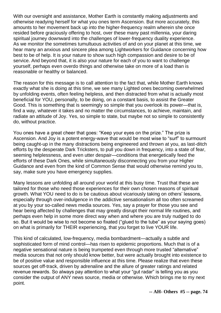With our oversight and assistance, Mother Earth is constantly making adjustments and otherwise readying herself for what you ones term Ascension. But more accurately, this amounts to her movement back up into the higher-frequency realm wherein she once resided before graciously offering to host, over these many past millennia, your daring spiritual journey downward into the challenges of lower-frequency duality experience. As we monitor the sometimes tumultuous activities of and on your planet at this time, we hear many an anxious and sincere plea among Lightworkers for Guidance concerning how best to be of help. It is your nature to show such high compassion and desire to be of service. And beyond that, it is also your nature for each of you to want to challenge yourself, perhaps even overdo things and otherwise take on more of a load than is reasonable or healthy or balanced.

The reason for this message is to call attention to the fact that, while Mother Earth knows exactly what she is doing at this time, we see many Lighted ones becoming overwhelmed by unfolding events, often feeling helpless, and then distracted from what is actually most beneficial for YOU, personally, to be doing, on a constant basis, to assist the Greater Good. This is something that is seemingly so simple that you overlook its power—that is, find a way, whatever it takes and no matter the circumstances, to achieve, maintain, and radiate an attitude of Joy. Yes, so simple to state, but maybe not so simple to consistently do, without practice.

You ones have a great cheer that goes: "Keep your eyes on the prize." The prize is Ascension. And Joy is a potent energy-wave that would be most wise to "surf" to surmount being caught-up in the many distractions being engineered and thrown at you, as last-ditch efforts by the desperate Dark Tricksters, to pull you down in frequency, into a state of fear, seeming helplessness, and even utter despair—conditions that energetically feed the efforts of these Dark Ones, while simultaneously disconnecting you from your Higher Guidance and even from the kind of Common Sense that would otherwise remind you to, say, make sure you have emergency supplies.

Many lessons are unfolding all around your world at this busy time. Trust that these are tailored for those who need those experiences for their own chosen reasons of spiritual growth. What YOU need to do is be cautious about vicariously taking on others' lessons, especially through over-indulgence in the addictive sensationalism all too often screamed at you by your so-called news media sources. Yes, say a prayer for those you see and hear being affected by challenges that may greatly disrupt their normal life routines, and perhaps even help in some more direct way when and where you are truly nudged to do so. But it would be wise to not become so fixated ("glued to the tube" as your saying goes) on what is primarily for THEIR experiencing, that you forget to live YOUR life.

This kind of calculated, low-frequency, media bombardment—actually a subtle and sophisticated form of mind control—has risen to epidemic proportions. Much that is of a negative sensational nature is being trumpeted even through more trusted "alternative" media sources that not only should know better, but were actually brought into existence to be of positive value and responsible influence at this time. Please realize that even these sources get off-track, driven by adrenaline and the allure of greater ratings and related revenue rewards. So always pay attention to what your "gut radar" is telling you as you consider the output of ANY news source, media or otherwise. Which brings me to my next point.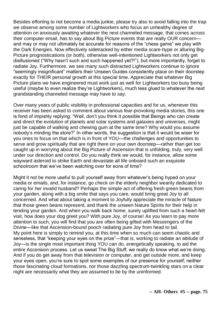Besides efforting to not become a media junkie, please try also to avoid falling into the trap we observe among some number of Lightworkers who focus an unhealthy degree of attention on anxiously awaiting whatever the next channeled message, that comes across their computer email, has to say about Big Picture events that are really OUR concern and may or may not ultimately be accurate for reasons of the "chess game" we play with the Dark Energies. Now effectively sidetracked by either media scare-hype or alluring Big-Picture prognostications (or both), otherwise well-intentioned Lightworkers not only get disillusioned ("Why hasn't such and such happened yet?!"), but more importantly, forget to radiate Joy. Furthermore, we see many such distracted Lightworkers continue to ignore "seemingly insignificant" matters their Unseen Guides consistently place on their doorstep exactly for THEIR personal growth at this special time. Appreciate that whatever Big Picture plans we have engineered must work just as well for Lightworkers too busy being useful (maybe to even realize they're Lightworkers), much less glued to whatever the next grandstanding channeled message may have to say.

Over many years of public visibility in professional capacities and for us, whenever this receiver has been asked to comment about various fear-provoking media stories, this one is fond of impishly replying: "Well, don't you think it possible that Beings who can create and direct the evolution of planets and solar systems and galaxies and universes, might just be capable of walking and chewing gum at the same time? Why would you assume nobody's minding the store?" In other words, the suggestion is that it would be wiser for you ones to focus on that which is in front of YOU—the challenges and opportunities to serve and grow spiritually that are right there on your own doorstep—rather than get too caught up in worrying about the Big Picture of Ascension that is unfolding, truly, very well under our direction and control. Do you really think we would, for instance, allow some wayward asteroid to strike Earth and devastate all life onboard such an exquisite schoolroom that we've been watching over for eons of time?

Might it not be more useful to pull yourself away from whatever's being hyped on your media or emails, and, for instance, go check on the elderly neighbor wearily dedicated to caring for her invalid husband? Perhaps the simple act of offering fresh green beans from your garden, along with a big smile that says you care, would bring great Joy to all concerned. And what about taking a moment to Joyfully appreciate the miracle of Nature that those green beans represent, and thank the unseen Nature Spirits for their help in tending your garden. And when you walk back home, surely uplifted from such a heart-felt visit, how does your dog greet you? With pure Joy, of course! As you learn to pay more attention to such, you will find that you are often being gifted with Messengers of the Divine—like that Ascension-bound pooch radiating pure Joy from head to tail. My point here is simply to remind you, at this time when so much can seem chaotic and senseless, that "keeping your eyes on the prize"—that is, working to radiate an attitude of Joy—is the single most important thing YOU can do, energetically speaking, to aid the entire Ascension process. Let us sweat The Big Stuff; we really do know what we're doing. And if you do get away from that television or computer, and get outside more, and keep your eyes open, you're sure to spot some examples of our presence for yourself; neither those fascinating cloud formations, nor those dazzling spectrum-twinkling stars on a clear night are necessarily what they are assumed to be by the uninformed.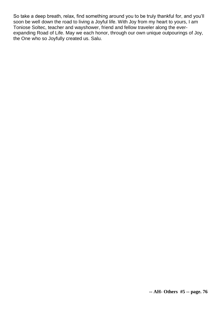So take a deep breath, relax, find something around you to be truly thankful for, and you'll soon be well down the road to living a Joyful life. With Joy from my heart to yours, I am Toniose Soltec, teacher and wayshower, friend and fellow traveler along the everexpanding Road of Life. May we each honor, through our own unique outpourings of Joy, the One who so Joyfully created us. Salu.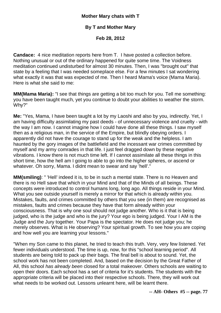### **Mother Mary chats with T**

### **By T and Mother Mary**

**Feb 28, 2012**

**Candace:** 4 nice meditation reports here from T. I have posted a collection before. Nothing unusual or out of the ordinary happened for quite some time. The Voidness meditation continued undisturbed for almost 30 minutes. Then, I was "brought out" that state by a feeling that I was needed someplace else. For a few minutes I sat wondering what exactly it was that was expected of me. Then I heard Mama's voice (Mama Maria). Here is what she said to me:

**MM(Mama Maria):** "I see that things are getting a bit too much for you. Tell me something: you have been taught much, yet you continue to doubt your abilities to weather the storm. Why?"

**Me:** "Yes, Mama, I have been taught a lot by my Laoshi and also by you, indirectly. Yet, I am having difficulty assimilating my past deeds - of unnecessary violence and cruelty - with the way I am now. I cannot imagine how I could have done all these things. I saw myself then as a religious man, in the service of the Empire, but blindly obeying orders. I apparently did not have the courage to stand up for the weak and the helpless. I am haunted by the gory images of the battlefield and the incessant war crimes committed by myself and my army comrades in that life. I just feel dragged down by these negative vibrations. I know there is not much time left. If I cannot assimilate all these things in this short time, how the hell am I going to able to go into the higher spheres, or ascend or whatever. Oh sorry, Mama. I didnt mean to swear and say 'hell'."

**MM(smiling)**: " 'Hell' indeed it is, to be in such a mental state. There is no Heaven and there is no Hell save that which in your Mind and that of the Minds of all beings. These concepts were introduced to control humans long, long ago. All things reside in your Mind. What you see outside yourself is merely a mirror for that which is already within you. Mistakes, faults, and crimes committed by others that you see (in them) are recognised as mistakes, faults and crimes because they have that form already within your consciousness. That is why one soul should not judge another. Who is it that is being judged, who is the judge and who is the jury? Your ego is being judged. Your I AM is the Judge and the Jury together. Your Papa is the spectator. He does not judge you; he merely observes. What is He observing? Your spiritual growth. To see how you are coping and how well you are learning your lessons."

"When my Son came to this planet, he tried to teach this truth. Very, very few listened. Yet fewer individuals understood. The time is up, now, for this "school learning period". All students are being told to pack up their bags. The final bell is about to sound. Yet, the school work has not been completed. And, based on the decision by the Great Father of All, this school *has already been* closed for a total makeover. Others schools are waiting to open their doors. Each school has a set of criteria for it's students. The students with the appropriate criteria will be placed into their respective schools. There, they will work out what needs to be worked out. Lessons unlearnt here, will be learnt there.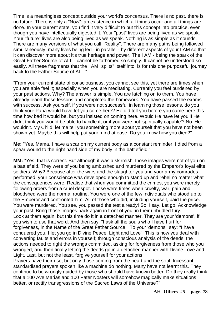Time is a meaningless concept outside your world's concensus. There is no past, there is no future. There is only a "Now"; an existence in which all things occur and all things are done. In your current state, you find it very difficult to put this concept into practice, even though you have intellectually digested it. Your "past" lives are being lived as we speak. Your "future" lives are also being lived as we speak. Nothing is as simple as it sounds. There are many versions of what you call "Reality". There are many paths being followed simultaneously; many lives being led - in parallel - by different aspects of your I AM so that it can discover more about it's true heritage and power. The I AM - being the spark of the Great Father Source of ALL - cannot be fathomed so simply. It cannot be understood so easily. All these fragments that the I AM "splits" itself into, is for this one purposeful journey back to the Father Source of ALL."

"From your current state of consciousness, you cannot see this, yet there are times when you are able feel it; especially when you are meditating. Currently you feel burdened by your past actions. Why? The answer is simple. You are latching on to them. You have already learnt those lessons and completed the homework. You have passed the exams with success. Ask yourself, if you were not successful in learning those lessons, do you think your Papa would have let you come here? He did tell you before you came here this time how bad it would be, but you insisted on coming here. Would He have let you if He didnt think you would be able to handle it, or if you were not 'spiritually capable'? No. He wouldn't. My Child, let me tell you something more about yourself that you have not been shown yet. Maybe this will help put your mind at ease. Do you know how you died?"

**Me:** "Yes, Mama. I have a scar on my current body as a constant reminder. I died from a spear wound to the right hand side of my body in the battlefield."

**MM:** "Yes, that is correct. But although it was a skirmish, those images were not of you on a battlefield. They were of you being ambushed and murdered by the Emperor's loyal elite soldiers. Why? Because after the wars and the slaughter you and your army comrades performed, your conscience was developed enough to stand up and rebel no matter what the consequences were. Realise that when you committed the crimes, you were merely following orders from a cruel despot. Those were times when cruelty, war, pain and bloodshed were the normal routine. You were one of the few individuals who stood up to the Emperor and confronted him. All of those who did, including yourself, paid the price. You were murdered. You see, you passed the test already! So, I say, Let go. Acknowledge your past. Bring those images back again in front of you, in their unbridled fury. Look at them again, but this time do it in a detached manner. They are your 'demons', if you wish to use that word. And then say: "I ask all the souls who I have hurt for forgiveness, in the Name of the Great Father Source." To your 'demons', say: "I have conquered you. I let you go in Divine Peace, Light and Love". This is how you deal with converting faults and errors in yourself; through conscious analysis of the deeds, the actions needed to right the wrongs committed, asking for forgiveness from those who you wronged, and then finally letting the deeds go in a detached manner with Divine Love and Light. Last, but not the least, forgive yourself for your actions.

Prayers have their use; but only those coming from the heart and the soul. Incessant standardised prayers spoken like a machine do nothing. Many have not learnt this. They continue to be wrongly guided by those who should have known better. Do they really think that a 100 Ave Marias and 100 Pater Nosters will somehow magically make situations better, or rectify transgressions of the Sacred Laws of the Universe?"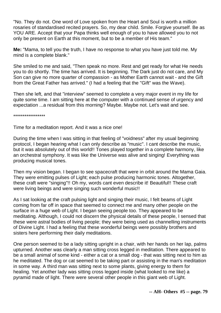"No. They do not. One word of Love spoken from the Heart and Soul is worth a million rosaries of standardised recited prayers. So, my dear child. Smile. Forgive yourself. Be as YOU ARE. Accept that your Papa thinks well enough of you to have allowed you to not only be present on Earth at this moment, but to be a member of His team."

**Me:** "Mama, to tell you the truth, I have no response to what you have just told me. My mind is a complete blank."

She smiled to me and said, "Then speak no more. Rest and get ready for what He needs you to do shortly. The time has arrived. It is beginning. The Dark just do not care, and My Son can give no more quarter of compassion - as Mother Earth cannot wait - and the Gift from the Great Father has arrived." (I had a feeling that the "Gift" was the Wave).

Then she left, and that "interview" seemed to complete a very major event in my life for quite some time. I am sitting here at the computer with a continued sense of urgency and expectation ...a residual from this morning? Maybe. Maybe not. Let's wait and see.

\*\*\*\*\*\*\*\*\*\*\*\*\*\*\*\*\*

Time for a meditation report. And it was a nice one!

During the time when I was sitting in that feeling of "voidness" after my usual beginning protocol, I began hearing what I can only describe as "music". I cant describe the music, but it was absolutely out of this world!! Tones played together in a complete harmony, like an orchestral symphony. It was like the Universe was alive and singing! Everything was producing musical tones.

Then my vision began. I began to see spacecraft that were in orbit around the Mama Gaia. They were emitting pulses of Light; each pulse producing harmonic tones. Altogether, these craft were "singing"!! Oh my, words cant even describe it! Beautiful!! These craft were living beings and were singing such wonderful music!!

As I sat looking at the craft pulsing light and singing their music, I felt beams of Light coming from far off in space that seemed to connect me and many other people on the surface in a huge web of Light. I began seeing people too. They appeared to be meditating. Although, I could not discern the physical details of these people, I sensed that these were astral bodies of living people; they were being used as channelling instruments of Divine Light. I had a feeling that these wonderful beings were possibly brothers and sisters here performing their daily meditations.

One person seemed to be a lady sitting upright in a chair, with her hands on her lap, palms upturned. Another was clearly a man sitting cross legged in meditation. There appeared to be a small animal of some kind - either a cat or a small dog - that was sitting next to him as he meditated. The dog or cat seemed to be taking part or assisting in the man's meditation in some way. A third man was sitting next to some plants, giving energy to them for healing. Yet another lady was sitting cross legged inside (what looked to me like) a pyramid made of light. There were several other people in this giant web of Light.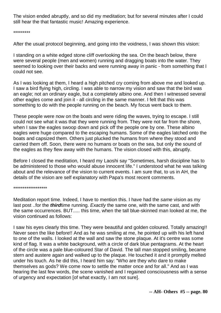The vision ended abruptly, and so did my meditation; but for several minutes after I could still hear the that fantastic music! Amazing experience.

\*\*\*\*\*\*\*\*\*

After the usual protocol beginning, and going into the voidness, I was shown this vision:

I standing on a white edged stone cliff overlooking the sea. On the beach below, there were several people (men and women) running and dragging boats into the water. They seemed to looking over their backs and were running away in panic - from something that I could not see.

As I was looking at them, I heard a high pitched cry coming from above me and looked up. I saw a bird flying high, circling. I was able to narrow my vision and saw that the bird was an eagle; not an ordinary eagle, but a completely albino one. And then I witnessed several other eagles come and join it - all circling in the same manner. I felt that this was something to do with the people running on the beach. My focus went back to them.

These people were now on the boats and were riding the waves, trying to escape. I still could not see what it was that they were running from. They were not far from the shore, when I saw the eagles swoop down and pick off the people one by one. These albino eagles were huge compared to the escaping humans. Some of the eagles latched onto the boats and capsized them. Others just plucked the humans from where they stood and carried them off. Soon, there were no humans or boats on the sea, but only the sound of the eagles as they flew away with the humans. The vision closed with this, abruptly.

Before I closed the meditation, I heard my Laoshi say "Sometimes, harsh discipline has to be administered to those who would abuse innocent life." I understood what he was talking about and the relevance of the vision to current events. I am sure that, to us in AH, the details of the vision are self explanatory with Papa's most recent comments.

\*\*\*\*\*\*\*\*\*\*\*\*\*\*\*\*\*\*

Meditation report time. Indeed, I have to mention this. I have had the *same* vision as my last post ..for the *third*time running. *Exactly* the same one, with the same cast, and with the same occurrences. BUT..... this time, when the tall blue-skinned man looked at me, the vision continued as follows:

I saw his eyes clearly this time. They were beautiful and golden coloured. Totally amazing!! Never seen the like before!! And as he was smiling at me, he pointed up with his left hand to one of the walls. I looked at the wall and saw the stone plaque. At it's centre was some kind of flag. It was a white background, with a circle of dark blue pentagrams. At the heart of the circle was a pale blue-coloured Star of David. The tall man stopped smiling, became stern and austere again and walked up to the plaque. He touched it and it promptly melted under his touch. As he did this, I heard him say: "Who are they who dare to make themselves as gods? We come now to settle the matter once and for all." And as I was hearing the last few words, the scene vanished and I regained consciousness with a sense of urgency and expectation [of what exactly, I am not sure].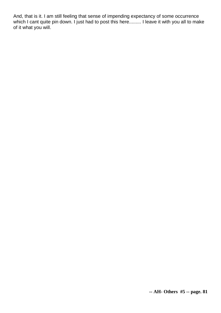And, that is it. I am still feeling that sense of impending expectancy of some occurrence which I cant quite pin down. I just had to post this here......... I leave it with you all to make of it what you will.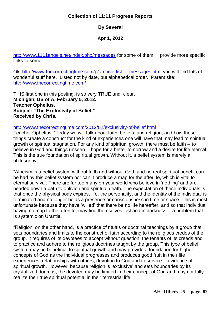## **Collection of 11:11 Progress Reports**

**By Several** 

**Apr 1, 2012**

<http://www.1111angels.net/index.php/messages> for some of them. I provide more specific links to some.

Ok, <http://www.thecorrectingtime.com/p/archive-list-of-messages.html> you will find lots of wonderful stuff here. Listed not by date, but alphabetical order. Parent site[:](http://www.thecorrectingtime.com/) <http://www.thecorrectingtime.com/>

THIS first one in this posting, is so very TRUE and clear. **Michigan, US of A, February 5, 2012. Teacher Ophelius. Subject: "The Exclusivity of Belief." Received by Chris.**

#### <http://www.thecorrectingtime.com/2012/02/exclusivity-of-belief.html>

Teacher Ophelius: "Today we will talk about faith, beliefs, and religion, and how these things create a construct for the kind of experiences one will have that may lead to spiritual growth or spiritual stagnation. For any kind of spiritual growth, there must be faith -- to believe in God and things unseen -- hope for a better tomorrow and a desire for life eternal. This is the true foundation of spiritual growth. Without it, a belief system is merely a philosophy.

"Atheism is a belief system without faith and without God, and no real spiritual benefit can be had by this belief system nor can it produce a map for the afterlife, which is vital to eternal survival. There are far too many on your world who believe in 'nothing' and are headed down a path to oblivion and spiritual death. The expectation of these individuals is that once the physical body expires, life, the personality, and the identity of the individual is terminated and no longer holds a presence or consciousness in time or space. This is most unfortunate because they have 'willed' that there be no life hereafter, and so that individual having no map to the afterlife, may find themselves lost and in darkness -- a problem that is systemic on Urantia.

"Religion, on the other hand, is a practice of rituals or doctrinal teachings by a group that sets boundaries and limits to the construct of faith according to the religious credos of the group. It requires of its devotees to accept without question, the tenants of its creeds and to practice and adhere to the religious doctrines taught by the group. This type of belief system may be beneficial to spiritual growth and may provide a foundation for higher concepts of God as the individual progresses and produces good fruit in their life experiences, relationships with others, devotion to God and to service -- evidence of spiritual growth. However, because religion is 'exclusive' and sets boundaries by its crystallized dogmas, the devotee may be limited in their concept of God and may not fully realize their true spiritual potential in their terrestrial life.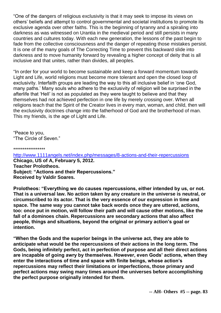"One of the dangers of religious exclusivity is that it may seek to impose its views on others' beliefs and attempt to control governmental and societal institutions to promote its exclusive agenda over other faiths. This is the beginning of tyranny and a spiraling into darkness as was witnessed on Urantia in the medieval period and still persists in many countries and cultures today. With each new generation, the lessons of the past begin to fade from the collective consciousness and the danger of repeating those mistakes persist. It is one of the many goals of The Correcting Time to prevent this backward slide into darkness and to move humanity forward by revealing a higher concept of deity that is all inclusive and that unites, rather than divides, all peoples.

"In order for your world to become sustainable and keep a forward momentum towards Light and Life, world religions must become more tolerant and open the closed loop of exclusivity. Interfaith groups are leading the way to this all inclusive belief in 'one God, many paths.' Many souls who adhere to the exclusivity of religion will be surprised in the afterlife that 'Hell' is not as populated as they were taught to believe and that they themselves had not achieved perfection in one life by merely crossing over. When all religions teach that the Spirit of the Creator lives in every man, woman, and child, then will the exclusivity doctrines change into the fatherhood of God and the brotherhood of man. This my friends, is the age of Light and Life.

"Peace to you, "The Circle of Seven."

\*\*\*\*\*\*\*\*\*\*\*\*\*\*\*\*\*

<http://www.1111angels.net/index.php/messages/8-actions-and-their-repercussions> **Chicago, US of A, February 5, 2012. Teacher Prolotheos. Subject: "Actions and their Repercussions." Received by Valdir Soares.**

**Prolotheos: "Everything we do causes repercussions, either intended by us, or not. That is a universal law. No action taken by any creature in the universe is neutral, or circumscribed to its actor. That is the very essence of our expression in time and space. The same way you cannot take back words once they are uttered, actions, too: once put in motion, will follow their path and will cause other motions, like the fall of a dominoes chain. Repercussions are secondary actions that also affect people, things and situations, beyond the original or primary action's goal or intention.**

**"When the Gods and the superior beings in the universe act, they are able to anticipate what would be the repercussions of their actions in the long term. The Gods, being infinitely perfect, act in perfection of purpose and all their direct actions are incapable of going awry by themselves. However, even Gods' actions, when they enter the interactions of time and space with finite beings, whose action's repercussions may reflect their limitations or imperfections, those primary and perfect actions may swing many times around the universes before accomplishing the perfect purpose originally intended for them.**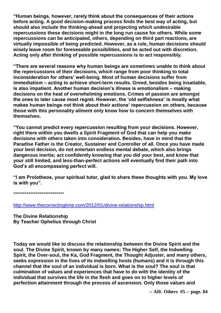**"Human beings, however, rarely think about the consequences of their actions before acting. A good decision-making process finds the best way of acting, but should also include the thinking-ahead and projecting which undesirable repercussions these decisions might in the long run cause for others. While some repercussions can be anticipated, others, depending on third part reactions, are virtually impossible of being predicted. However, as a rule, human decisions should wisely leave room for foreseeable possibilities, and be acted out with discretion. Acting only after thinking of possible repercussions is to act responsibly.**

**"There are several reasons why human beings are sometimes unable to think about the repercussions of their decisions, which range from poor thinking to total inconsideration for others' well-being. Most of human decisions suffer from immediatism – acting to achieve short-term results. Greed, besides being insatiable, is also impatient. Another human decision's illness is emotionalism – making decisions on the heat of overwhelming emotions. Crimes of passion are amongst the ones to later cause most regret. However, the 'old selfishness' is mostly what makes human beings not think about their actions' repercussion on others, because those with this personality ailment only know how to concern themselves with themselves.**

**"You cannot predict every repercussion resulting from your decisions. However, right there within you dwells a Spirit Fragment of God that can help you make decisions with others taken into consideration. Besides, have in mind that the Paradise Father is the Creator, Sustainer and Controller of all. Once you have made your best decision, do not entertain endless mental debate, which also brings dangerous inertia; act confidently knowing that you did your best, and know that your still limited, and less-than-perfect actions will eventually find their path into God's all encompassing perfect will.**

**"I am Prolotheos, your spiritual tutor, glad to share these thoughts with you. My love is with you".**

\*\*\*\*\*\*\*\*\*\*\*\*\*\*\*\*\*\*\*\*\*\*\*\*\*\*\*

<http://www.thecorrectingtime.com/2012/01/divine-relationship.html>

**The Divine Relationship By Teacher Ophelius through Christ**

**Today we would like to discuss the relationship between the Divine Spirit and the soul. The Divine Spirit, known by many names: The Higher Self, the Indwelling Spirit, the Over-soul, the Ka, God Fragment, the Thought Adjuster, and many others, seeks expression in the lives of its indwelling hosts (humans) and it is through this channel that the soul of an individual is born. What is the soul? The soul is that culmination of values and experiences that have to do with the identity of the individual that survives the life in the flesh and goes on to higher levels of perfection attainment through the process of ascension. Only those values and**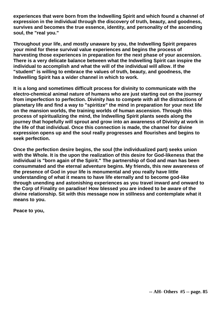**experiences that were born from the Indwelling Spirit and which found a channel of expression in the individual through the discovery of truth, beauty, and goodness, survives and becomes the true essence, identity, and personality of the ascending soul, the "real you."**

**Throughout your life, and mostly unaware by you, the Indwelling Spirit prepares your mind for these survival value experiences and begins the process of harvesting those experiences in preparation for the next phase of your ascension. There is a very delicate balance between what the Indwelling Spirit can inspire the individual to accomplish and what the will of the individual will allow. If the "student" is willing to embrace the values of truth, beauty, and goodness, the Indwelling Spirit has a wider channel in which to work.**

**It is a long and sometimes difficult process for divinity to communicate with the electro-chemical animal nature of humans who are just starting out on the journey from imperfection to perfection. Divinity has to compete with all the distractions of planetary life and find a way to "spiritize" the mind in preparation for your next life on the mansion worlds, the training worlds of human ascension. Through this process of spiritualizing the mind, the Indwelling Spirit plants seeds along the journey that hopefully will sprout and grow into an awareness of Divinity at work in the life of that individual. Once this connection is made, the channel for divine expression opens up and the soul really progresses and flourishes and begins to seek perfection.**

**Once the perfection desire begins, the soul (the individualized part) seeks union with the Whole. It is the upon the realization of this desire for God-likeness that the individual is "born again of the Spirit." The partnership of God and man has been consummated and the eternal adventure begins. My friends, this new awareness of the presence of God in your life is monumental and you really have little understanding of what it means to have life eternally and to become god-like through unending and astonishing experiences as you travel inward and onward to the Corp of Finality on paradise! How blessed you are indeed to be aware of the divine relationship. Sit with this message now in stillness and contemplate what it means to you.**

**Peace to you,**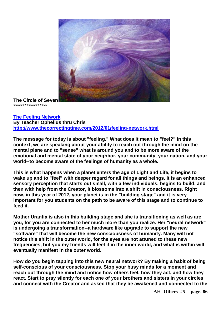

**The Circle of Seven** \*\*\*\*\*\*\*\*\*\*\*\*\*\*\*\*\*\*

# **[The Feeling Network](http://1111prompt.blogspot.com/2012/01/feeling-network.html)**

**By Teacher Ophelius thru Chris <http://www.thecorrectingtime.com/2012/01/feeling-network.html>**

**The message for today is about "feeling." What does it mean to "feel?" In this context, we are speaking about your ability to reach out through the mind on the mental plane and to "sense" what is around you and to be more aware of the emotional and mental state of your neighbor, your community, your nation, and your world--to become aware of the feelings of humanity as a whole.**

**This is what happens when a planet enters the age of Light and Life, it begins to wake up and to "feel" with deeper regard for all things and beings. It is an enhanced sensory perception that starts out small, with a few individuals, begins to build, and then with help from the Creator, it blossoms into a shift in consciousness. Right now, in this year of 2012, your planet is in the "building stage" and it is very important for you students on the path to be aware of this stage and to continue to feed it.**

**Mother Urantia is also in this building stage and she is transitioning as well as are you, for you are connected to her much more than you realize. Her "neural network" is undergoing a transformation--a hardware like upgrade to support the new "software" that will become the new consciousness of humanity. Many will not notice this shift in the outer world, for the eyes are not attuned to these new frequencies, but you my friends will feel it in the inner world, and what is within will eventually manifest in the outer world.**

**How do you begin tapping into this new neural network? By making a habit of being self-conscious of your consciousness. Stop your busy minds for a moment and reach out through the mind and notice how others feel, how they act, and how they react. Start to pray silently for each one of your brothers and sisters in your circles and connect with the Creator and asked that they be awakened and connected to the**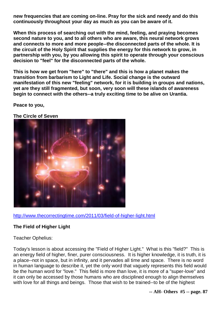**new frequencies that are coming on-line. Pray for the sick and needy and do this continuously throughout your day as much as you can be aware of it.**

**When this process of searching out with the mind, feeling, and praying becomes second nature to you, and to all others who are aware, this neural network grows and connects to more and more people--the disconnected parts of the whole. It is the circuit of the Holy Spirit that supplies the energy for this network to grow, in partnership with you, by you allowing this spirit to operate through your conscious decision to "feel" for the disconnected parts of the whole.**

**This is how we get from "here" to "there" and this is how a planet makes the transition from barbarism to Light and Life. Social change is the outward manifestation of this new "feeling" network, for it is building in groups and nations, yet are they still fragmented, but soon, very soon will these islands of awareness begin to connect with the others--a truly exciting time to be alive on Urantia.**

**Peace to you,**

**The Circle of Seven**



<http://www.thecorrectingtime.com/2011/03/field-of-higher-light.html>

## **The Field of Higher Light**

Teacher Ophelius:

Today's lesson is about accessing the "Field of Higher Light." What is this "field?" This is an energy field of higher, finer, purer consciousness. It is higher knowledge, it is truth, it is a place--not in space, but in infinity, and it pervades all time and space. There is no word in human language to describe it, yet the only word that vaguely represents this field would be the human word for "love." This field is more than love, it is more of a "super-love" and it can only be accessed by those humans who are disciplined enough to align themselves with love for all things and beings. Those that wish to be trained--to be of the highest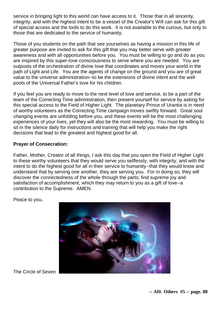service in bringing light to this world can have access to it. Those that in all sincerity, integrity, and with the highest intent to be a vessel of the Creator's Will can ask for this gift of special access and the tools to do this work. It is not available to the curious, but only to those that are dedicated to the service of humanity.

Those of you students on the path that see yourselves as having a mission in this life of greater purpose are invited to ask for this gift that you may better serve with greater awareness and with all opportunities before you. You must be willing to go and do as you are inspired by this super-love consciousness to serve where you are needed. You are outposts of the orchestration of divine love that coordinates and moves your world in the path of Light and Life. You are the agents of change on the ground and you are of great value to the universe administration--to be the extensions of divine intent and the well pools of the Universal Father's love for his children.

If you feel you are ready to move to the next level of love and service, to be a part of the team of the Correcting Time administration, then present yourself for service by asking for this special access to the Field of Higher Light. The planetary Prince of Urantia is in need of worthy volunteers as the Correcting Time campaign moves swiftly forward. Great soul changing events are unfolding before you, and these events will be the most challenging experiences of your lives, yet they will also be the most rewarding. You must be willing to sit in the silence daily for instructions and training that will help you make the right decisions that lead to the greatest and highest good for all.

### **Prayer of Consecration:**

Father, Mother, Creator of all things, I ask this day that you open the Field of Higher Light to these worthy volunteers that they would serve you selflessly, with integrity, and with the intent to do the highest good for all in their service to humanity--that they would know and understand that by serving one another, they are serving you. For in doing so, they will discover the connectedness of the whole through the parts; find supreme joy and satisfaction of accomplishment, which they may return to you as a gift of love--a contribution to the Supreme. AMEN.

Peace to you,



The Circle of Seven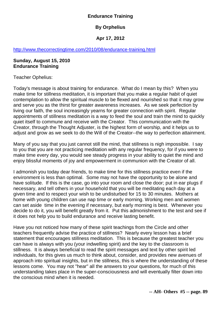## **Endurance Training**

### **By Orphelius**

## **Apr 17, 2012**

<http://www.thecorrectingtime.com/2010/08/endurance-training.html>

#### **Sunday, August 15, 2010 Endurance Training**

Teacher Ophelius:

Today's message is about training for endurance. What do I mean by this? When you make time for stillness meditation, it is important that you make a regular habit of quiet contemplation to allow the spiritual muscle to be flexed and nourished so that it may grow and serve you as the thirst for greater awareness increases. As we seek perfection by living our faith, the soul increasingly yearns for greater connection with spirit. Regular appointments of stillness meditation is a way to feed the soul and train the mind to quickly quiet itself to commune and receive with the Creator. This communication with the Creator, through the Thought Adjuster, is the highest form of worship, and it helps us to adjust and grow as we seek to do the Will of the Creator--the way to perfection attainment.

Many of you say that you just cannot still the mind, that stillness is nigh impossible. I say to you that you are not practicing meditation with any regular frequency, for if you were to make time every day, you would see steady progress in your ability to quiet the mind and enjoy blissful moments of joy and empowerment in communion with the Creator of all.

I admonish you today dear friends, to make time for this stillness practice even if the environment is less than optimal. Some may not have the opportunity to be alone and have solitude. If this is the case, go into your room and close the door; put in ear plugs if necessary, and tell others in your household that you will be meditating each day at a given time and to respect your wish to be undisturbed for 15 to 30 minutes. Mothers at home with young children can use nap time or early morning. Working men and women can set aside time in the evening if necessary, but early morning is best. Whenever you decide to do it, you will benefit greatly from it. Put this admonishment to the test and see if it does not help you to build endurance and receive lasting benefit.

Have you not noticed how many of these spirit teachings from the Circle and other teachers frequently advise the practice of stillness? Nearly every lesson has a brief statement that encourages stillness meditation. This is because the greatest teacher you can have is always with you (your indwelling spirit) and the key to the classroom is stillness. It is always beneficial to read the spirit messages and text by other spirit led individuals, for this gives us much to think about, consider, and provides new avenues of approach into spiritual insights, but in the stillness, this is where the understanding of these lessons come. You may not "hear" all the answers to your questions, for much of this understanding takes place in the super-consciousness and will eventually filter down into the conscious mind when it is needed.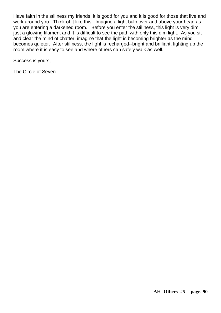Have faith in the stillness my friends, it is good for you and it is good for those that live and work around you. Think of it like this: Imagine a light bulb over and above your head as you are entering a darkened room. Before you enter the stillness, this light is very dim, just a glowing filament and It is difficult to see the path with only this dim light. As you sit and clear the mind of chatter, imagine that the light is becoming brighter as the mind becomes quieter. After stillness, the light is recharged--bright and brilliant, lighting up the room where it is easy to see and where others can safely walk as well.

Success is yours,

The Circle of Seven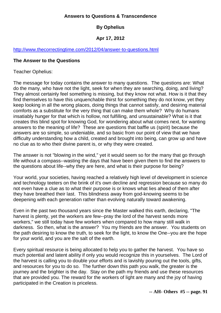### **Answers to Questions & Transcendence**

**By Ophelius**

## **Apr 17, 2012**

<http://www.thecorrectingtime.com/2012/04/answer-to-questions.html>

#### **The Answer to the Questions**

Teacher Ophelius:

The message for today contains the answer to many questions. The questions are: What do the many, who have not the light, seek for when they are searching, doing, and living? They almost certainly feel something is missing, but they know not what. How is it that they find themselves to have this unquenchable thirst for something they do not know, yet they keep looking in all the wrong places, doing things that cannot satisfy, and desiring material comforts as a substitute for the very thing that can make them whole? Why do humans insatiably hunger for that which is hollow, not fulfilling, and unsustainable? What is it that creates this blind spot for knowing God, for wondering about what comes next, for wanting answers to the meaning of life? These are questions that baffle us (spirit) because the answers are so simple, so undeniable, and so basic from our point of view that we have difficulty understanding how a child, created and brought into being, can grow up and have no clue as to who their divine parent is, or why they were created.

The answer is not "blowing in the wind," yet it would seem so for the many that go through life without a compass--wasting the days that have been given them to find the answers to the questions about life--why they are here, and what is their purpose for being?

Your world, your societies, having reached a relatively high level of development in science and technology teeters on the brink of it's own decline and regression because so many do not even have a clue as to what their purpose is or knows what lies ahead of them after they have breathed their last. This blindness away from god-knowing seems to be deepening with each generation rather than evolving naturally toward awakening.

Even in the past two thousand years since the Master walked this earth, declaring, "The harvest is plenty, yet the workers are few--pray the lord of the harvest sends more workers," we still today have few workers when compared to how many still walk in darkness. So then, what is the answer? You my friends are the answer. You students on the path desiring to know the truth, to seek for the light, to know the One--you are the hope for your world, and you are the salt of the earth.

Every spiritual resource is being allocated to help you to gather the harvest. You have so much potential and latent ability if only you would recognize this in yourselves. The Lord of the harvest is calling you to double your efforts and is lavishly pouring out the tools, gifts, and resources for you to do so. The further down this path you walk, the greater is the journey and the brighter is the day. Stay on the path my friends and use these resources that are provided you. The reward for the workers of light are many and the joy of having participated in the Creation is priceless.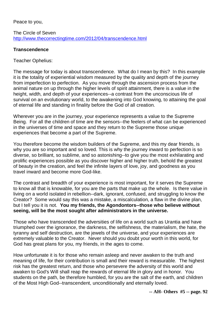Peace to you,

The Circle of Seven <http://www.thecorrectingtime.com/2012/04/transcendence.html>

#### **Transcendence**

Teacher Ophelius:

The message for today is about transcendence. What do I mean by this? In this example it is the totality of experiential wisdom measured by the quality and depth of the journey from imperfection to perfection. As you move through the ascension process from the animal nature on up through the higher levels of spirit attainment, there is a value in the height, width, and depth of your experiences--a contrast from the unconscious life of survival on an evolutionary world, to the awakening into God knowing, to attaining the goal of eternal life and standing in finality before the God of all creation.

Wherever you are in the journey, your experience represents a value to the Supreme Being. For all the children of time are the sensors--the feelers of what can be experienced in the universes of time and space and they return to the Supreme those unique experiences that become a part of the Supreme.

You therefore become the wisdom builders of the Supreme, and this my dear friends, is why you are so important and so loved. This is why the journey inward to perfection is so diverse, so brilliant, so sublime, and so astonishing--to give you the most exhilarating and prolific experiences possible as you discover higher and higher truth, behold the greatest of beauty in the creation, and feel the infinite layers of love, joy, and goodness as you travel inward and become more God-like.

The contrast and breadth of your experience is most important, for it serves the Supreme to know all that is knowable, for you are the parts that make up the whole. Is there value in living on a world isolated in rebellion--dark, ignorant, confused, and struggling to know the Creator? Some would say this was a mistake, a miscalculation, a flaw in the divine plan, but I tell you it is not. **You my friends, the Agondontors--those who believe without seeing, will be the most sought after administrators in the universe.** 

Those who have transcended the adversities of life on a world such as Urantia and have triumphed over the ignorance, the darkness, the selfishness, the materialism, the hate, the tyranny and self destruction, are the jewels of the universe, and your experiences are extremely valuable to the Creator. Never should you doubt your worth in this world, for God has great plans for you, my friends, in the ages to come.

How unfortunate it is for those who remain asleep and never awaken to the truth and meaning of life, for their contribution is small and their reward is measurable. The highest risk has the greatest return, and those who persevere the adversity of this world and awaken to God's Will shall reap the rewards of eternal life in glory and in honor. You students on the path, be therefore humbled, for you are the salt of the earth, and children of the Most High God--transcendent, unconditionally and eternally loved.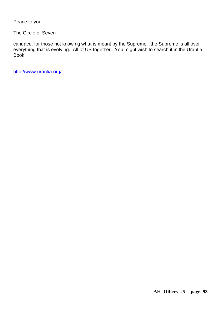Peace to you,

The Circle of Seven

candace: for those not knowing what is meant by the Supreme, the Supreme is all over everything that is evolving. All of US together. You might wish to search it in the Urantia Book.

<http://www.urantia.org/>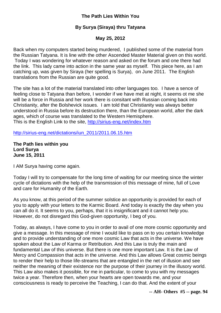## **The Path Lies Within You**

## **By Surya (Siraya) thru Tatyana**

### **May 25, 2012**

Back when my computers started being murdered, I published some of the material from the Russian Tatyana. It is line with the other Ascended Master Material given on this world. Today I was wondering for whatever reason and asked on the forum and one there had the link. This lady came into action in the same year as myself. This piece here, as I am catching up, was given by Siraya (her spelling is Surya), on June 2011. The English translations from the Russian are quite good.

The site has a lot of the material translated into other languages too. I have a sence of feeling close to Tatyana than before, I wonder if we have met at night, it seems ot me she will be a force in Russia and her work there is consitant with Russian coming back into Christianity, after the Bolshevick issues. I am told that Christianity was always better understood in Russia before its destruction there, than the European world, after the dark ages, which of course was translated to the Western Hemisphere. This is the English Link to the site,<http://sirius-eng.net/index.htm>

[http://sirius-eng.net/dictations/iun\\_2011/2011.06.15.htm](http://sirius-eng.net/dictations/iun_2011/2011.06.15.htm)

**The Path lies within you Lord Surya June 15, 2011**

I AM Surya having come again.

Today I will try to compensate for the long time of waiting for our meeting since the winter cycle of dictations with the help of the transmission of this message of mine, full of Love and care for Humanity of the Earth.

As you know, at this period of the summer solstice an opportunity is provided for each of you to apply with your letters to the Karmic Board. And today is exactly the day when you can all do it. It seems to you, perhaps, that it is insignificant and it cannot help you. However, do not disregard this God-given opportunity, I beg of you.

Today, as always, I have come to you in order to avail of one more cosmic opportunity and give a message. In this message of mine I would like to pass on to you certain knowledge and to provide understanding of one more cosmic Law that acts in the universe. We have spoken about the Law of Karma or Retribution. And this Law is truly the main and fundamental Law of this universe. But there is one more important Law. It is the Law of Mercy and Compassion that acts in the universe. And this Law allows Great cosmic beings to render their help to those life-streams that are entangled in the net of illusion and see neither the meaning of their existence nor the purpose of their journey in the illusory world. This Law also makes it possible, for me in particular, to come to you with my messages twice a year. Therefore then, when your hearts are open towards me, and your consciousness is ready to perceive the Teaching, I can do that. And the extent of your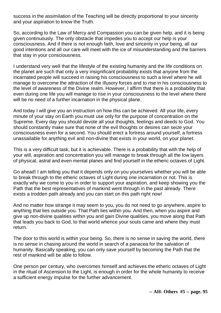success in the assimilation of the Teaching will be directly proportional to your sincerity and your aspiration to know the Truth.

So, according to the Law of Mercy and Compassion you can be given help, and it is being given continuously. The only obstacle that impedes you to accept our help is your consciousness. And if there is not enough faith, love and sincerity in your being, all our good intentions and all our care will meet with the ice of misunderstanding and the barriers that stay in your consciousness.

I understand very well that the lifestyle of the existing humanity and the life conditions on the planet are such that only a very insignificant probability exists that anyone from the incarnated people will succeed in raising his consciousness to such a level where he will manage to overcome the attraction of the illusory forces and to rise in his consciousness to the level of awareness of the Divine realm. However, I affirm that there is a probability that even during one life you will manage to rise in your consciousness to the level where there will be no need of a further incarnation in the physical plane.

And today I will give you an instruction on how this can be achieved. All your life, every minute of your stay on Earth you must use only for the purpose of concentration on the Supreme. Every day you should devote all your thoughts, feelings and deeds to God. You should constantly make sure that none of the evil thoughts or desires can seize your consciousness even for a second. You should erect a fortress around yourself, a fortress unassailable for anything evil and non-divine that exists in your world, on your planet.

This is a very difficult task, but it is achievable. There is a probability that with the help of your will, aspiration and concentration you will manage to break through all the low layers of physical, astral and even mental planes and find yourself in the etheric octaves of Light.

Go ahead! I am telling you that it depends only on you yourselves whether you will be able to break through to the etheric octaves of Light during one incarnation or not. This is exactly why we come to you in order to support your aspiration, and keep showing you the Path that the best representatives of mankind went through in the past already. There exists a trodden path already and you can start on this path right now!

And no matter how strange it may seem to you, you do not need to go anywhere, aspire to anything that lies outside you. That Path lies within you. And then, when you aspire and give up non-divine qualities within you and gain Divine qualities, you move along that Path that leads you back to God, to that world whence your souls came and where they must return.

The door to this world is within your being. So, there is no sense in saving the world, there is no sense in chasing around the world in search of a panacea for the salvation of humanity. Basically speaking, you can only save yourself by becoming the Path that the rest of mankind will be able to follow.

One person per century, who overcomes himself and achieves the etheric octaves of Light in the ritual of Ascension to the Light, is enough in order for the whole humanity to receive a sufficient energy impulse for the further advancement.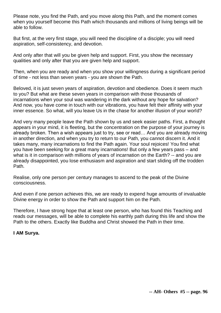Please note, you find the Path, and you move along this Path, and the moment comes when you yourself become this Path which thousands and millions of living beings will be able to follow.

But first, at the very first stage, you will need the discipline of a disciple; you will need aspiration, self-consistency, and devotion.

And only after that will you be given help and support. First, you show the necessary qualities and only after that you are given help and support.

Then, when you are ready and when you show your willingness during a significant period of time - not less than seven years - you are shown the Path.

Beloved, it is just seven years of aspiration, devotion and obedience. Does it seem much to you? But what are these seven years in comparison with those thousands of incarnations when your soul was wandering in the dark without any hope for salvation? And now, you have come in touch with our vibrations, you have felt their affinity with your inner essence. So what, will you leave Us in the chase for another illusion of your world?

And very many people leave the Path shown by us and seek easier paths. First, a thought appears in your mind, it is fleeting, but the concentration on the purpose of your journey is already broken. Then a wish appears just to try, see or read… And you are already moving in another direction, and when you try to return to our Path, you cannot discern it. And it takes many, many incarnations to find the Path again. Your soul rejoices! You find what you have been seeking for a great many incarnations! But only a few years pass – and what is it in comparison with millions of years of incarnation on the Earth? -- and you are already disappointed, you lose enthusiasm and aspiration and start sliding off the trodden Path.

Realise, only one person per century manages to ascend to the peak of the Divine consciousness.

And even if one person achieves this, we are ready to expend huge amounts of invaluable Divine energy in order to show the Path and support him on the Path.

Therefore, I have strong hope that at least one person, who has found this Teaching and reads our messages, will be able to complete his earthly path during this life and show the Path to the others. Exactly like Buddha and Christ showed the Path in their time.

### **I AM Surya.**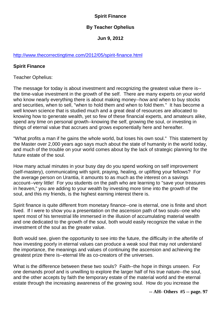## **Spirit Finance**

## **By Teacher Ophelius**

**Jun 9, 2012**

<http://www.thecorrectingtime.com/2012/05/spirit-finance.html>

## **Spirit Finance**

Teacher Ophelius:

The message for today is about investment and recognizing the greatest value there is- the time-value investment in the growth of the self. There are many experts on your world who know nearly everything there is about making money--how and when to buy stocks and securities, when to sell, "when to hold them and when to fold them." It has become a well known science that is studied much and a great deal of resources are allocated to knowing how to generate wealth, yet so few of these financial experts, and amateurs alike, spend any time on personal growth--knowing the self, growing the soul, or investing in things of eternal value that accrues and grows exponentially here and hereafter.

"What profits a man if he gains the whole world, but loses his own soul." This statement by the Master over 2,000 years ago says much about the state of humanity in the world today, and much of the trouble on your world comes about by the lack of strategic planning for the future estate of the soul.

How many actual minutes in your busy day do you spend working on self improvement (self-mastery), communicating with spirit, praying, healing, or uplifting your fellows? For the average person on Urantia, it amounts to as much as the interest on a savings account--very little! For you students on the path who are learning to "save your treasures in heaven," you are adding to your wealth by investing more time into the growth of the soul, and this my friends, is the highest earning interest there is.

Spirit finance is quite different from monetary finance--one is eternal, one is finite and short lived. If I were to show you a presentation on the ascension path of two souls--one who spent most of his terrestrial life immersed in the illusion of accumulating material wealth and one dedicated to the growth of the soul, both would easily recognize the value in the investment of the soul as the greater value.

Both would see, given the opportunity to see into the future, the difficulty in the afterlife of how investing poorly in eternal values can produce a weak soul that may not understand the importance, the meanings and values of continuing the ascension and achieving the greatest prize there is--eternal life as co-creators of the universes.

What is the difference between these two souls? Faith--the hope in things unseen. For one demands proof and is unwilling to explore the larger half of his true nature--the soul, and the other accepts by faith the temporary estate of the material world and the eternal estate through the increasing awareness of the growing soul. How do you increase the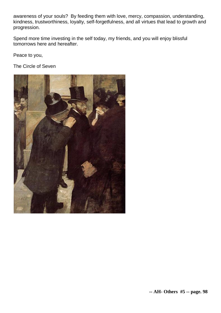awareness of your souls? By feeding them with love, mercy, compassion, understanding, kindness, trustworthiness, loyalty, self-forgetfulness, and all virtues that lead to growth and progression.

Spend more time investing in the self today, my friends, and you will enjoy blissful tomorrows here and hereafter.

Peace to you,

The Circle of Seven

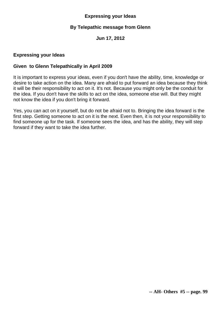## **Expressing your Ideas**

## **By Telepathic message from Glenn**

## **Jun 17, 2012**

## **Expressing your Ideas**

## **Given to Glenn Telepathically in April 2009**

It is important to express your ideas, even if you don't have the ability, time, knowledge or desire to take action on the idea. Many are afraid to put forward an idea because they think it will be their responsibility to act on it. It's not. Because you might only be the conduit for the idea. If you don't have the skills to act on the idea, someone else will. But they might not know the idea if you don't bring it forward.

Yes, you can act on it yourself, but do not be afraid not to. Bringing the idea forward is the first step. Getting someone to act on it is the next. Even then, it is not your responsibility to find someone up for the task. If someone sees the idea, and has the ability, they will step forward if they want to take the idea further.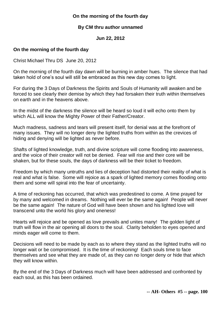### **On the morning of the fourth day**

#### **By CM thru author unnamed**

#### **Jun 22, 2012**

#### **On the morning of the fourth day**

Christ Michael Thru DS June 20, 2012

On the morning of the fourth day dawn will be burning in amber hues. The silence that had taken hold of one's soul will still be embraced as this new day comes to light.

For during the 3 Days of Darkness the Spirits and Souls of Humanity will awaken and be forced to see clearly their demise by which they had forsaken their truth within themselves on earth and in the heavens above.

In the midst of the darkness the silence will be heard so loud it will echo onto them by which ALL will know the Mighty Power of their Father/Creator.

Much madness, sadness and tears will present itself, for denial was at the forefront of many issues. They will no longer deny the lighted truths from within as the crevices of hiding and denying will be lighted as never before.

Shafts of lighted knowledge, truth, and divine scripture will come flooding into awareness, and the voice of their creator will not be denied. Fear will rise and their core will be shaken, but for these souls, the days of darkness will be their ticket to freedom.

Freedom by which many untruths and lies of deception had distorted their reality of what is real and what is false. Some will rejoice as a spark of lighted memory comes flooding onto them and some will spiral into the fear of uncertainty.

A time of reckoning has occurred, that which was predestined to come. A time prayed for by many and welcomed in dreams. Nothing will ever be the same again! People will never be the same again! The nature of God will have been shown and his lighted love will transcend unto the world his glory and oneness!

Hearts will rejoice and be opened as love prevails and unites many! The golden light of truth will flow in the air opening all doors to the soul. Clarity beholden to eyes opened and minds eager will come to them.

Decisions will need to be made by each as to where they stand as the lighted truths will no longer wait or be compromised. It is the time of reckoning! Each souls time to face themselves and see what they are made of, as they can no longer deny or hide that which they will know within.

By the end of the 3 Days of Darkness much will have been addressed and confronted by each soul, as this has been ordained.